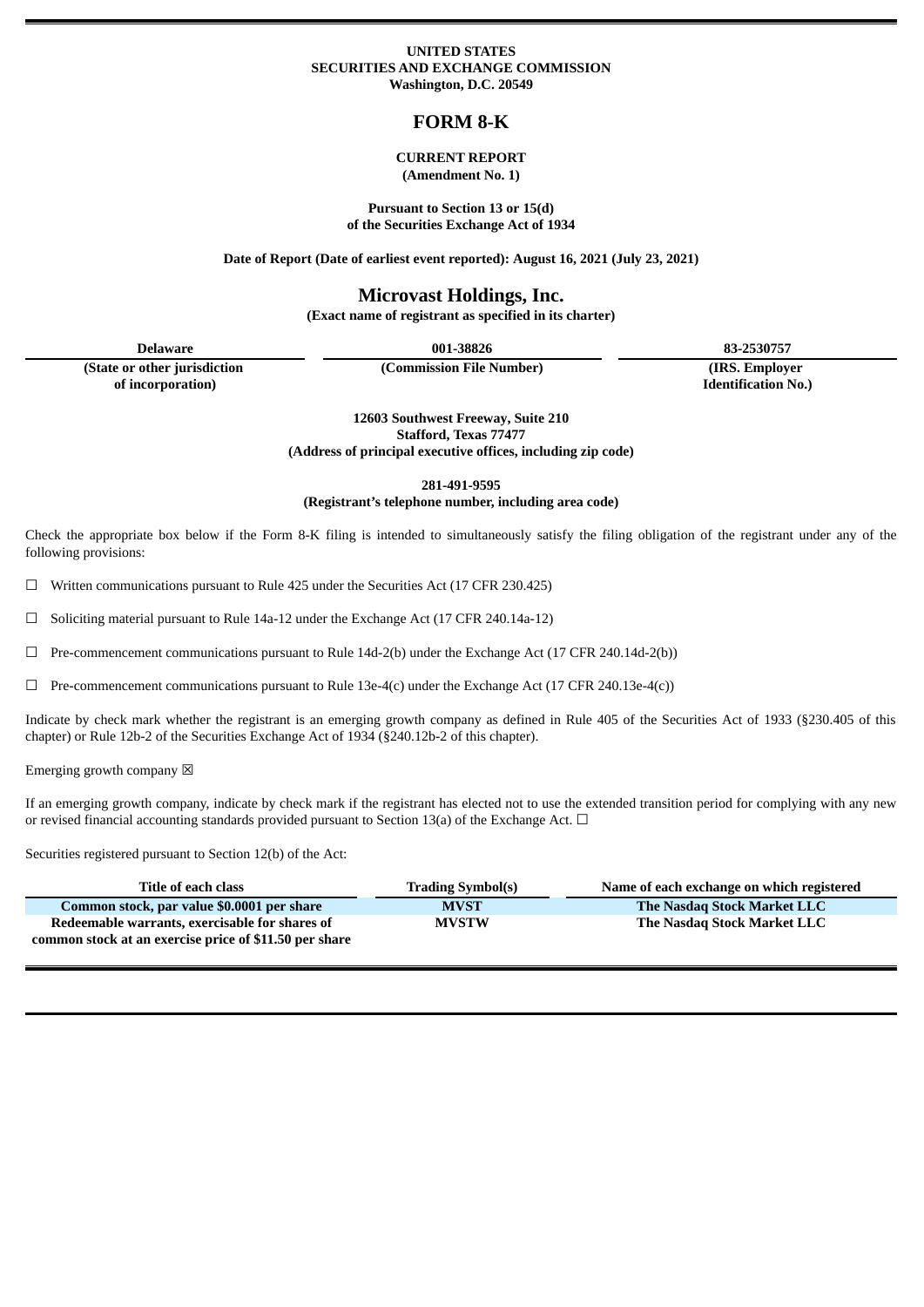#### **UNITED STATES SECURITIES AND EXCHANGE COMMISSION Washington, D.C. 20549**

# **FORM 8-K**

#### **CURRENT REPORT (Amendment No. 1)**

**Pursuant to Section 13 or 15(d) of the Securities Exchange Act of 1934**

**Date of Report (Date of earliest event reported): August 16, 2021 (July 23, 2021)**

# **Microvast Holdings, Inc.**

**(Exact name of registrant as specified in its charter)**

**(State or other jurisdiction**

**of incorporation)**

**(Commission File Number) (IRS. Employer**

**Delaware 001-38826 83-2530757 Identification No.)**

> **12603 Southwest Freeway, Suite 210 Stafford, Texas 77477 (Address of principal executive offices, including zip code)**

> > **281-491-9595**

**(Registrant's telephone number, including area code)**

Check the appropriate box below if the Form 8-K filing is intended to simultaneously satisfy the filing obligation of the registrant under any of the following provisions:

☐ Written communications pursuant to Rule 425 under the Securities Act (17 CFR 230.425)

☐ Soliciting material pursuant to Rule 14a-12 under the Exchange Act (17 CFR 240.14a-12)

 $\Box$  Pre-commencement communications pursuant to Rule 14d-2(b) under the Exchange Act (17 CFR 240.14d-2(b))

 $\Box$  Pre-commencement communications pursuant to Rule 13e-4(c) under the Exchange Act (17 CFR 240.13e-4(c))

Indicate by check mark whether the registrant is an emerging growth company as defined in Rule 405 of the Securities Act of 1933 (§230.405 of this chapter) or Rule 12b-2 of the Securities Exchange Act of 1934 (§240.12b-2 of this chapter).

Emerging growth company  $\boxtimes$ 

If an emerging growth company, indicate by check mark if the registrant has elected not to use the extended transition period for complying with any new or revised financial accounting standards provided pursuant to Section 13(a) of the Exchange Act.  $\Box$ 

Securities registered pursuant to Section 12(b) of the Act:

| Title of each class                                    | <b>Trading Symbol(s)</b> | Name of each exchange on which registered |
|--------------------------------------------------------|--------------------------|-------------------------------------------|
| Common stock, par value \$0.0001 per share             | <b>MVST</b>              | The Nasdag Stock Market LLC               |
| Redeemable warrants, exercisable for shares of         | <b>MVSTW</b>             | The Nasdag Stock Market LLC               |
| common stock at an exercise price of \$11.50 per share |                          |                                           |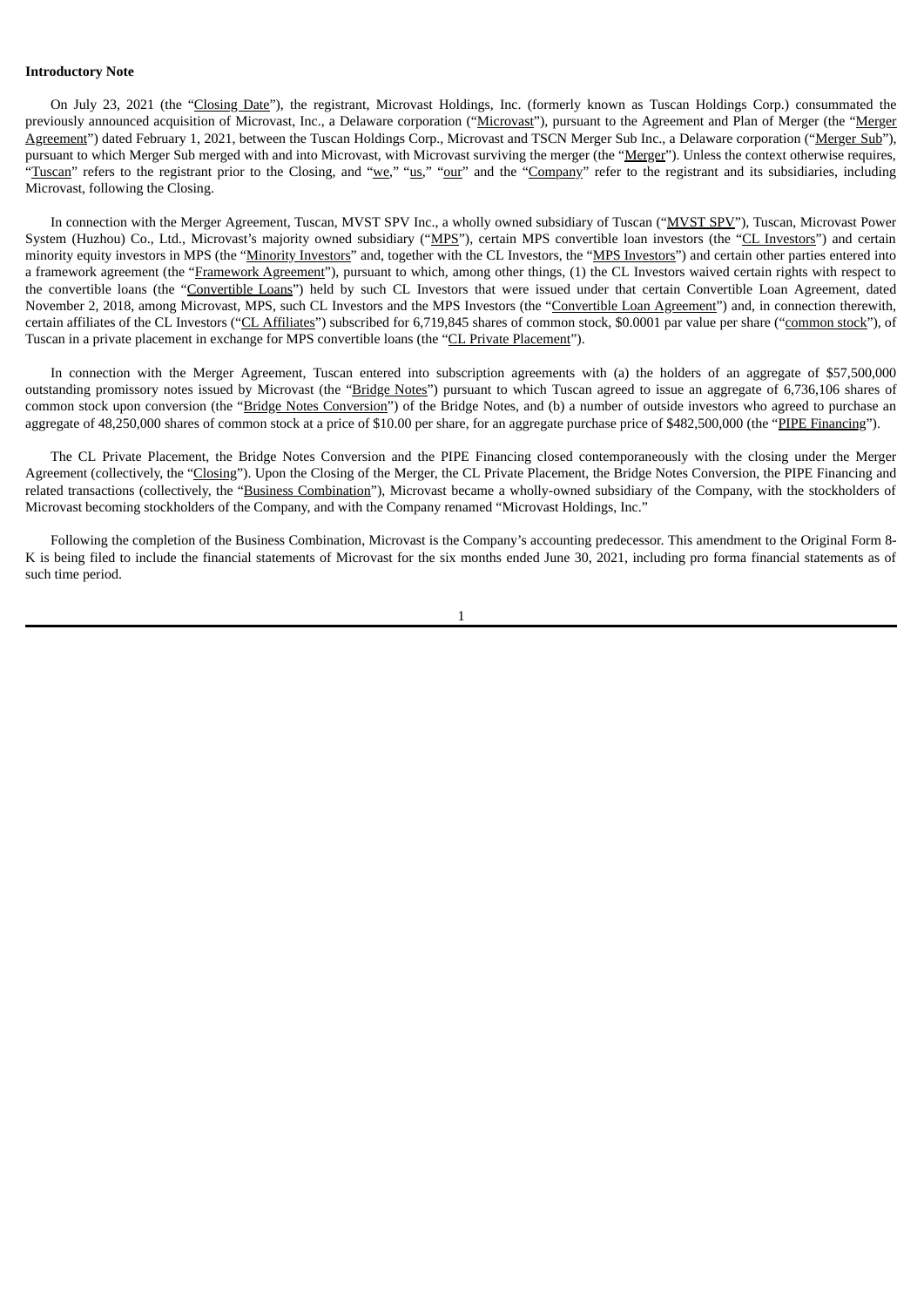#### **Introductory Note**

On July 23, 2021 (the "Closing Date"), the registrant, Microvast Holdings, Inc. (formerly known as Tuscan Holdings Corp.) consummated the previously announced acquisition of Microvast, Inc., a Delaware corporation ("Microvast"), pursuant to the Agreement and Plan of Merger (the "Merger Agreement") dated February 1, 2021, between the Tuscan Holdings Corp., Microvast and TSCN Merger Sub Inc., a Delaware corporation ("Merger Sub"), pursuant to which Merger Sub merged with and into Microvast, with Microvast surviving the merger (the "Merger"). Unless the context otherwise requires, "Tuscan" refers to the registrant prior to the Closing, and "we," "us," "our" and the "Company" refer to the registrant and its subsidiaries, including Microvast, following the Closing.

In connection with the Merger Agreement, Tuscan, MVST SPV Inc., a wholly owned subsidiary of Tuscan ("MVST SPV"), Tuscan, Microvast Power System (Huzhou) Co., Ltd., Microvast's majority owned subsidiary ("MPS"), certain MPS convertible loan investors (the "CL Investors") and certain minority equity investors in MPS (the "Minority Investors" and, together with the CL Investors, the "MPS Investors") and certain other parties entered into a framework agreement (the "Framework Agreement"), pursuant to which, among other things, (1) the CL Investors waived certain rights with respect to the convertible loans (the "Convertible Loans") held by such CL Investors that were issued under that certain Convertible Loan Agreement, dated November 2, 2018, among Microvast, MPS, such CL Investors and the MPS Investors (the "Convertible Loan Agreement") and, in connection therewith, certain affiliates of the CL Investors ("CL Affiliates") subscribed for 6,719,845 shares of common stock, \$0.0001 par value per share ("common stock"), of Tuscan in a private placement in exchange for MPS convertible loans (the "CL Private Placement").

In connection with the Merger Agreement, Tuscan entered into subscription agreements with (a) the holders of an aggregate of \$57,500,000 outstanding promissory notes issued by Microvast (the "Bridge Notes") pursuant to which Tuscan agreed to issue an aggregate of 6,736,106 shares of common stock upon conversion (the "Bridge Notes Conversion") of the Bridge Notes, and (b) a number of outside investors who agreed to purchase an aggregate of 48,250,000 shares of common stock at a price of \$10.00 per share, for an aggregate purchase price of \$482,500,000 (the "PIPE Financing").

The CL Private Placement, the Bridge Notes Conversion and the PIPE Financing closed contemporaneously with the closing under the Merger Agreement (collectively, the "Closing"). Upon the Closing of the Merger, the CL Private Placement, the Bridge Notes Conversion, the PIPE Financing and related transactions (collectively, the "Business Combination"), Microvast became a wholly-owned subsidiary of the Company, with the stockholders of Microvast becoming stockholders of the Company, and with the Company renamed "Microvast Holdings, Inc."

Following the completion of the Business Combination, Microvast is the Company's accounting predecessor. This amendment to the Original Form 8- K is being filed to include the financial statements of Microvast for the six months ended June 30, 2021, including pro forma financial statements as of such time period.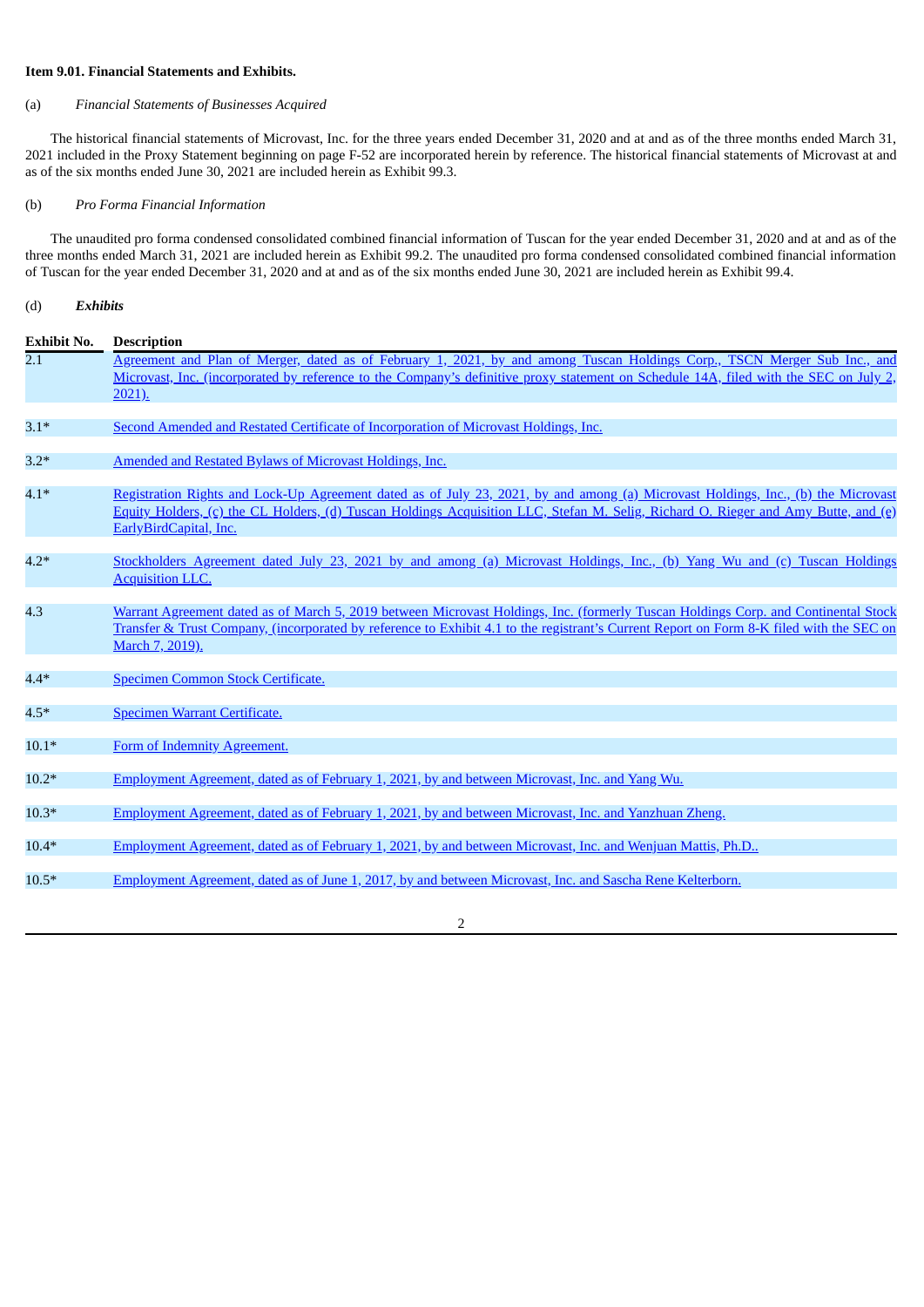#### **Item 9.01. Financial Statements and Exhibits.**

#### (a) *Financial Statements of Businesses Acquired*

The historical financial statements of Microvast, Inc. for the three years ended December 31, 2020 and at and as of the three months ended March 31, 2021 included in the Proxy Statement beginning on page F-52 are incorporated herein by reference. The historical financial statements of Microvast at and as of the six months ended June 30, 2021 are included herein as Exhibit 99.3.

#### (b) *Pro Forma Financial Information*

The unaudited pro forma condensed consolidated combined financial information of Tuscan for the year ended December 31, 2020 and at and as of the three months ended March 31, 2021 are included herein as Exhibit 99.2. The unaudited pro forma condensed consolidated combined financial information of Tuscan for the year ended December 31, 2020 and at and as of the six months ended June 30, 2021 are included herein as Exhibit 99.4.

# (d) *Exhibits*

| <b>Exhibit No.</b> | <b>Description</b>                                                                                                                                                                                                                                                                                |
|--------------------|---------------------------------------------------------------------------------------------------------------------------------------------------------------------------------------------------------------------------------------------------------------------------------------------------|
| 2.1                | Agreement and Plan of Merger, dated as of February 1, 2021, by and among Tuscan Holdings Corp., TSCN Merger Sub Inc., and<br>Microvast, Inc. (incorporated by reference to the Company's definitive proxy statement on Schedule 14A, filed with the SEC on July 2,                                |
|                    | $2021$ ).                                                                                                                                                                                                                                                                                         |
| $3.1*$             | Second Amended and Restated Certificate of Incorporation of Microvast Holdings, Inc.                                                                                                                                                                                                              |
| $3.2*$             | Amended and Restated Bylaws of Microvast Holdings, Inc.                                                                                                                                                                                                                                           |
| $4.1*$             | Registration Rights and Lock-Up Agreement dated as of July 23, 2021, by and among (a) Microvast Holdings, Inc., (b) the Microvast<br>Equity Holders, (c) the CL Holders, (d) Tuscan Holdings Acquisition LLC, Stefan M. Selig, Richard O. Rieger and Amy Butte, and (e)<br>EarlyBirdCapital, Inc. |
| $4.2*$             | Stockholders Agreement dated July 23, 2021 by and among (a) Microvast Holdings, Inc., (b) Yang Wu and (c) Tuscan Holdings<br><b>Acquisition LLC.</b>                                                                                                                                              |
| 4.3                | Warrant Agreement dated as of March 5, 2019 between Microvast Holdings, Inc. (formerly Tuscan Holdings Corp. and Continental Stock<br>Transfer & Trust Company, (incorporated by reference to Exhibit 4.1 to the registrant's Current Report on Form 8-K filed with the SEC on<br>March 7, 2019). |
| $4.4*$             | Specimen Common Stock Certificate.                                                                                                                                                                                                                                                                |
| $4.5*$             | Specimen Warrant Certificate.                                                                                                                                                                                                                                                                     |
| $10.1*$            | Form of Indemnity Agreement.                                                                                                                                                                                                                                                                      |
| $10.2*$            | Employment Agreement, dated as of February 1, 2021, by and between Microvast, Inc. and Yang Wu.                                                                                                                                                                                                   |
| $10.3*$            | Employment Agreement, dated as of February 1, 2021, by and between Microvast, Inc. and Yanzhuan Zheng,                                                                                                                                                                                            |
| $10.4*$            | Employment Agreement, dated as of February 1, 2021, by and between Microvast, Inc. and Wenjuan Mattis, Ph.D.,                                                                                                                                                                                     |
| $10.5*$            | Employment Agreement, dated as of June 1, 2017, by and between Microvast, Inc. and Sascha Rene Kelterborn.                                                                                                                                                                                        |

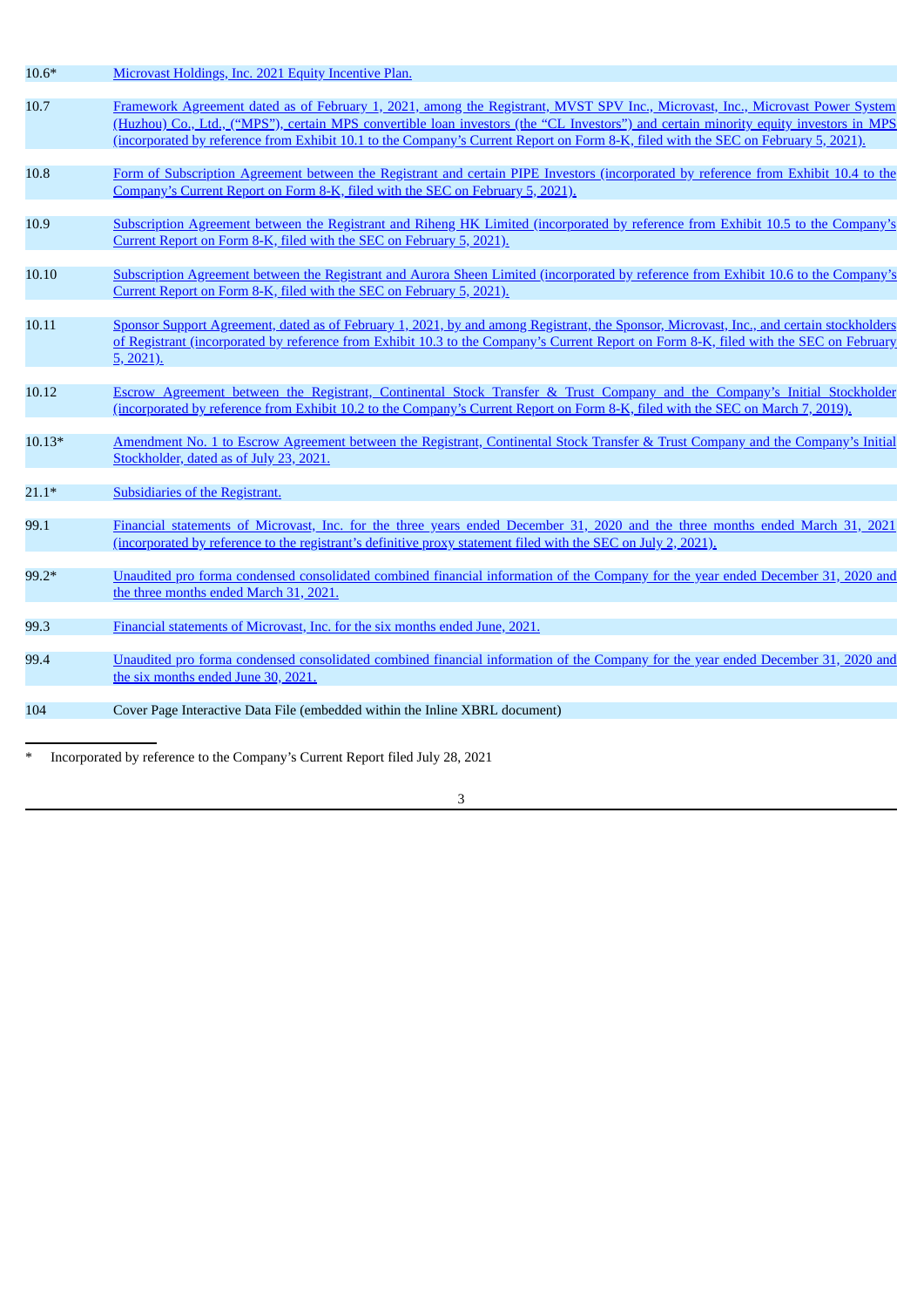| $10.6*$  | Microvast Holdings, Inc. 2021 Equity Incentive Plan.                                                                                                                                                                                                                                                                                                                                                          |
|----------|---------------------------------------------------------------------------------------------------------------------------------------------------------------------------------------------------------------------------------------------------------------------------------------------------------------------------------------------------------------------------------------------------------------|
| 10.7     | Framework Agreement dated as of February 1, 2021, among the Registrant, MVST SPV Inc., Microvast, Inc., Microvast Power System<br>(Huzhou) Co., Ltd., ("MPS"), certain MPS convertible loan investors (the "CL Investors") and certain minority equity investors in MPS<br>(incorporated by reference from Exhibit 10.1 to the Company's Current Report on Form 8-K, filed with the SEC on February 5, 2021). |
| 10.8     | Form of Subscription Agreement between the Registrant and certain PIPE Investors (incorporated by reference from Exhibit 10.4 to the<br>Company's Current Report on Form 8-K, filed with the SEC on February 5, 2021).                                                                                                                                                                                        |
| 10.9     | Subscription Agreement between the Registrant and Riheng HK Limited (incorporated by reference from Exhibit 10.5 to the Company's<br>Current Report on Form 8-K, filed with the SEC on February 5, 2021).                                                                                                                                                                                                     |
| 10.10    | Subscription Agreement between the Registrant and Aurora Sheen Limited (incorporated by reference from Exhibit 10.6 to the Company's<br>Current Report on Form 8-K, filed with the SEC on February 5, 2021).                                                                                                                                                                                                  |
| 10.11    | Sponsor Support Agreement, dated as of February 1, 2021, by and among Registrant, the Sponsor, Microvast, Inc., and certain stockholders<br>of Registrant (incorporated by reference from Exhibit 10.3 to the Company's Current Report on Form 8-K, filed with the SEC on February<br>$5, 2021$ ).                                                                                                            |
| 10.12    | Escrow Agreement between the Registrant, Continental Stock Transfer & Trust Company and the Company's Initial Stockholder<br>(incorporated by reference from Exhibit 10.2 to the Company's Current Report on Form 8-K, filed with the SEC on March 7, 2019).                                                                                                                                                  |
| $10.13*$ | Amendment No. 1 to Escrow Agreement between the Registrant, Continental Stock Transfer & Trust Company and the Company's Initial<br>Stockholder, dated as of July 23, 2021.                                                                                                                                                                                                                                   |
| $21.1*$  | <b>Subsidiaries of the Registrant.</b>                                                                                                                                                                                                                                                                                                                                                                        |
| 99.1     | Financial statements of Microvast, Inc. for the three years ended December 31, 2020 and the three months ended March 31, 2021<br>(incorporated by reference to the registrant's definitive proxy statement filed with the SEC on July 2, 2021).                                                                                                                                                               |
| 99.2*    | Unaudited pro forma condensed consolidated combined financial information of the Company for the year ended December 31, 2020 and<br>the three months ended March 31, 2021.                                                                                                                                                                                                                                   |
| 99.3     | Financial statements of Microvast, Inc. for the six months ended June, 2021.                                                                                                                                                                                                                                                                                                                                  |
| 99.4     | Unaudited pro forma condensed consolidated combined financial information of the Company for the year ended December 31, 2020 and<br>the six months ended June 30, 2021.                                                                                                                                                                                                                                      |
| 104      | Cover Page Interactive Data File (embedded within the Inline XBRL document)                                                                                                                                                                                                                                                                                                                                   |
|          |                                                                                                                                                                                                                                                                                                                                                                                                               |

\* Incorporated by reference to the Company's Current Report filed July 28, 2021

3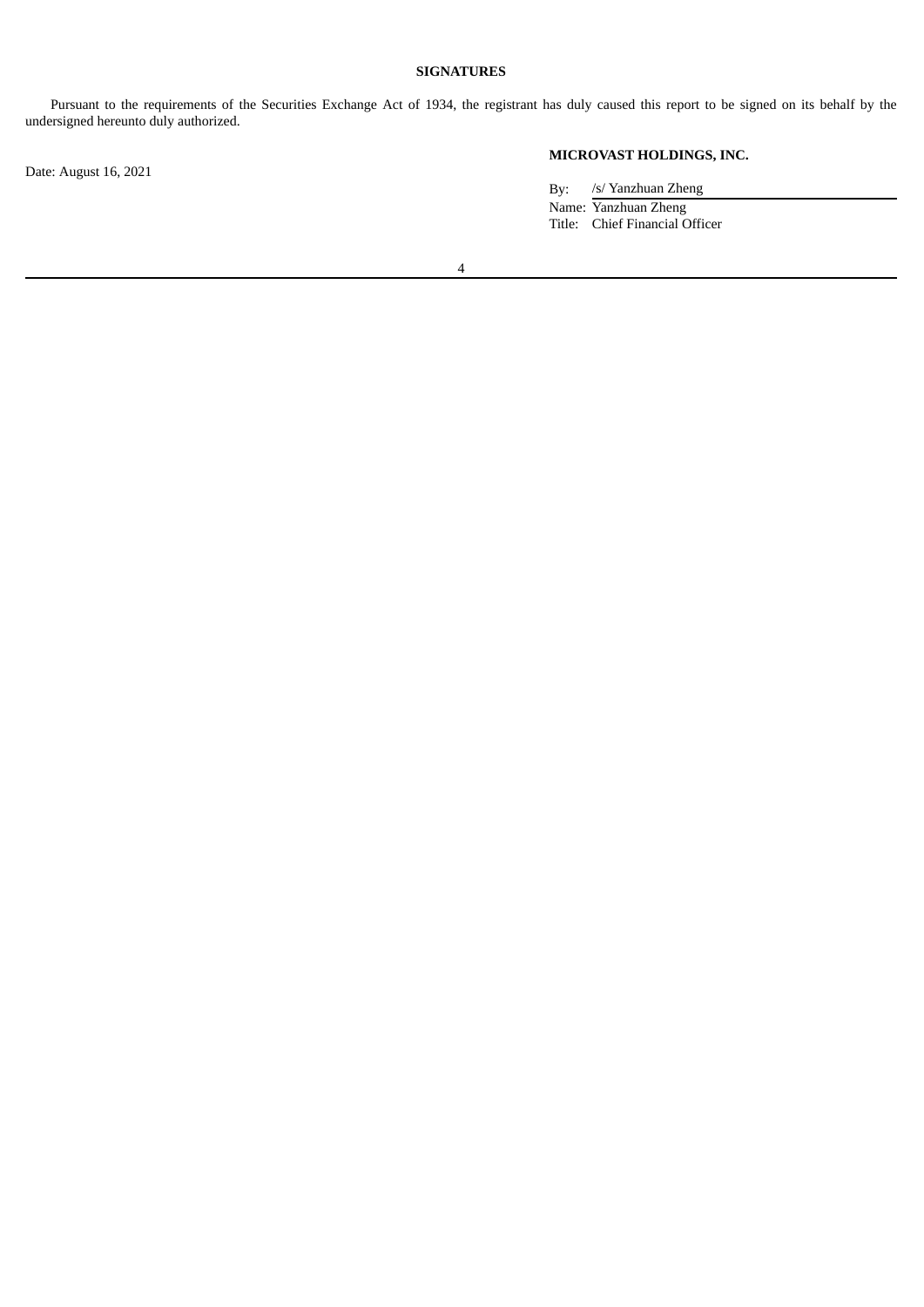### **SIGNATURES**

Pursuant to the requirements of the Securities Exchange Act of 1934, the registrant has duly caused this report to be signed on its behalf by the undersigned hereunto duly authorized.

Date: August 16, 2021

# **MICROVAST HOLDINGS, INC.**

By: /s/ Yanzhuan Zheng Name: Yanzhuan Zheng Title: Chief Financial Officer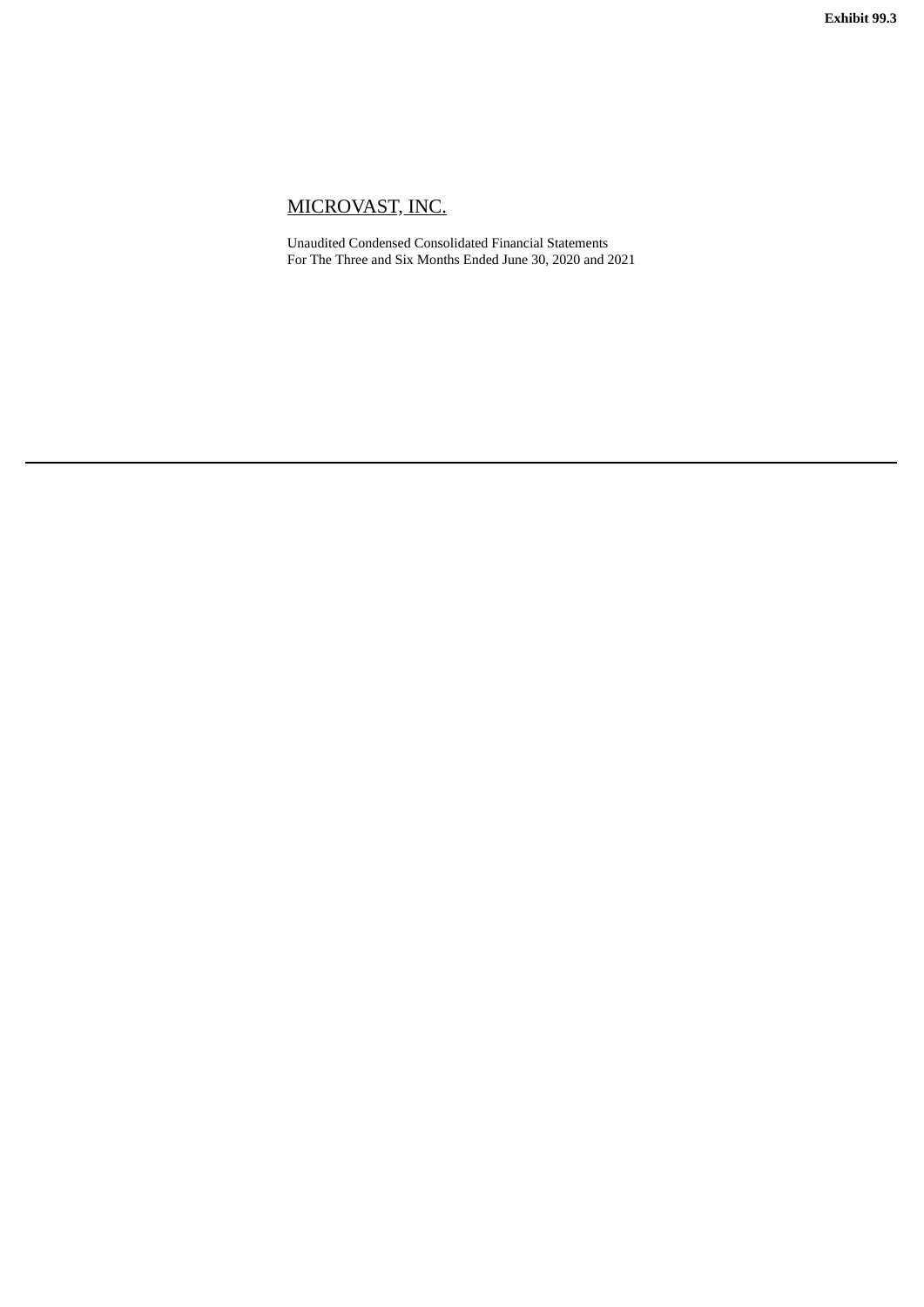<span id="page-5-0"></span>Unaudited Condensed Consolidated Financial Statements For The Three and Six Months Ended June 30, 2020 and 2021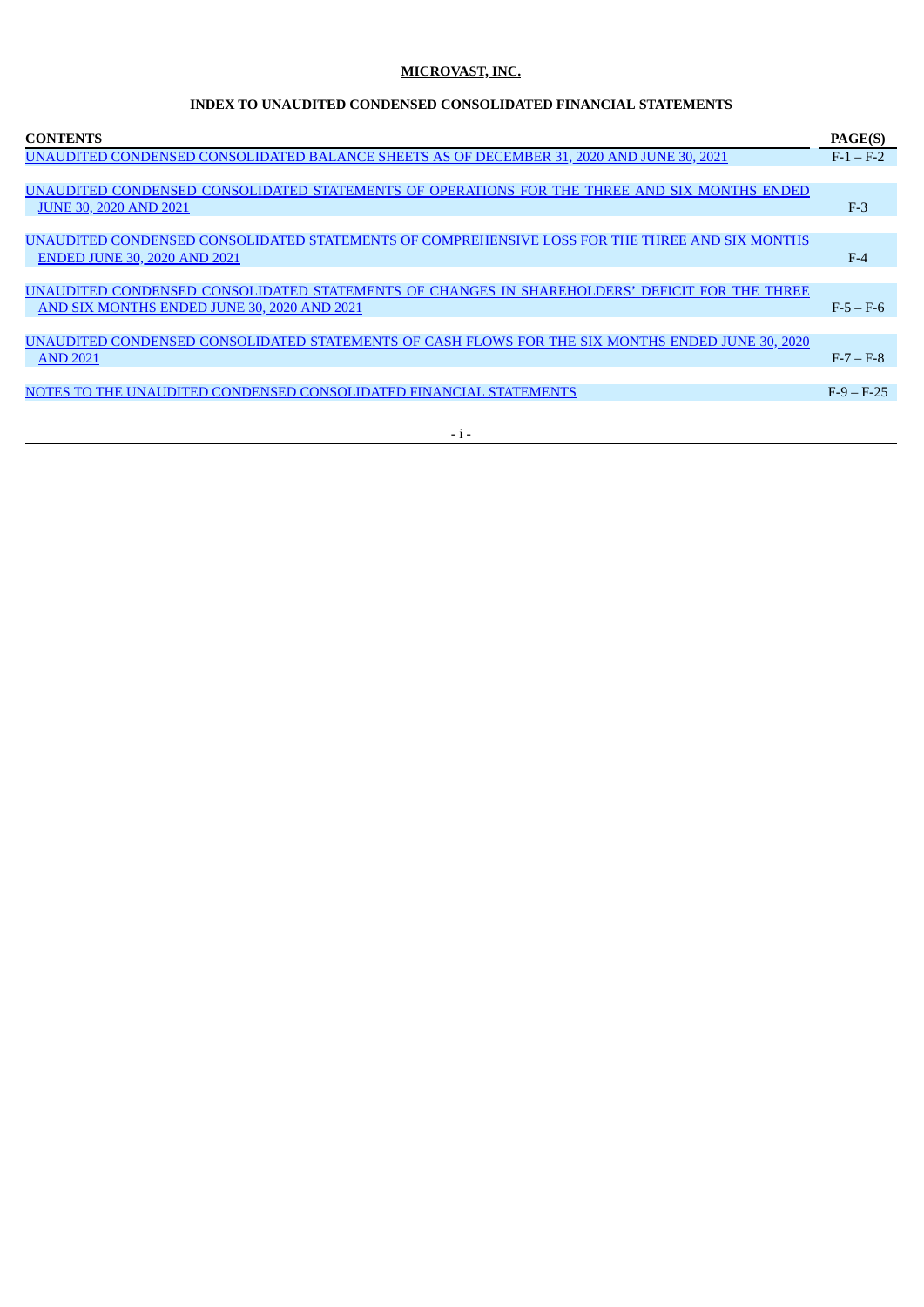# **INDEX TO UNAUDITED CONDENSED CONSOLIDATED FINANCIAL STATEMENTS**

| $F-1 - F-2$<br>UNAUDITED CONDENSED CONSOLIDATED STATEMENTS OF OPERATIONS FOR THE THREE AND SIX MONTHS ENDED<br>$F-3$<br><b>JUNE 30, 2020 AND 2021</b><br>UNAUDITED CONDENSED CONSOLIDATED STATEMENTS OF COMPREHENSIVE LOSS FOR THE THREE AND SIX MONTHS<br><b>ENDED JUNE 30, 2020 AND 2021</b><br>$F-4$<br>AND SIX MONTHS ENDED JUNE 30, 2020 AND 2021<br>$F-5-F-6$ | <b>CONTENTS</b>                                                                                  | PAGE(S) |
|---------------------------------------------------------------------------------------------------------------------------------------------------------------------------------------------------------------------------------------------------------------------------------------------------------------------------------------------------------------------|--------------------------------------------------------------------------------------------------|---------|
|                                                                                                                                                                                                                                                                                                                                                                     | UNAUDITED CONDENSED CONSOLIDATED BALANCE SHEETS AS OF DECEMBER 31, 2020 AND JUNE 30, 2021        |         |
|                                                                                                                                                                                                                                                                                                                                                                     |                                                                                                  |         |
|                                                                                                                                                                                                                                                                                                                                                                     |                                                                                                  |         |
|                                                                                                                                                                                                                                                                                                                                                                     |                                                                                                  |         |
|                                                                                                                                                                                                                                                                                                                                                                     |                                                                                                  |         |
|                                                                                                                                                                                                                                                                                                                                                                     |                                                                                                  |         |
|                                                                                                                                                                                                                                                                                                                                                                     |                                                                                                  |         |
|                                                                                                                                                                                                                                                                                                                                                                     | UNAUDITED CONDENSED CONSOLIDATED STATEMENTS OF CHANGES IN SHAREHOLDERS' DEFICIT FOR THE THREE    |         |
|                                                                                                                                                                                                                                                                                                                                                                     |                                                                                                  |         |
|                                                                                                                                                                                                                                                                                                                                                                     |                                                                                                  |         |
|                                                                                                                                                                                                                                                                                                                                                                     | UNAUDITED CONDENSED CONSOLIDATED STATEMENTS OF CASH FLOWS FOR THE SIX MONTHS ENDED JUNE 30, 2020 |         |
| <b>AND 2021</b><br>$F - 7 - F - 8$                                                                                                                                                                                                                                                                                                                                  |                                                                                                  |         |
|                                                                                                                                                                                                                                                                                                                                                                     |                                                                                                  |         |
| $F-9-F-25$                                                                                                                                                                                                                                                                                                                                                          | NOTES TO THE UNAUDITED CONDENSED CONSOLIDATED FINANCIAL STATEMENTS                               |         |

- i -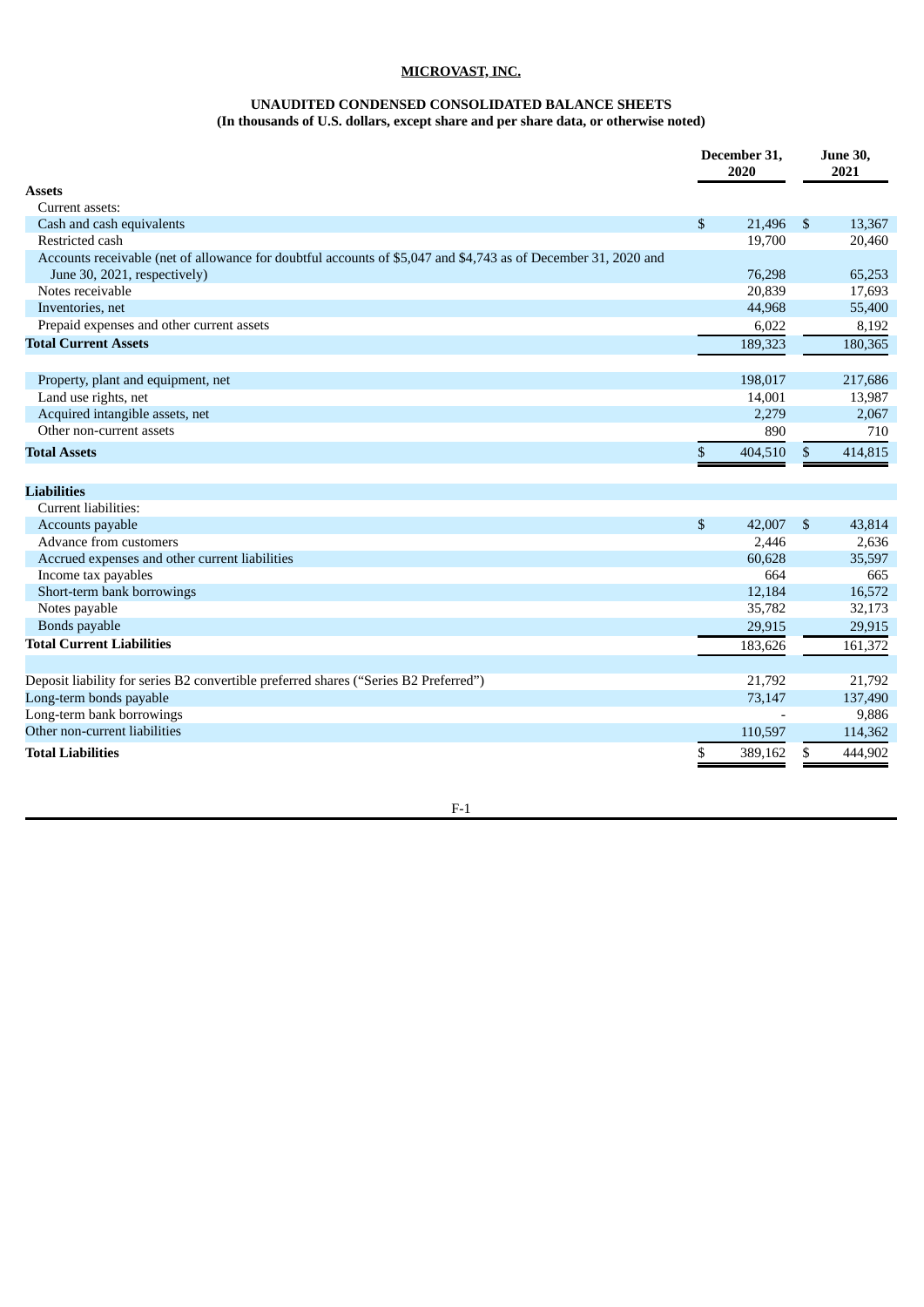#### **UNAUDITED CONDENSED CONSOLIDATED BALANCE SHEETS**

**(In thousands of U.S. dollars, except share and per share data, or otherwise noted)**

<span id="page-7-0"></span>

|                                                                                                                |                | December 31,<br>2020 |                | <b>June 30,</b><br>2021 |
|----------------------------------------------------------------------------------------------------------------|----------------|----------------------|----------------|-------------------------|
| <b>Assets</b>                                                                                                  |                |                      |                |                         |
| Current assets:                                                                                                |                |                      |                |                         |
| Cash and cash equivalents                                                                                      | \$             | 21,496               | $\mathfrak{S}$ | 13,367                  |
| Restricted cash                                                                                                |                | 19,700               |                | 20,460                  |
| Accounts receivable (net of allowance for doubtful accounts of \$5,047 and \$4,743 as of December 31, 2020 and |                |                      |                |                         |
| June 30, 2021, respectively)                                                                                   |                | 76,298               |                | 65,253                  |
| Notes receivable                                                                                               |                | 20,839               |                | 17,693                  |
| Inventories, net                                                                                               |                | 44,968               |                | 55,400                  |
| Prepaid expenses and other current assets                                                                      |                | 6,022                |                | 8,192                   |
| <b>Total Current Assets</b>                                                                                    |                | 189,323              |                | 180,365                 |
|                                                                                                                |                |                      |                |                         |
| Property, plant and equipment, net                                                                             |                | 198,017              |                | 217,686                 |
| Land use rights, net                                                                                           |                | 14,001               |                | 13,987                  |
| Acquired intangible assets, net                                                                                |                | 2,279                |                | 2,067                   |
| Other non-current assets                                                                                       |                | 890                  |                | 710                     |
| <b>Total Assets</b>                                                                                            | \$             | 404,510              | \$             | 414,815                 |
| <b>Liabilities</b>                                                                                             |                |                      |                |                         |
| Current liabilities:                                                                                           |                |                      |                |                         |
| Accounts payable                                                                                               | $\mathfrak{s}$ | 42,007               | $\mathfrak{S}$ | 43.814                  |
| Advance from customers                                                                                         |                | 2,446                |                | 2,636                   |
| Accrued expenses and other current liabilities                                                                 |                | 60,628               |                | 35,597                  |
| Income tax payables                                                                                            |                | 664                  |                | 665                     |
| Short-term bank borrowings                                                                                     |                | 12,184               |                | 16,572                  |
| Notes payable                                                                                                  |                | 35,782               |                | 32,173                  |
| Bonds payable                                                                                                  |                | 29,915               |                | 29,915                  |
| <b>Total Current Liabilities</b>                                                                               |                | 183.626              |                | 161,372                 |
|                                                                                                                |                |                      |                |                         |
| Deposit liability for series B2 convertible preferred shares ("Series B2 Preferred")                           |                | 21,792               |                | 21,792                  |
| Long-term bonds payable                                                                                        |                | 73,147               |                | 137,490                 |
| Long-term bank borrowings                                                                                      |                |                      |                | 9,886                   |
| Other non-current liabilities                                                                                  |                | 110,597              |                | 114,362                 |
| <b>Total Liabilities</b>                                                                                       | \$             | 389,162              | \$             | 444,902                 |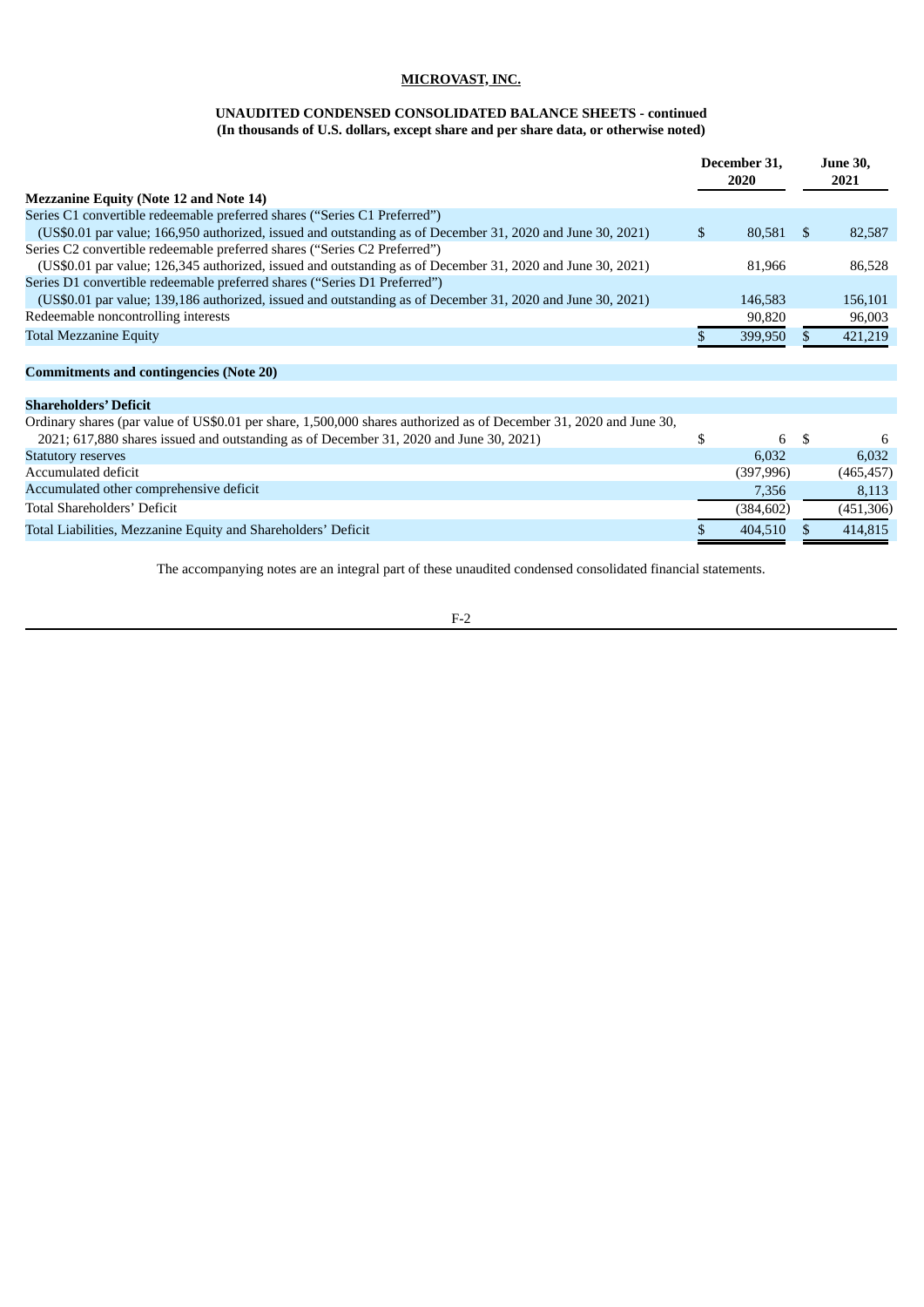# **UNAUDITED CONDENSED CONSOLIDATED BALANCE SHEETS - continued (In thousands of U.S. dollars, except share and per share data, or otherwise noted)**

|                                                                                                                                                                                                              |              | December 31,<br>2020 |     | <b>June 30,</b><br>2021 |
|--------------------------------------------------------------------------------------------------------------------------------------------------------------------------------------------------------------|--------------|----------------------|-----|-------------------------|
| <b>Mezzanine Equity (Note 12 and Note 14)</b>                                                                                                                                                                |              |                      |     |                         |
| Series C1 convertible redeemable preferred shares ("Series C1 Preferred")                                                                                                                                    |              |                      |     |                         |
| (US\$0.01 par value; 166,950 authorized, issued and outstanding as of December 31, 2020 and June 30, 2021)                                                                                                   | $\mathbb{S}$ | 80,581               | -S  | 82,587                  |
| Series C2 convertible redeemable preferred shares ("Series C2 Preferred")                                                                                                                                    |              |                      |     |                         |
| (US\$0.01 par value; 126,345 authorized, issued and outstanding as of December 31, 2020 and June 30, 2021)                                                                                                   |              | 81,966               |     | 86,528                  |
| Series D1 convertible redeemable preferred shares ("Series D1 Preferred")                                                                                                                                    |              |                      |     |                         |
| (US\$0.01 par value; 139,186 authorized, issued and outstanding as of December 31, 2020 and June 30, 2021)                                                                                                   |              | 146,583              |     | 156,101                 |
| Redeemable noncontrolling interests                                                                                                                                                                          |              | 90,820               |     | 96,003                  |
| <b>Total Mezzanine Equity</b>                                                                                                                                                                                | Ж.           | 399,950              | \$. | 421,219                 |
| <b>Commitments and contingencies (Note 20)</b>                                                                                                                                                               |              |                      |     |                         |
| <b>Shareholders' Deficit</b>                                                                                                                                                                                 |              |                      |     |                         |
| Ordinary shares (par value of US\$0.01 per share, 1,500,000 shares authorized as of December 31, 2020 and June 30,<br>2021; 617,880 shares issued and outstanding as of December 31, 2020 and June 30, 2021) | \$           | 6 \$                 |     | 6                       |
| <b>Statutory reserves</b>                                                                                                                                                                                    |              | 6,032                |     | 6,032                   |
| Accumulated deficit                                                                                                                                                                                          |              | (397, 996)           |     | (465, 457)              |
| Accumulated other comprehensive deficit                                                                                                                                                                      |              | 7,356                |     | 8,113                   |
| Total Shareholders' Deficit                                                                                                                                                                                  |              | (384, 602)           |     | (451, 306)              |
| Total Liabilities, Mezzanine Equity and Shareholders' Deficit                                                                                                                                                |              | 404,510              |     | 414,815                 |

The accompanying notes are an integral part of these unaudited condensed consolidated financial statements.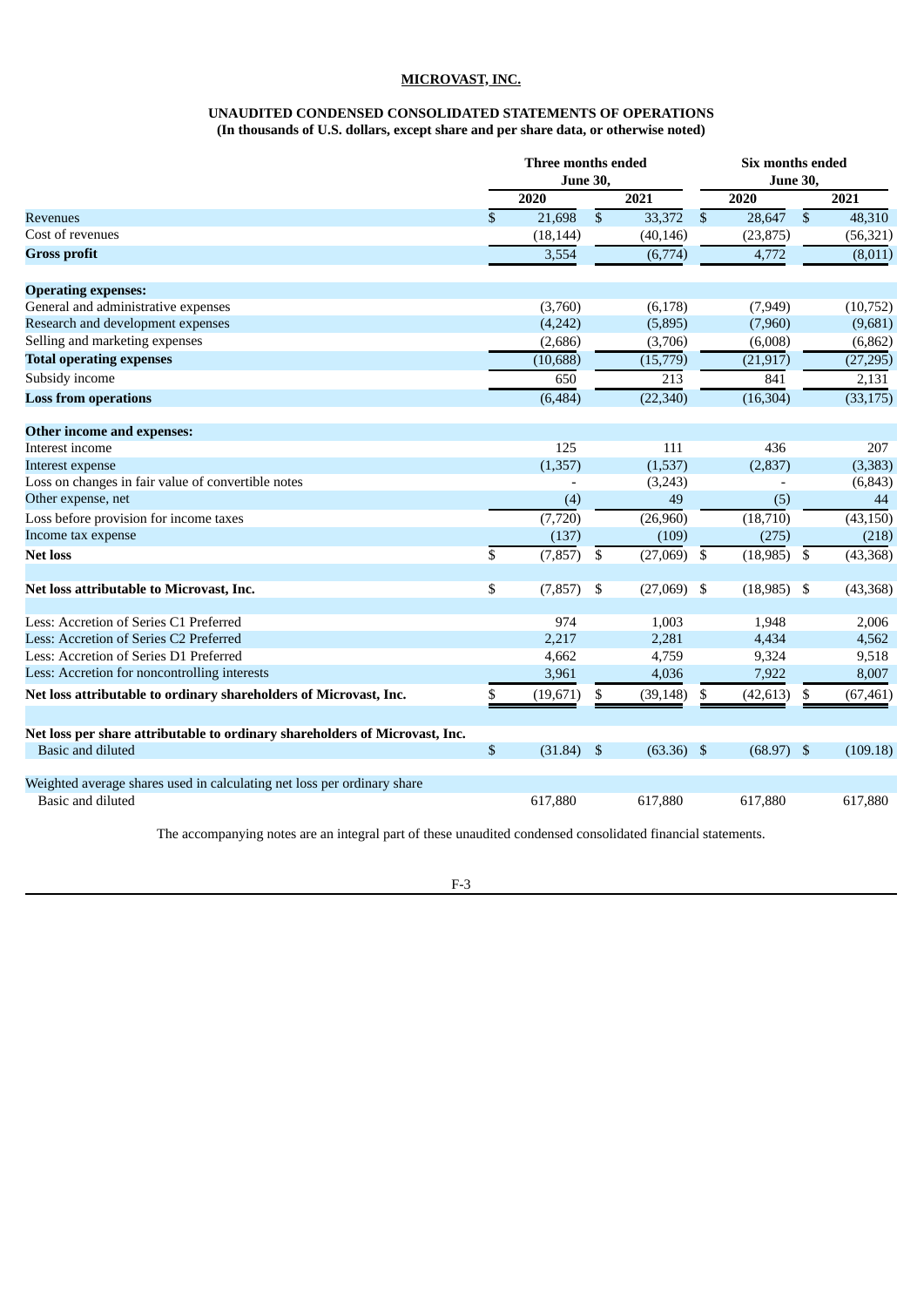# **UNAUDITED CONDENSED CONSOLIDATED STATEMENTS OF OPERATIONS (In thousands of U.S. dollars, except share and per share data, or otherwise noted)**

<span id="page-9-0"></span>

|                                                                                              |             | Three months ended<br><b>June 30,</b> |                           |               | Six months ended<br><b>June 30,</b> |               |                 |           |  |  |
|----------------------------------------------------------------------------------------------|-------------|---------------------------------------|---------------------------|---------------|-------------------------------------|---------------|-----------------|-----------|--|--|
|                                                                                              |             | 2020                                  |                           | 2021          |                                     | 2020          |                 | 2021      |  |  |
| Revenues                                                                                     | \$          | 21,698                                | $\overline{\$}$           | 33,372        | $\overline{\$}$                     | 28,647        | $\overline{\$}$ | 48,310    |  |  |
| Cost of revenues                                                                             |             | (18, 144)                             |                           | (40, 146)     |                                     | (23,875)      |                 | (56, 321) |  |  |
| <b>Gross profit</b>                                                                          |             | 3,554                                 |                           | (6,774)       |                                     | 4,772         |                 | (8,011)   |  |  |
| <b>Operating expenses:</b>                                                                   |             |                                       |                           |               |                                     |               |                 |           |  |  |
| General and administrative expenses                                                          |             | (3,760)                               |                           | (6, 178)      |                                     | (7,949)       |                 | (10, 752) |  |  |
| Research and development expenses                                                            |             | (4,242)                               |                           | (5,895)       |                                     | (7,960)       |                 | (9,681)   |  |  |
| Selling and marketing expenses                                                               |             | (2,686)                               |                           | (3,706)       |                                     | (6,008)       |                 | (6, 862)  |  |  |
| <b>Total operating expenses</b>                                                              |             | (10, 688)                             |                           | (15, 779)     |                                     | (21, 917)     |                 | (27, 295) |  |  |
| Subsidy income                                                                               |             | 650                                   |                           | 213           |                                     | 841           |                 | 2,131     |  |  |
| <b>Loss from operations</b>                                                                  |             | (6, 484)                              |                           | (22, 340)     |                                     | (16, 304)     |                 | (33, 175) |  |  |
| Other income and expenses:                                                                   |             |                                       |                           |               |                                     |               |                 |           |  |  |
| Interest income                                                                              |             | 125                                   |                           | 111           |                                     | 436           |                 | 207       |  |  |
| Interest expense                                                                             |             | (1, 357)                              |                           | (1,537)       |                                     | (2,837)       |                 | (3, 383)  |  |  |
| Loss on changes in fair value of convertible notes                                           |             |                                       |                           | (3,243)       |                                     |               |                 | (6, 843)  |  |  |
| Other expense, net                                                                           |             | (4)                                   |                           | 49            |                                     | (5)           |                 | 44        |  |  |
| Loss before provision for income taxes                                                       |             | (7, 720)                              |                           | (26,960)      |                                     | (18, 710)     |                 | (43, 150) |  |  |
| Income tax expense                                                                           |             | (137)                                 |                           | (109)         |                                     | (275)         |                 | (218)     |  |  |
| <b>Net loss</b>                                                                              | \$          | (7, 857)                              | \$                        | (27,069)      | \$                                  | (18, 985)     | \$              | (43, 368) |  |  |
| Net loss attributable to Microvast, Inc.                                                     | \$          | (7, 857)                              | \$                        | $(27,069)$ \$ |                                     | $(18,985)$ \$ |                 | (43, 368) |  |  |
| Less: Accretion of Series C1 Preferred                                                       |             | 974                                   |                           | 1,003         |                                     | 1,948         |                 | 2,006     |  |  |
| Less: Accretion of Series C2 Preferred                                                       |             | 2,217                                 |                           | 2,281         |                                     | 4,434         |                 | 4,562     |  |  |
| Less: Accretion of Series D1 Preferred                                                       |             | 4,662                                 |                           | 4,759         |                                     | 9,324         |                 | 9,518     |  |  |
| Less: Accretion for noncontrolling interests                                                 |             | 3,961                                 |                           | 4,036         |                                     | 7,922         |                 | 8,007     |  |  |
| Net loss attributable to ordinary shareholders of Microvast, Inc.                            | \$          | (19, 671)                             | \$                        | (39, 148)     | \$                                  | (42, 613)     | \$              | (67, 461) |  |  |
| Net loss per share attributable to ordinary shareholders of Microvast, Inc.                  |             |                                       |                           |               |                                     |               |                 |           |  |  |
| Basic and diluted                                                                            | $\mathbb S$ | (31.84)                               | $\boldsymbol{\mathsf{S}}$ | $(63.36)$ \$  |                                     | (68.97)       | $\mathbf{S}$    | (109.18)  |  |  |
| Weighted average shares used in calculating net loss per ordinary share<br>Basic and diluted |             | 617,880                               |                           | 617,880       |                                     | 617,880       |                 | 617,880   |  |  |

The accompanying notes are an integral part of these unaudited condensed consolidated financial statements.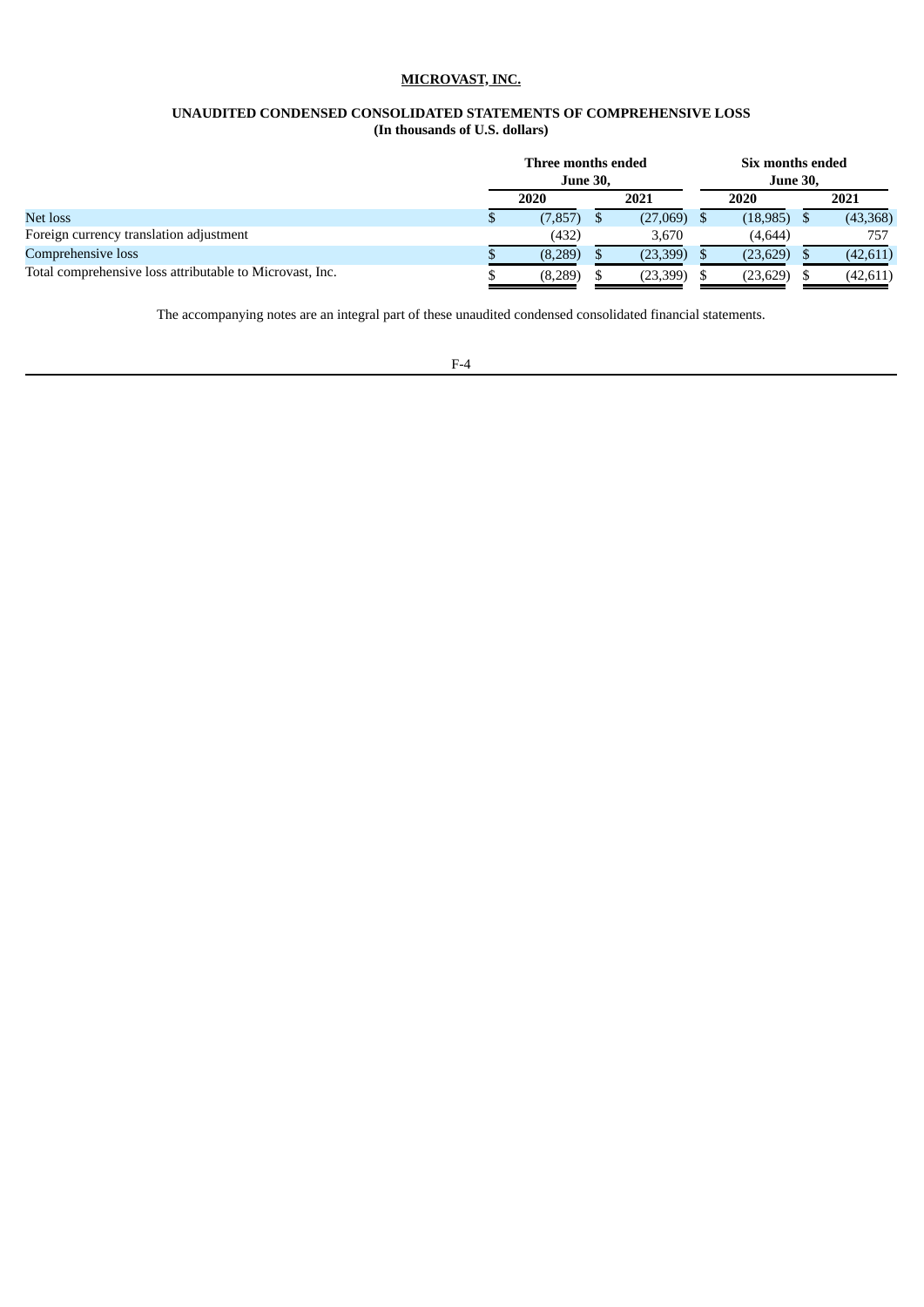### **UNAUDITED CONDENSED CONSOLIDATED STATEMENTS OF COMPREHENSIVE LOSS (In thousands of U.S. dollars)**

<span id="page-10-0"></span>

|                                                          | Three months ended<br><b>June 30,</b> |  |           | Six months ended<br><b>June 30,</b> |           |
|----------------------------------------------------------|---------------------------------------|--|-----------|-------------------------------------|-----------|
|                                                          | 2020                                  |  | 2021      | 2020                                | 2021      |
| Net loss                                                 | (7, 857)                              |  | (27,069)  | (18, 985)                           | (43,368)  |
| Foreign currency translation adjustment                  | (432)                                 |  | 3,670     | (4,644)                             | 757       |
| Comprehensive loss                                       | (8,289)                               |  | (23,399)  | (23, 629)                           | (42, 611) |
| Total comprehensive loss attributable to Microvast, Inc. | (8,289)                               |  | (23, 399) | (23, 629)                           | (42, 611) |

The accompanying notes are an integral part of these unaudited condensed consolidated financial statements.

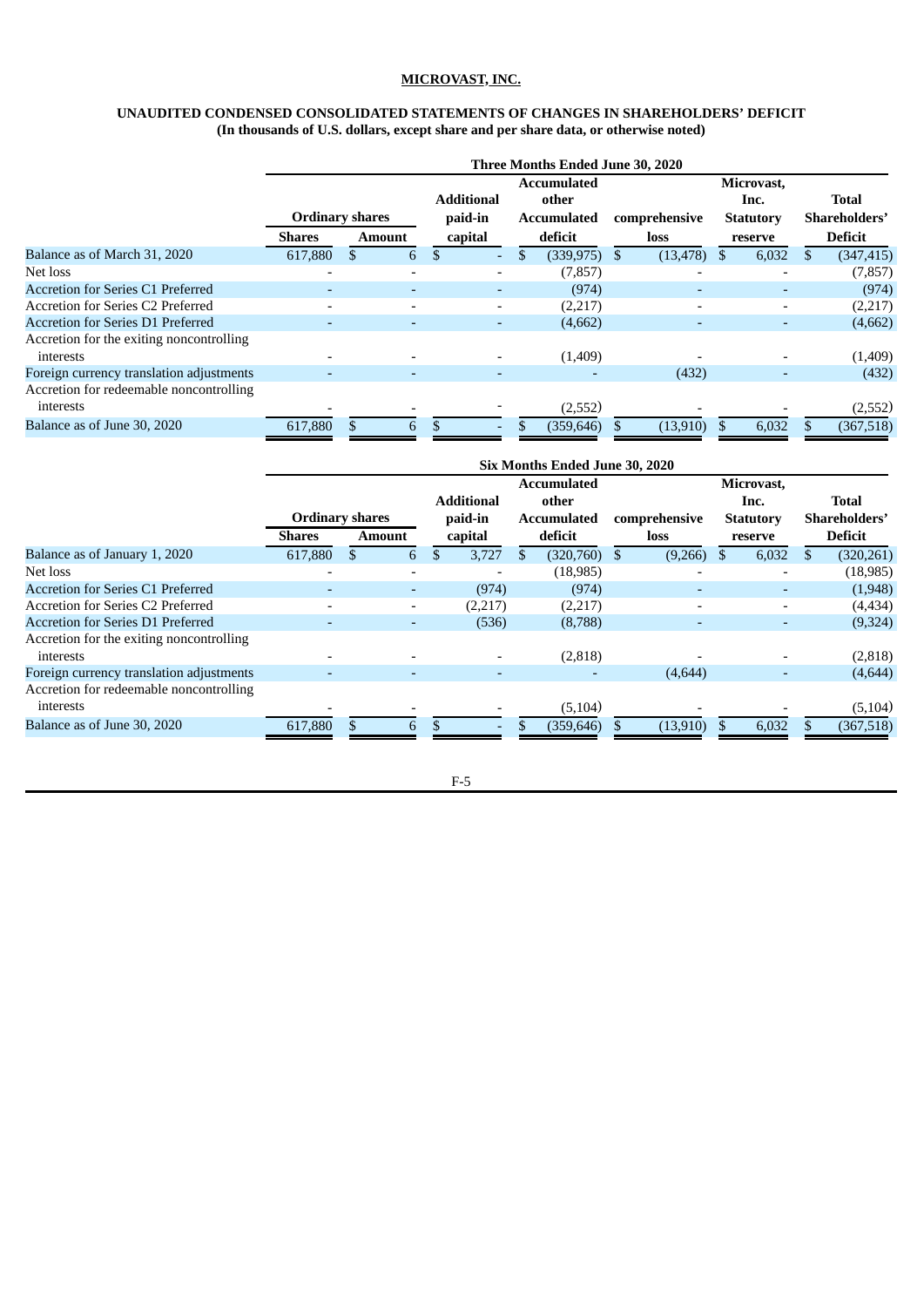# **UNAUDITED CONDENSED CONSOLIDATED STATEMENTS OF CHANGES IN SHAREHOLDERS' DEFICIT (In thousands of U.S. dollars, except share and per share data, or otherwise noted)**

<span id="page-11-0"></span>

|                                          |                          |    |                          |                              |                |    | Three Months Ended June 30, 2020                  |    |                          |                                        |                        |
|------------------------------------------|--------------------------|----|--------------------------|------------------------------|----------------|----|---------------------------------------------------|----|--------------------------|----------------------------------------|------------------------|
|                                          | <b>Ordinary shares</b>   |    |                          | <b>Additional</b><br>paid-in |                |    | <b>Accumulated</b><br>other<br><b>Accumulated</b> |    | comprehensive            | Microvast.<br>Inc.<br><b>Statutory</b> | Total<br>Shareholders' |
|                                          | <b>Shares</b>            |    | <b>Amount</b>            |                              | capital        |    | deficit                                           |    | loss                     | reserve                                | <b>Deficit</b>         |
| Balance as of March 31, 2020             | 617,880                  | \$ | 6                        | \$                           | $\overline{a}$ | \$ | (339, 975)                                        | S. | (13, 478)                | 6,032                                  | (347, 415)             |
| Net loss                                 |                          |    |                          |                              |                |    | (7, 857)                                          |    |                          |                                        | (7, 857)               |
| Accretion for Series C1 Preferred        | -                        |    | $\overline{\phantom{a}}$ |                              |                |    | (974)                                             |    |                          | ٠                                      | (974)                  |
| Accretion for Series C2 Preferred        | $\overline{\phantom{0}}$ |    | $\overline{\phantom{a}}$ |                              |                |    | (2,217)                                           |    | $\overline{\phantom{0}}$ | $\overline{\phantom{a}}$               | (2,217)                |
| Accretion for Series D1 Preferred        |                          |    | $\overline{\phantom{0}}$ |                              |                |    | (4,662)                                           |    |                          | $\overline{\phantom{0}}$               | (4,662)                |
| Accretion for the exiting noncontrolling |                          |    |                          |                              |                |    |                                                   |    |                          |                                        |                        |
| interests                                |                          |    |                          |                              |                |    | (1,409)                                           |    |                          |                                        | (1,409)                |
| Foreign currency translation adjustments | $\overline{\phantom{a}}$ |    | $\overline{\phantom{a}}$ |                              |                |    |                                                   |    | (432)                    | ٠                                      | (432)                  |
| Accretion for redeemable noncontrolling  |                          |    |                          |                              |                |    |                                                   |    |                          |                                        |                        |
| interests                                |                          |    |                          |                              |                |    | (2,552)                                           |    |                          |                                        | (2,552)                |
| Balance as of June 30, 2020              | 617,880                  |    | 6                        |                              |                |    | (359, 646)                                        |    | (13,910)                 | 6,032                                  | (367, 518)             |

|                                          |                          |                        |                          |    |                    | Six Months Ended June 30, 2020 |  |                       |  |                             |                               |
|------------------------------------------|--------------------------|------------------------|--------------------------|----|--------------------|--------------------------------|--|-----------------------|--|-----------------------------|-------------------------------|
|                                          |                          | <b>Ordinary shares</b> |                          |    |                    | <b>Accumulated</b><br>other    |  |                       |  | Microvast,<br>Inc.          | <b>Total</b><br>Shareholders' |
|                                          | <b>Shares</b>            |                        | <b>Amount</b>            |    | paid-in<br>capital | <b>Accumulated</b><br>deficit  |  | comprehensive<br>loss |  | <b>Statutory</b><br>reserve | Deficit                       |
| Balance as of January 1, 2020            | 617,880                  |                        | 6                        | \$ | 3,727              | (320,760)                      |  | (9,266)               |  | 6,032                       | (320, 261)                    |
| Net loss                                 | $\overline{\phantom{a}}$ |                        | $\overline{\phantom{0}}$ |    |                    | (18, 985)                      |  |                       |  |                             | (18, 985)                     |
| Accretion for Series C1 Preferred        | ٠                        |                        | -                        |    | (974)              | (974)                          |  |                       |  | ٠                           | (1,948)                       |
| Accretion for Series C2 Preferred        |                          |                        | -                        |    | (2,217)            | (2,217)                        |  |                       |  | $\overline{\phantom{a}}$    | (4,434)                       |
| <b>Accretion for Series D1 Preferred</b> |                          |                        | $\overline{\phantom{0}}$ |    | (536)              | (8,788)                        |  |                       |  | -                           | (9,324)                       |
| Accretion for the exiting noncontrolling |                          |                        |                          |    |                    |                                |  |                       |  |                             |                               |
| interests                                | $\overline{\phantom{0}}$ |                        |                          |    |                    | (2,818)                        |  |                       |  |                             | (2,818)                       |
| Foreign currency translation adjustments |                          |                        |                          |    |                    |                                |  | (4,644)               |  | ٠                           | (4,644)                       |
| Accretion for redeemable noncontrolling  |                          |                        |                          |    |                    |                                |  |                       |  |                             |                               |
| interests                                |                          |                        |                          |    |                    | (5, 104)                       |  |                       |  |                             | (5, 104)                      |
| Balance as of June 30, 2020              | 617,880                  |                        | 6                        |    |                    | (359, 646)                     |  | (13,910)              |  | 6,032                       | (367, 518)                    |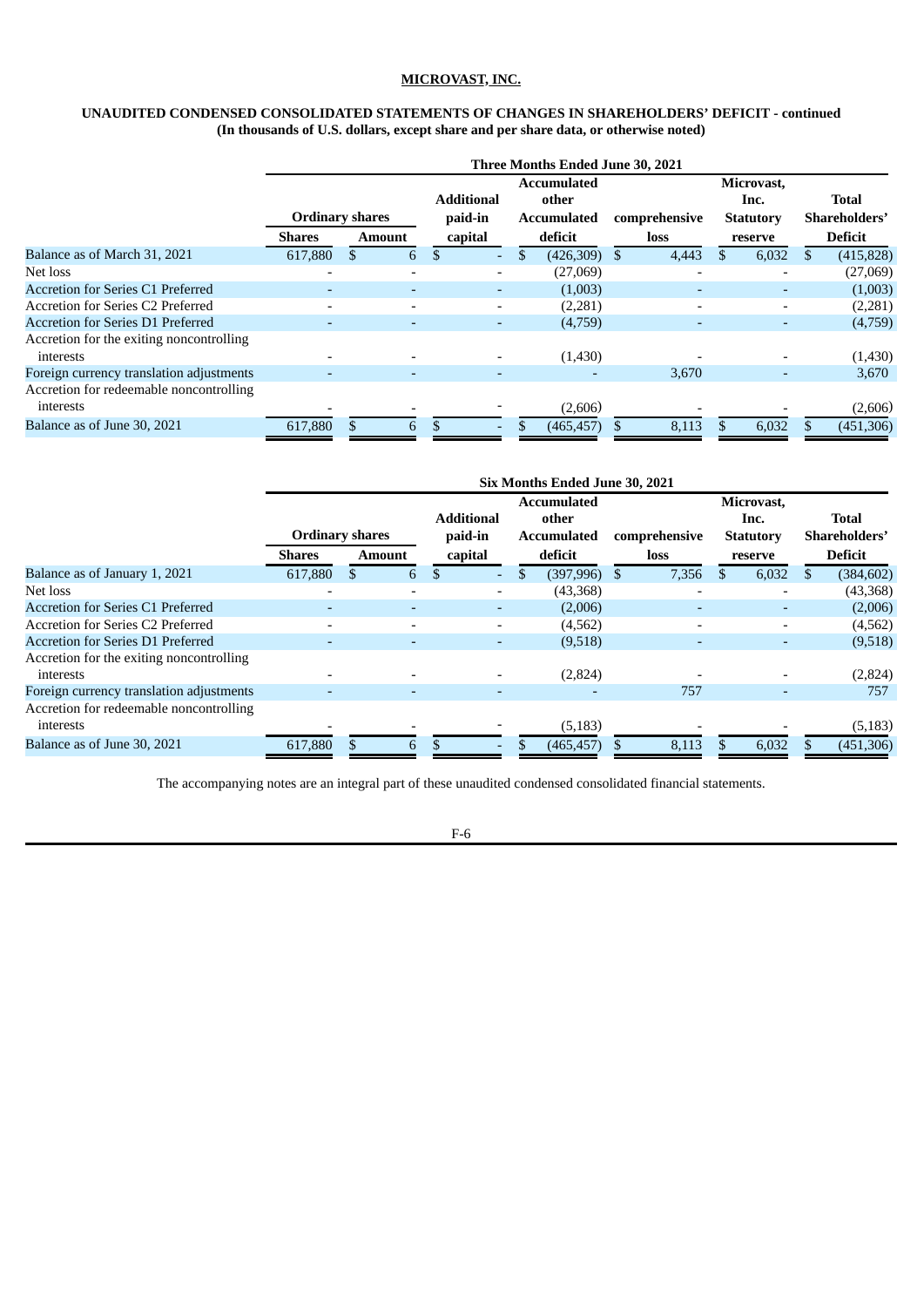# **UNAUDITED CONDENSED CONSOLIDATED STATEMENTS OF CHANGES IN SHAREHOLDERS' DEFICIT - continued (In thousands of U.S. dollars, except share and per share data, or otherwise noted)**

|                                          |                          |  |                          |                              |                                                   | Three Months Ended June 30, 2021 |               |                                        |                          |                  |
|------------------------------------------|--------------------------|--|--------------------------|------------------------------|---------------------------------------------------|----------------------------------|---------------|----------------------------------------|--------------------------|------------------|
|                                          | <b>Ordinary shares</b>   |  |                          | <b>Additional</b><br>paid-in | <b>Accumulated</b><br>other<br><b>Accumulated</b> |                                  | comprehensive | Microvast.<br>Inc.<br><b>Statutory</b> | Total<br>Shareholders'   |                  |
|                                          | <b>Shares</b>            |  | <b>Amount</b>            | capital                      |                                                   | deficit                          |               | loss                                   | reserve                  | <b>Deficit</b>   |
| Balance as of March 31, 2021             | 617,880                  |  | 6                        | \$                           | $\sim$                                            | \$<br>(426,309)                  | \$.           | 4,443                                  | 6,032                    | \$<br>(415, 828) |
| Net loss                                 |                          |  | ٠                        |                              |                                                   | (27,069)                         |               |                                        |                          | (27,069)         |
| Accretion for Series C1 Preferred        | ۰                        |  | ٠                        |                              |                                                   | (1,003)                          |               |                                        | ۰                        | (1,003)          |
| Accretion for Series C2 Preferred        | $\overline{\phantom{0}}$ |  | $\overline{\phantom{0}}$ |                              |                                                   | (2,281)                          |               | $\overline{\phantom{0}}$               | $\overline{\phantom{0}}$ | (2,281)          |
| <b>Accretion for Series D1 Preferred</b> | $\overline{\phantom{0}}$ |  | $\overline{\phantom{0}}$ |                              |                                                   | (4,759)                          |               |                                        | ٠                        | (4,759)          |
| Accretion for the exiting noncontrolling |                          |  |                          |                              |                                                   |                                  |               |                                        |                          |                  |
| interests                                |                          |  |                          |                              |                                                   | (1,430)                          |               |                                        |                          | (1,430)          |
| Foreign currency translation adjustments |                          |  |                          |                              |                                                   |                                  |               | 3,670                                  | ٠                        | 3,670            |
| Accretion for redeemable noncontrolling  |                          |  |                          |                              |                                                   |                                  |               |                                        |                          |                  |
| interests                                |                          |  |                          |                              |                                                   | (2,606)                          |               |                                        |                          | (2,606)          |
| Balance as of June 30, 2021              | 617,880                  |  | 6                        |                              |                                                   | (465, 457)                       |               | 8,113                                  | 6,032                    | (451,306)        |

|                                          |                          |     |                          |                   |                    | Six Months Ended June 30, 2021 |               |                          |    |                |
|------------------------------------------|--------------------------|-----|--------------------------|-------------------|--------------------|--------------------------------|---------------|--------------------------|----|----------------|
|                                          |                          |     |                          |                   | <b>Accumulated</b> | Microvast,                     |               |                          |    |                |
|                                          |                          |     |                          | <b>Additional</b> |                    | other                          |               | Inc.                     |    | Total          |
|                                          | <b>Ordinary shares</b>   |     |                          | paid-in           | <b>Accumulated</b> |                                | comprehensive | <b>Statutory</b>         |    | Shareholders'  |
|                                          | <b>Shares</b>            |     | Amount                   | capital           |                    | deficit                        | loss          | reserve                  |    | <b>Deficit</b> |
| Balance as of January 1, 2021            | 617,880                  | \$. | 6                        | \$                | \$.                | (397,996)                      | 7,356         | 6,032                    | S. | (384, 602)     |
| Net loss                                 |                          |     | $\overline{\phantom{a}}$ |                   |                    | (43,368)                       |               |                          |    | (43,368)       |
| Accretion for Series C1 Preferred        |                          |     | $\overline{\phantom{0}}$ | ۰.                |                    | (2,006)                        |               | ٠                        |    | (2,006)        |
| Accretion for Series C2 Preferred        | $\overline{\phantom{a}}$ |     | $\overline{\phantom{0}}$ |                   |                    | (4,562)                        |               | $\overline{\phantom{a}}$ |    | (4,562)        |
| <b>Accretion for Series D1 Preferred</b> |                          |     |                          |                   |                    | (9,518)                        |               |                          |    | (9,518)        |
| Accretion for the exiting noncontrolling |                          |     |                          |                   |                    |                                |               |                          |    |                |
| interests                                |                          |     |                          |                   |                    | (2,824)                        |               |                          |    | (2,824)        |
| Foreign currency translation adjustments |                          |     | $\overline{\phantom{0}}$ |                   |                    |                                | 757           | ٠                        |    | 757            |
| Accretion for redeemable noncontrolling  |                          |     |                          |                   |                    |                                |               |                          |    |                |
| interests                                |                          |     |                          |                   |                    | (5, 183)                       |               |                          |    | (5, 183)       |
| Balance as of June 30, 2021              | 617,880                  |     | 6                        |                   |                    | (465, 457)                     | 8,113         | \$<br>6,032              |    | (451, 306)     |

The accompanying notes are an integral part of these unaudited condensed consolidated financial statements.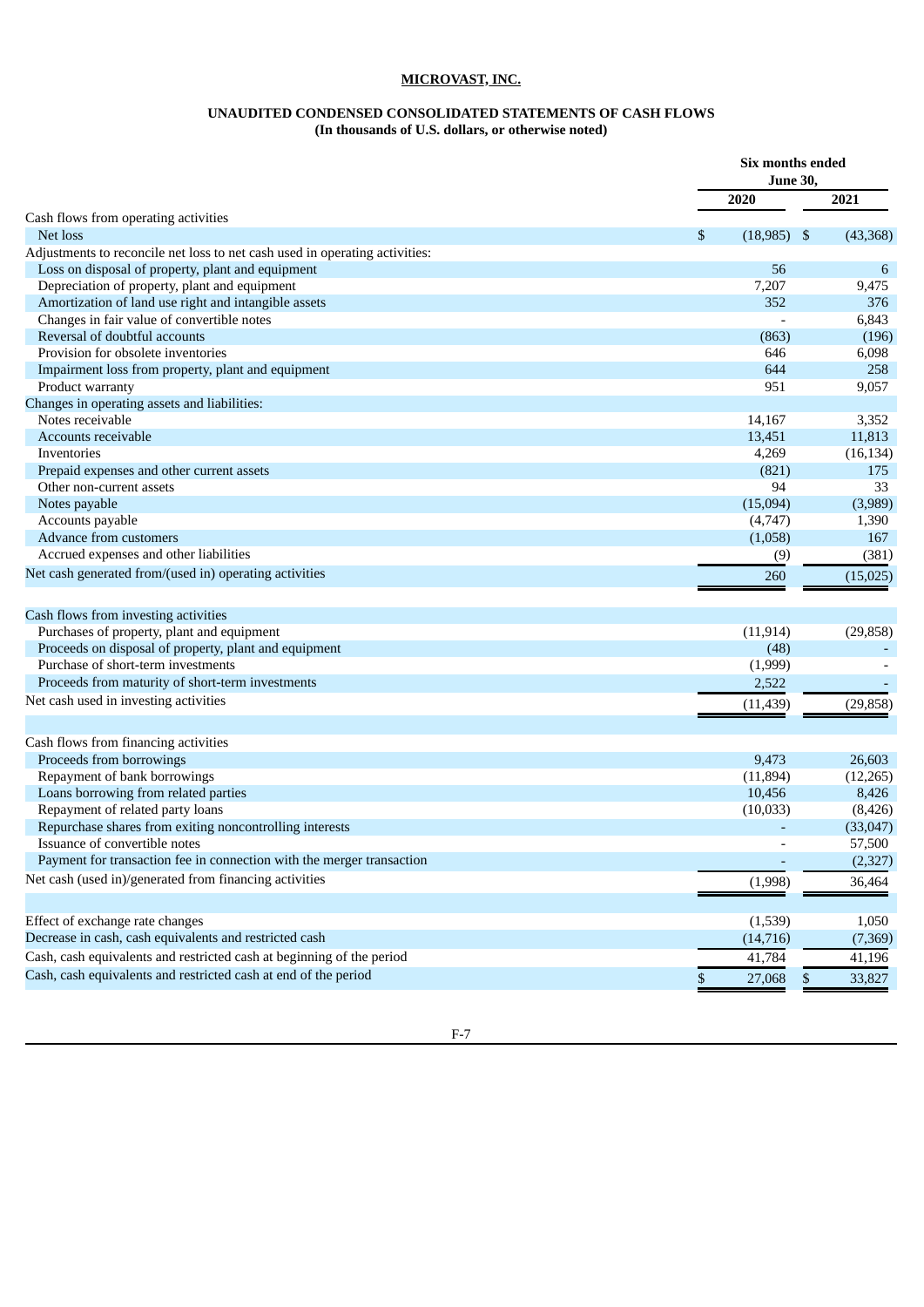# **UNAUDITED CONDENSED CONSOLIDATED STATEMENTS OF CASH FLOWS (In thousands of U.S. dollars, or otherwise noted)**

<span id="page-13-0"></span>

|                                                                             | Six months ended<br><b>June 30,</b> |           |
|-----------------------------------------------------------------------------|-------------------------------------|-----------|
|                                                                             | 2020                                | 2021      |
| Cash flows from operating activities                                        |                                     |           |
| Net loss                                                                    | \$<br>(18, 985)<br>-\$              | (43, 368) |
| Adjustments to reconcile net loss to net cash used in operating activities: |                                     |           |
| Loss on disposal of property, plant and equipment                           | 56                                  | 6         |
| Depreciation of property, plant and equipment                               | 7,207                               | 9,475     |
| Amortization of land use right and intangible assets                        | 352                                 | 376       |
| Changes in fair value of convertible notes                                  |                                     | 6,843     |
| Reversal of doubtful accounts                                               | (863)                               | (196)     |
| Provision for obsolete inventories                                          | 646                                 | 6,098     |
| Impairment loss from property, plant and equipment                          | 644                                 | 258       |
| Product warranty                                                            | 951                                 | 9,057     |
| Changes in operating assets and liabilities:                                |                                     |           |
| Notes receivable                                                            | 14,167                              | 3,352     |
| Accounts receivable                                                         | 13,451                              | 11,813    |
| Inventories                                                                 | 4,269                               | (16, 134) |
| Prepaid expenses and other current assets                                   | (821)                               | 175       |
| Other non-current assets                                                    | 94                                  | 33        |
| Notes payable                                                               | (15,094)                            | (3,989)   |
| Accounts payable                                                            | (4,747)                             | 1,390     |
| Advance from customers                                                      | (1,058)                             | 167       |
| Accrued expenses and other liabilities                                      | (9)                                 | (381)     |
| Net cash generated from/(used in) operating activities                      | 260                                 | (15, 025) |
| Cash flows from investing activities                                        |                                     |           |
| Purchases of property, plant and equipment                                  | (11, 914)                           | (29, 858) |
| Proceeds on disposal of property, plant and equipment                       | (48)                                |           |
| Purchase of short-term investments                                          | (1,999)                             |           |
| Proceeds from maturity of short-term investments                            | 2,522                               |           |
| Net cash used in investing activities                                       | (11, 439)                           | (29, 858) |
|                                                                             |                                     |           |
| Cash flows from financing activities                                        |                                     |           |
| Proceeds from borrowings                                                    | 9,473                               | 26,603    |
| Repayment of bank borrowings                                                | (11, 894)                           | (12, 265) |
| Loans borrowing from related parties                                        | 10,456                              | 8,426     |
| Repayment of related party loans                                            | (10,033)                            | (8, 426)  |
| Repurchase shares from exiting noncontrolling interests                     |                                     | (33, 047) |
| Issuance of convertible notes                                               |                                     | 57,500    |
| Payment for transaction fee in connection with the merger transaction       |                                     | (2,327)   |
| Net cash (used in)/generated from financing activities                      | (1,998)                             | 36,464    |
| Effect of exchange rate changes                                             | (1,539)                             | 1,050     |
| Decrease in cash, cash equivalents and restricted cash                      | (14, 716)                           |           |
|                                                                             |                                     | (7,369)   |
| Cash, cash equivalents and restricted cash at beginning of the period       | 41,784                              | 41,196    |
| Cash, cash equivalents and restricted cash at end of the period             | \$<br>27,068<br>\$                  | 33,827    |

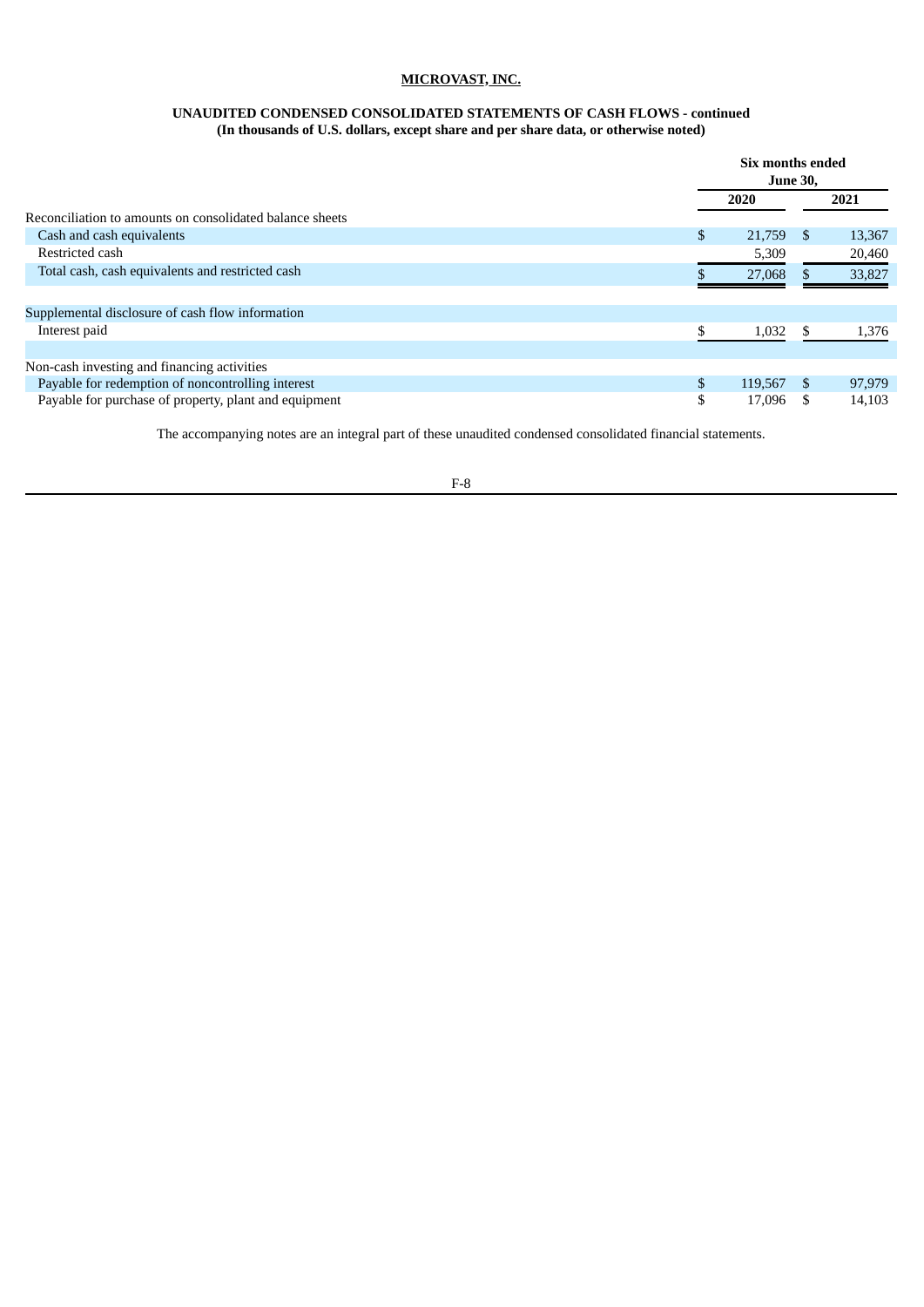### **UNAUDITED CONDENSED CONSOLIDATED STATEMENTS OF CASH FLOWS - continued (In thousands of U.S. dollars, except share and per share data, or otherwise noted)**

|                                                          | Six months ended<br><b>June 30,</b> |     |        |  |  |
|----------------------------------------------------------|-------------------------------------|-----|--------|--|--|
|                                                          | 2020                                |     | 2021   |  |  |
| Reconciliation to amounts on consolidated balance sheets |                                     |     |        |  |  |
| Cash and cash equivalents                                | \$<br>21,759                        | - S | 13,367 |  |  |
| Restricted cash                                          | 5,309                               |     | 20,460 |  |  |
| Total cash, cash equivalents and restricted cash         | 27,068                              |     | 33,827 |  |  |
| Supplemental disclosure of cash flow information         |                                     |     |        |  |  |
| Interest paid                                            | 1,032                               | -S  | 1,376  |  |  |
| Non-cash investing and financing activities              |                                     |     |        |  |  |
| Payable for redemption of noncontrolling interest        | \$<br>119,567                       | -S  | 97,979 |  |  |
| Payable for purchase of property, plant and equipment    | \$<br>17.096                        |     | 14,103 |  |  |

The accompanying notes are an integral part of these unaudited condensed consolidated financial statements.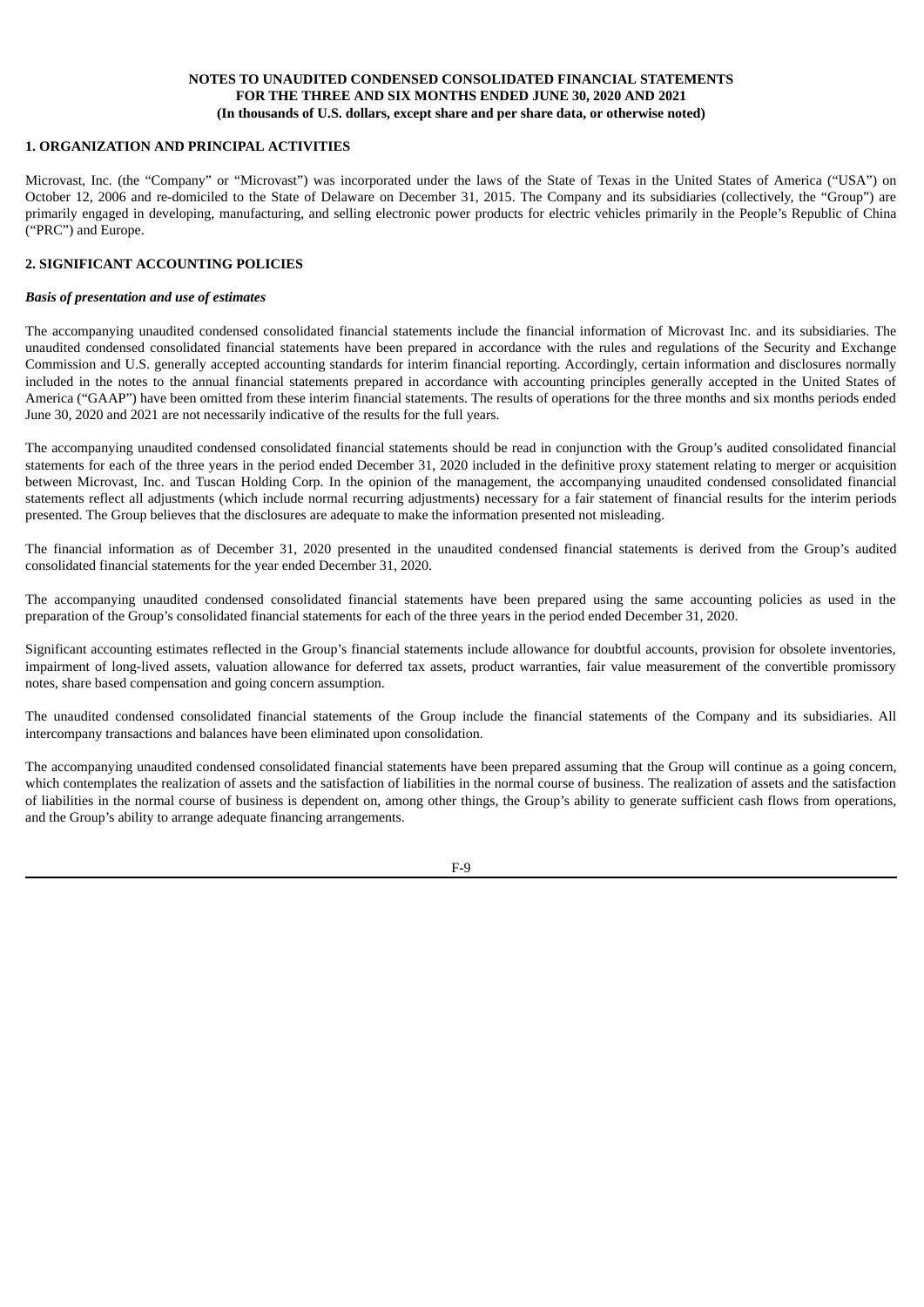#### <span id="page-15-0"></span>**1. ORGANIZATION AND PRINCIPAL ACTIVITIES**

Microvast, Inc. (the "Company" or "Microvast") was incorporated under the laws of the State of Texas in the United States of America ("USA") on October 12, 2006 and re-domiciled to the State of Delaware on December 31, 2015. The Company and its subsidiaries (collectively, the "Group") are primarily engaged in developing, manufacturing, and selling electronic power products for electric vehicles primarily in the People's Republic of China ("PRC") and Europe.

### **2. SIGNIFICANT ACCOUNTING POLICIES**

#### *Basis of presentation and use of estimates*

The accompanying unaudited condensed consolidated financial statements include the financial information of Microvast Inc. and its subsidiaries. The unaudited condensed consolidated financial statements have been prepared in accordance with the rules and regulations of the Security and Exchange Commission and U.S. generally accepted accounting standards for interim financial reporting. Accordingly, certain information and disclosures normally included in the notes to the annual financial statements prepared in accordance with accounting principles generally accepted in the United States of America ("GAAP") have been omitted from these interim financial statements. The results of operations for the three months and six months periods ended June 30, 2020 and 2021 are not necessarily indicative of the results for the full years.

The accompanying unaudited condensed consolidated financial statements should be read in conjunction with the Group's audited consolidated financial statements for each of the three years in the period ended December 31, 2020 included in the definitive proxy statement relating to merger or acquisition between Microvast, Inc. and Tuscan Holding Corp. In the opinion of the management, the accompanying unaudited condensed consolidated financial statements reflect all adjustments (which include normal recurring adjustments) necessary for a fair statement of financial results for the interim periods presented. The Group believes that the disclosures are adequate to make the information presented not misleading.

The financial information as of December 31, 2020 presented in the unaudited condensed financial statements is derived from the Group's audited consolidated financial statements for the year ended December 31, 2020.

The accompanying unaudited condensed consolidated financial statements have been prepared using the same accounting policies as used in the preparation of the Group's consolidated financial statements for each of the three years in the period ended December 31, 2020.

Significant accounting estimates reflected in the Group's financial statements include allowance for doubtful accounts, provision for obsolete inventories, impairment of long-lived assets, valuation allowance for deferred tax assets, product warranties, fair value measurement of the convertible promissory notes, share based compensation and going concern assumption.

The unaudited condensed consolidated financial statements of the Group include the financial statements of the Company and its subsidiaries. All intercompany transactions and balances have been eliminated upon consolidation.

The accompanying unaudited condensed consolidated financial statements have been prepared assuming that the Group will continue as a going concern, which contemplates the realization of assets and the satisfaction of liabilities in the normal course of business. The realization of assets and the satisfaction of liabilities in the normal course of business is dependent on, among other things, the Group's ability to generate sufficient cash flows from operations, and the Group's ability to arrange adequate financing arrangements.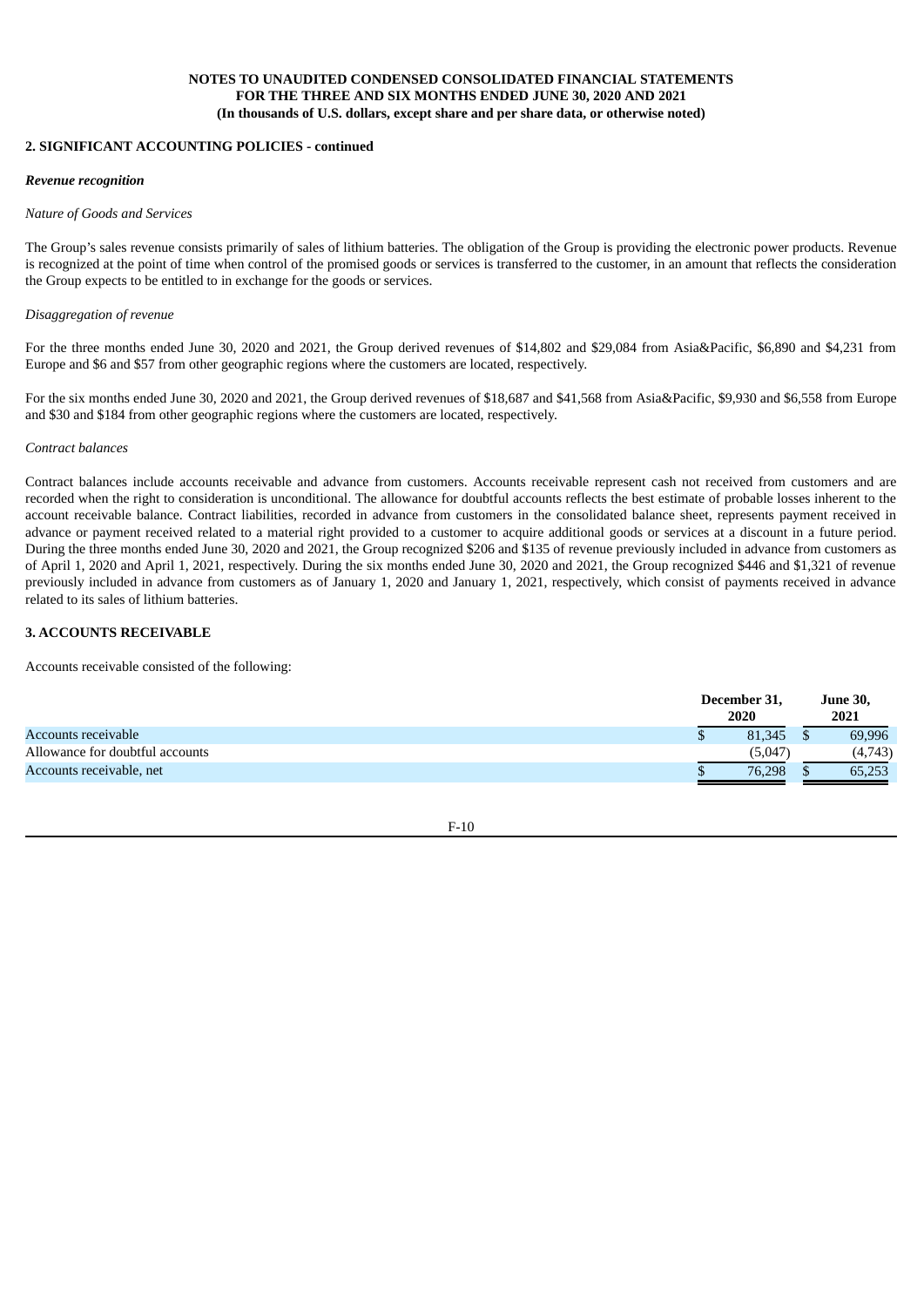#### **2. SIGNIFICANT ACCOUNTING POLICIES - continued**

#### *Revenue recognition*

#### *Nature of Goods and Services*

The Group's sales revenue consists primarily of sales of lithium batteries. The obligation of the Group is providing the electronic power products. Revenue is recognized at the point of time when control of the promised goods or services is transferred to the customer, in an amount that reflects the consideration the Group expects to be entitled to in exchange for the goods or services.

#### *Disaggregation of revenue*

For the three months ended June 30, 2020 and 2021, the Group derived revenues of \$14,802 and \$29,084 from Asia&Pacific, \$6,890 and \$4,231 from Europe and \$6 and \$57 from other geographic regions where the customers are located, respectively.

For the six months ended June 30, 2020 and 2021, the Group derived revenues of \$18,687 and \$41,568 from Asia&Pacific, \$9,930 and \$6,558 from Europe and \$30 and \$184 from other geographic regions where the customers are located, respectively.

#### *Contract balances*

Contract balances include accounts receivable and advance from customers. Accounts receivable represent cash not received from customers and are recorded when the right to consideration is unconditional. The allowance for doubtful accounts reflects the best estimate of probable losses inherent to the account receivable balance. Contract liabilities, recorded in advance from customers in the consolidated balance sheet, represents payment received in advance or payment received related to a material right provided to a customer to acquire additional goods or services at a discount in a future period. During the three months ended June 30, 2020 and 2021, the Group recognized \$206 and \$135 of revenue previously included in advance from customers as of April 1, 2020 and April 1, 2021, respectively. During the six months ended June 30, 2020 and 2021, the Group recognized \$446 and \$1,321 of revenue previously included in advance from customers as of January 1, 2020 and January 1, 2021, respectively, which consist of payments received in advance related to its sales of lithium batteries.

### **3. ACCOUNTS RECEIVABLE**

Accounts receivable consisted of the following:

|                                 | December 31, | <b>June 30,</b> |
|---------------------------------|--------------|-----------------|
|                                 | 2020         | 2021            |
| Accounts receivable             | 81,345       | 69,996          |
| Allowance for doubtful accounts | (5,047)      | (4,743)         |
| Accounts receivable, net        | 76,298       | 65,253          |

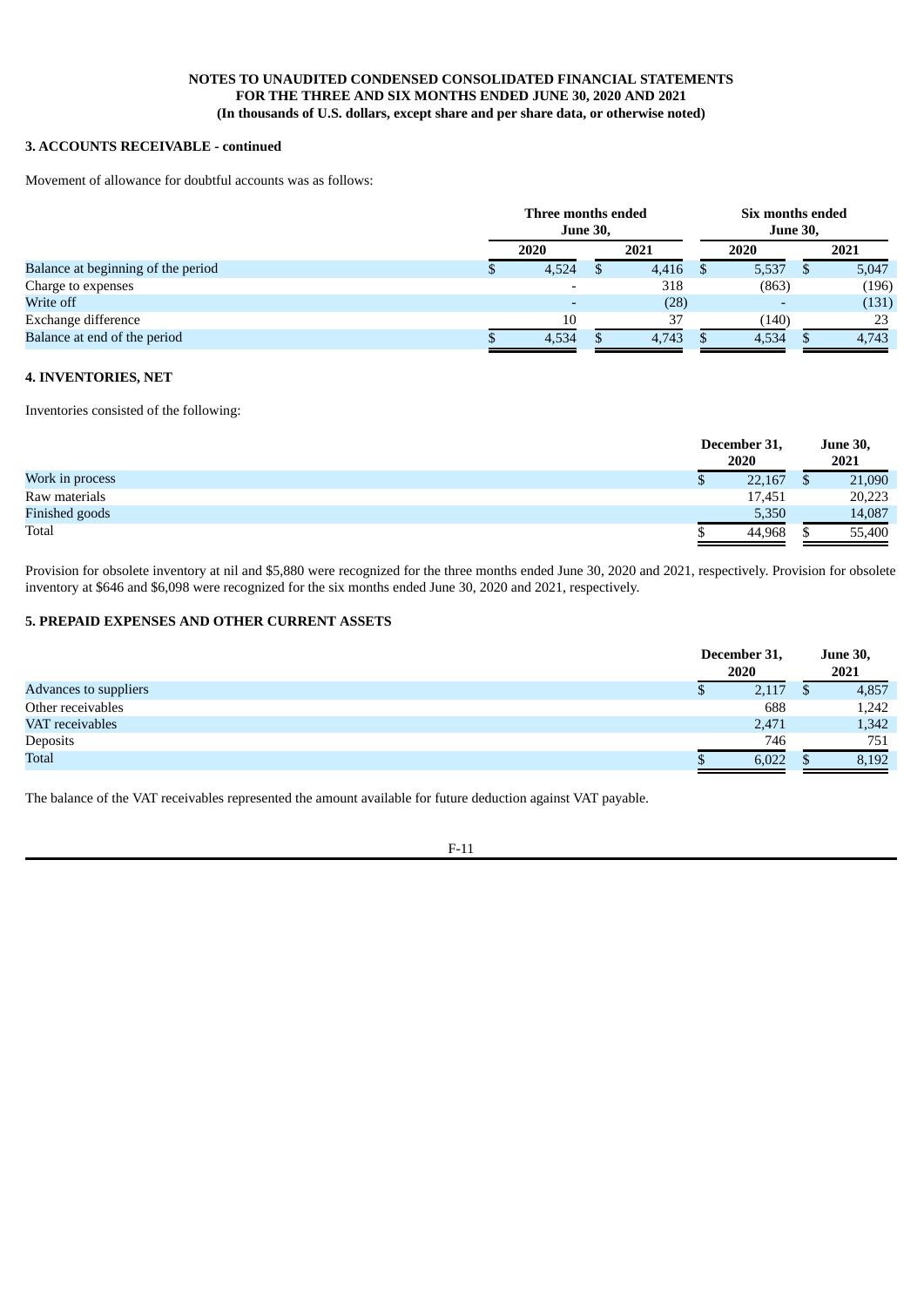# **3. ACCOUNTS RECEIVABLE - continued**

Movement of allowance for doubtful accounts was as follows:

|                                    | Three months ended<br><b>June 30,</b> |  |       | Six months ended<br><b>June 30,</b> |       |  |       |
|------------------------------------|---------------------------------------|--|-------|-------------------------------------|-------|--|-------|
|                                    | 2020                                  |  | 2021  |                                     | 2020  |  | 2021  |
| Balance at beginning of the period | 4,524                                 |  | 4,416 | <sup>8</sup>                        | 5,537 |  | 5,047 |
| Charge to expenses                 |                                       |  | 318   |                                     | (863) |  | (196) |
| Write off                          |                                       |  | (28)  |                                     |       |  | (131) |
| Exchange difference                | 10                                    |  | 37    |                                     | (140) |  | 23    |
| Balance at end of the period       | 4,534                                 |  | 4,743 |                                     | 4,534 |  | 4,743 |

#### **4. INVENTORIES, NET**

Inventories consisted of the following:

|                 |   | December 31,<br>2020 | <b>June 30,</b><br>2021 |
|-----------------|---|----------------------|-------------------------|
| Work in process | D | 22,167               | 21,090                  |
| Raw materials   |   | 17,451               | 20,223                  |
| Finished goods  |   | 5,350                | 14,087                  |
| Total           |   | 44,968               | 55,400                  |

Provision for obsolete inventory at nil and \$5,880 were recognized for the three months ended June 30, 2020 and 2021, respectively. Provision for obsolete inventory at \$646 and \$6,098 were recognized for the six months ended June 30, 2020 and 2021, respectively.

### **5. PREPAID EXPENSES AND OTHER CURRENT ASSETS**

|                       | December 31,<br>2020 | <b>June 30,</b><br>2021 |       |  |
|-----------------------|----------------------|-------------------------|-------|--|
| Advances to suppliers | 2,117                |                         | 4,857 |  |
| Other receivables     | 688                  |                         | 1,242 |  |
| VAT receivables       | 2,471                |                         | 1,342 |  |
| Deposits              | 746                  |                         | 751   |  |
| <b>Total</b>          | 6,022                |                         | 8,192 |  |

The balance of the VAT receivables represented the amount available for future deduction against VAT payable.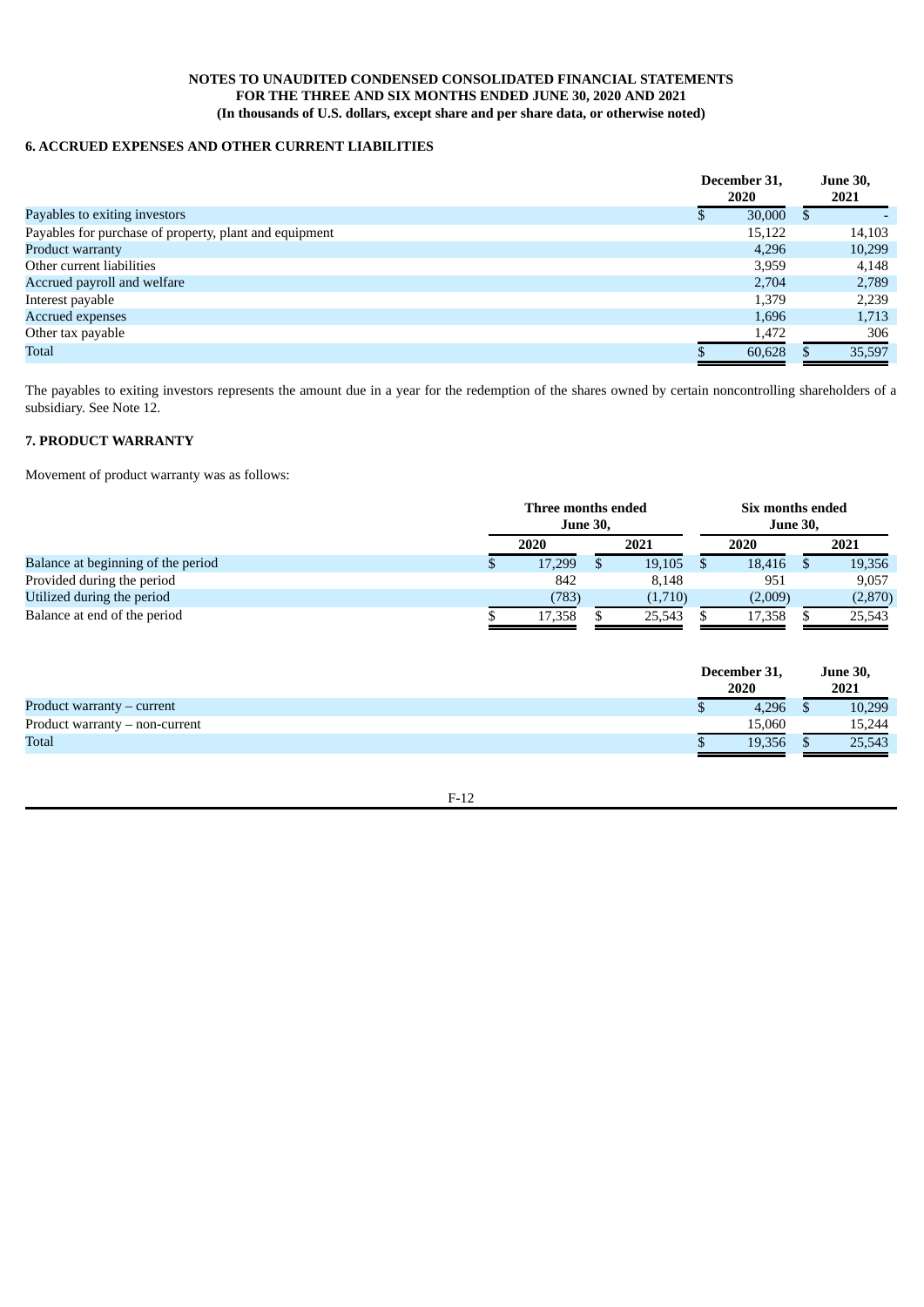# **6. ACCRUED EXPENSES AND OTHER CURRENT LIABILITIES**

|                                                        | December 31,<br>2020 |        | <b>June 30,</b><br>2021 |
|--------------------------------------------------------|----------------------|--------|-------------------------|
| Payables to exiting investors                          |                      | 30,000 | \$                      |
| Payables for purchase of property, plant and equipment |                      | 15,122 | 14,103                  |
| <b>Product warranty</b>                                |                      | 4.296  | 10,299                  |
| Other current liabilities                              |                      | 3,959  | 4,148                   |
| Accrued payroll and welfare                            |                      | 2,704  | 2,789                   |
| Interest payable                                       |                      | 1.379  | 2,239                   |
| <b>Accrued expenses</b>                                |                      | 1.696  | 1,713                   |
| Other tax payable                                      |                      | 1,472  | 306                     |
| Total                                                  |                      | 60,628 | 35,597                  |

The payables to exiting investors represents the amount due in a year for the redemption of the shares owned by certain noncontrolling shareholders of a subsidiary. See Note 12.

### **7. PRODUCT WARRANTY**

Movement of product warranty was as follows:

|                                    | Three months ended<br><b>June 30,</b> |  |         | Six months ended<br><b>June 30,</b> |         |  |         |  |
|------------------------------------|---------------------------------------|--|---------|-------------------------------------|---------|--|---------|--|
|                                    | 2020                                  |  | 2021    |                                     | 2020    |  | 2021    |  |
| Balance at beginning of the period | 17,299                                |  | 19,105  |                                     | 18,416  |  | 19,356  |  |
| Provided during the period         | 842                                   |  | 8.148   |                                     | 951     |  | 9,057   |  |
| Utilized during the period         | (783)                                 |  | (1,710) |                                     | (2,009) |  | (2,870) |  |
| Balance at end of the period       | 17,358                                |  | 25,543  |                                     | 17,358  |  | 25,543  |  |

|                                  | December 31,<br>2020 | <b>June 30,</b><br>2021 |
|----------------------------------|----------------------|-------------------------|
| Product warranty – current       | 4.296                | 10,299                  |
| Product warranty $-$ non-current | 15.060               | 15,244                  |
| Total                            | 19.356               | 25,543                  |

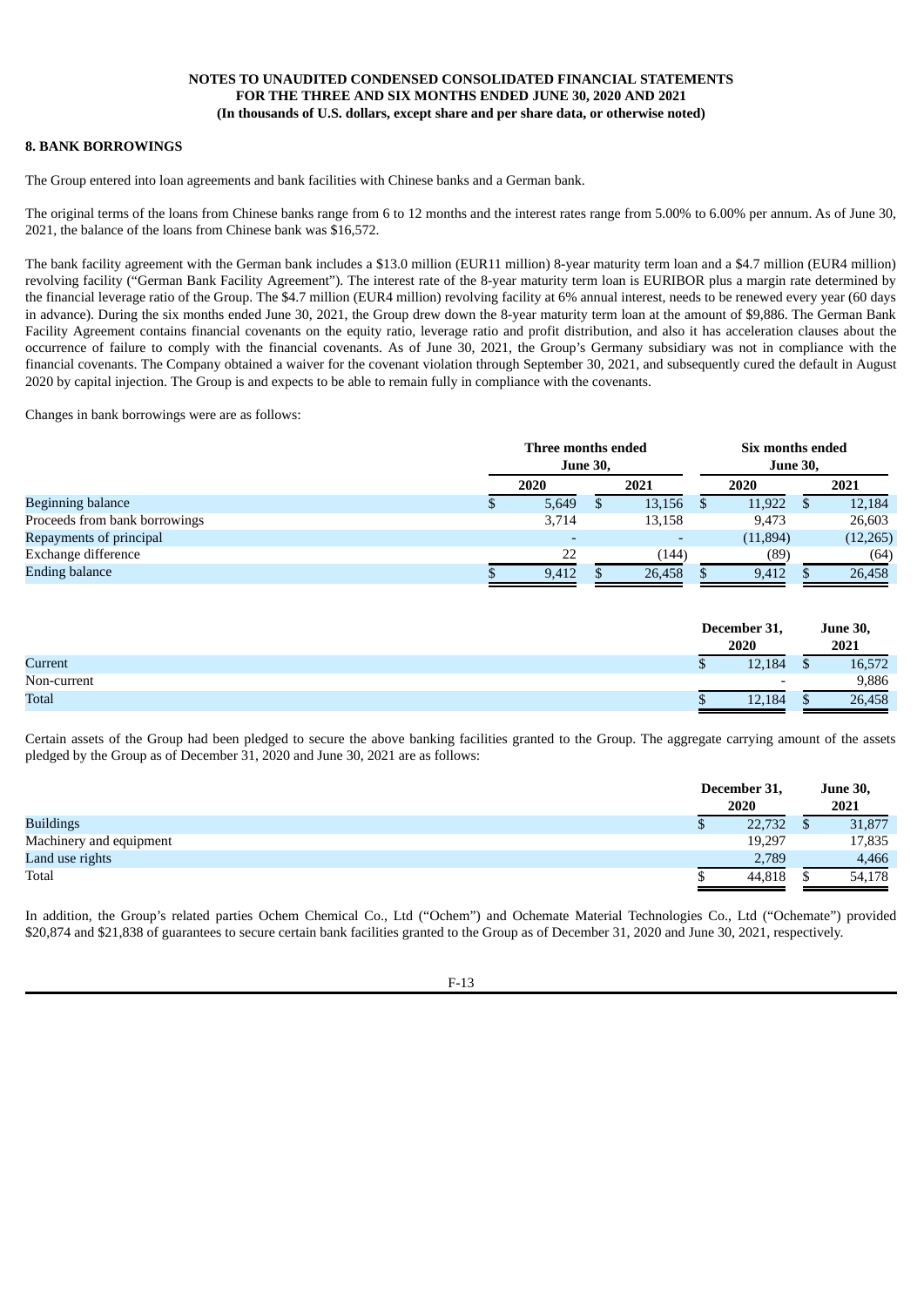### **8. BANK BORROWINGS**

The Group entered into loan agreements and bank facilities with Chinese banks and a German bank.

The original terms of the loans from Chinese banks range from 6 to 12 months and the interest rates range from 5.00% to 6.00% per annum. As of June 30, 2021, the balance of the loans from Chinese bank was \$16,572.

The bank facility agreement with the German bank includes a \$13.0 million (EUR11 million) 8-year maturity term loan and a \$4.7 million (EUR4 million) revolving facility ("German Bank Facility Agreement"). The interest rate of the 8-year maturity term loan is EURIBOR plus a margin rate determined by the financial leverage ratio of the Group. The \$4.7 million (EUR4 million) revolving facility at 6% annual interest, needs to be renewed every year (60 days in advance). During the six months ended June 30, 2021, the Group drew down the 8-year maturity term loan at the amount of \$9,886. The German Bank Facility Agreement contains financial covenants on the equity ratio, leverage ratio and profit distribution, and also it has acceleration clauses about the occurrence of failure to comply with the financial covenants. As of June 30, 2021, the Group's Germany subsidiary was not in compliance with the financial covenants. The Company obtained a waiver for the covenant violation through September 30, 2021, and subsequently cured the default in August 2020 by capital injection. The Group is and expects to be able to remain fully in compliance with the covenants.

Changes in bank borrowings were are as follows:

|                               | Three months ended<br><b>June 30,</b> |  |                          | Six months ended<br><b>June 30,</b> |           |  |           |  |
|-------------------------------|---------------------------------------|--|--------------------------|-------------------------------------|-----------|--|-----------|--|
|                               | 2020                                  |  | 2021                     |                                     | 2020      |  | 2021      |  |
| Beginning balance             | 5,649                                 |  | 13,156                   |                                     | 11,922    |  | 12,184    |  |
| Proceeds from bank borrowings | 3,714                                 |  | 13,158                   |                                     | 9.473     |  | 26,603    |  |
| Repayments of principal       |                                       |  | $\overline{\phantom{0}}$ |                                     | (11, 894) |  | (12, 265) |  |
| Exchange difference           | 22                                    |  | (144)                    |                                     | (89)      |  | (64)      |  |
| <b>Ending balance</b>         | 9,412                                 |  | 26,458                   |                                     | 9,412     |  | 26,458    |  |

|              |   | December 31,<br>2020     | <b>June 30,</b><br>2021 |        |
|--------------|---|--------------------------|-------------------------|--------|
| Current      | Ψ | 12,184                   |                         | 16,572 |
| Non-current  |   | $\overline{\phantom{0}}$ |                         | 9,886  |
| <b>Total</b> |   | 12,184                   |                         | 26,458 |

Certain assets of the Group had been pledged to secure the above banking facilities granted to the Group. The aggregate carrying amount of the assets pledged by the Group as of December 31, 2020 and June 30, 2021 are as follows:

|                         |   | December 31,<br>2020 | <b>June 30,</b><br>2021 |        |  |
|-------------------------|---|----------------------|-------------------------|--------|--|
| <b>Buildings</b>        | Φ | 22,732               |                         | 31,877 |  |
| Machinery and equipment |   | 19,297               |                         | 17,835 |  |
| Land use rights         |   | 2,789                |                         | 4,466  |  |
| Total                   |   | 44.818               |                         | 54,178 |  |

In addition, the Group's related parties Ochem Chemical Co., Ltd ("Ochem") and Ochemate Material Technologies Co., Ltd ("Ochemate") provided \$20,874 and \$21,838 of guarantees to secure certain bank facilities granted to the Group as of December 31, 2020 and June 30, 2021, respectively.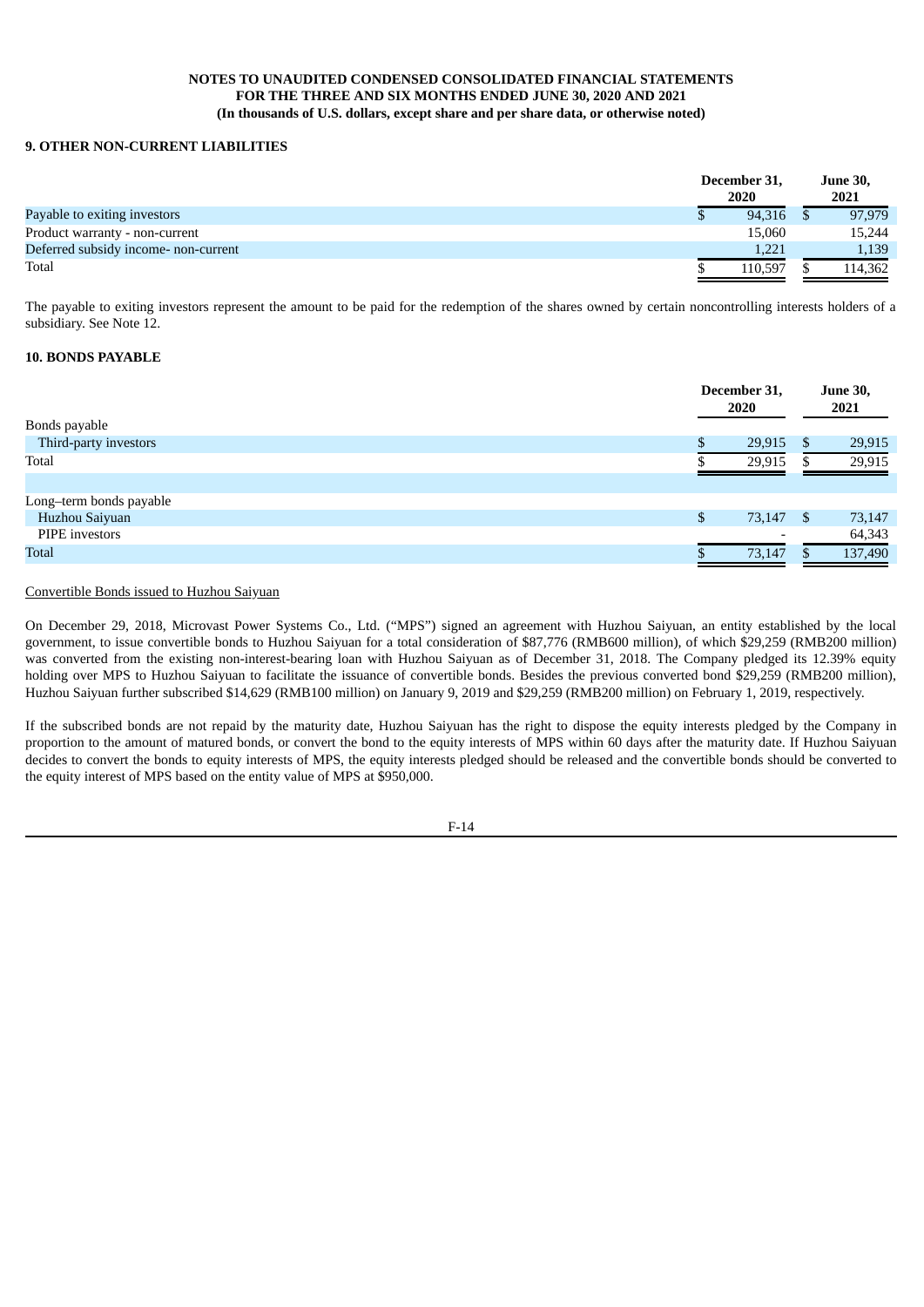### **9. OTHER NON-CURRENT LIABILITIES**

|                                      | December 31,<br>2020 | <b>June 30,</b><br>2021 |
|--------------------------------------|----------------------|-------------------------|
| Payable to exiting investors         | 94.316               | 97,979                  |
| Product warranty - non-current       | 15,060               | 15,244                  |
| Deferred subsidy income- non-current | 1.221                | 1,139                   |
| Total                                | 110.597              | 114.362                 |

The payable to exiting investors represent the amount to be paid for the redemption of the shares owned by certain noncontrolling interests holders of a subsidiary. See Note 12.

#### **10. BONDS PAYABLE**

|                         | December 31,<br>2020     | <b>June 30,</b><br>2021 |         |
|-------------------------|--------------------------|-------------------------|---------|
| Bonds payable           |                          |                         |         |
| Third-party investors   | 29,915                   | \$                      | 29,915  |
| Total                   | 29,915                   |                         | 29,915  |
|                         |                          |                         |         |
| Long-term bonds payable |                          |                         |         |
| Huzhou Saiyuan          | \$<br>73,147 \$          |                         | 73,147  |
| PIPE investors          | $\overline{\phantom{0}}$ |                         | 64,343  |
| Total                   | 73,147                   |                         | 137,490 |
|                         |                          |                         |         |

### Convertible Bonds issued to Huzhou Saiyuan

On December 29, 2018, Microvast Power Systems Co., Ltd. ("MPS") signed an agreement with Huzhou Saiyuan, an entity established by the local government, to issue convertible bonds to Huzhou Saiyuan for a total consideration of \$87,776 (RMB600 million), of which \$29,259 (RMB200 million) was converted from the existing non-interest-bearing loan with Huzhou Saiyuan as of December 31, 2018. The Company pledged its 12.39% equity holding over MPS to Huzhou Saiyuan to facilitate the issuance of convertible bonds. Besides the previous converted bond \$29,259 (RMB200 million), Huzhou Saiyuan further subscribed \$14,629 (RMB100 million) on January 9, 2019 and \$29,259 (RMB200 million) on February 1, 2019, respectively.

If the subscribed bonds are not repaid by the maturity date, Huzhou Saiyuan has the right to dispose the equity interests pledged by the Company in proportion to the amount of matured bonds, or convert the bond to the equity interests of MPS within 60 days after the maturity date. If Huzhou Saiyuan decides to convert the bonds to equity interests of MPS, the equity interests pledged should be released and the convertible bonds should be converted to the equity interest of MPS based on the entity value of MPS at \$950,000.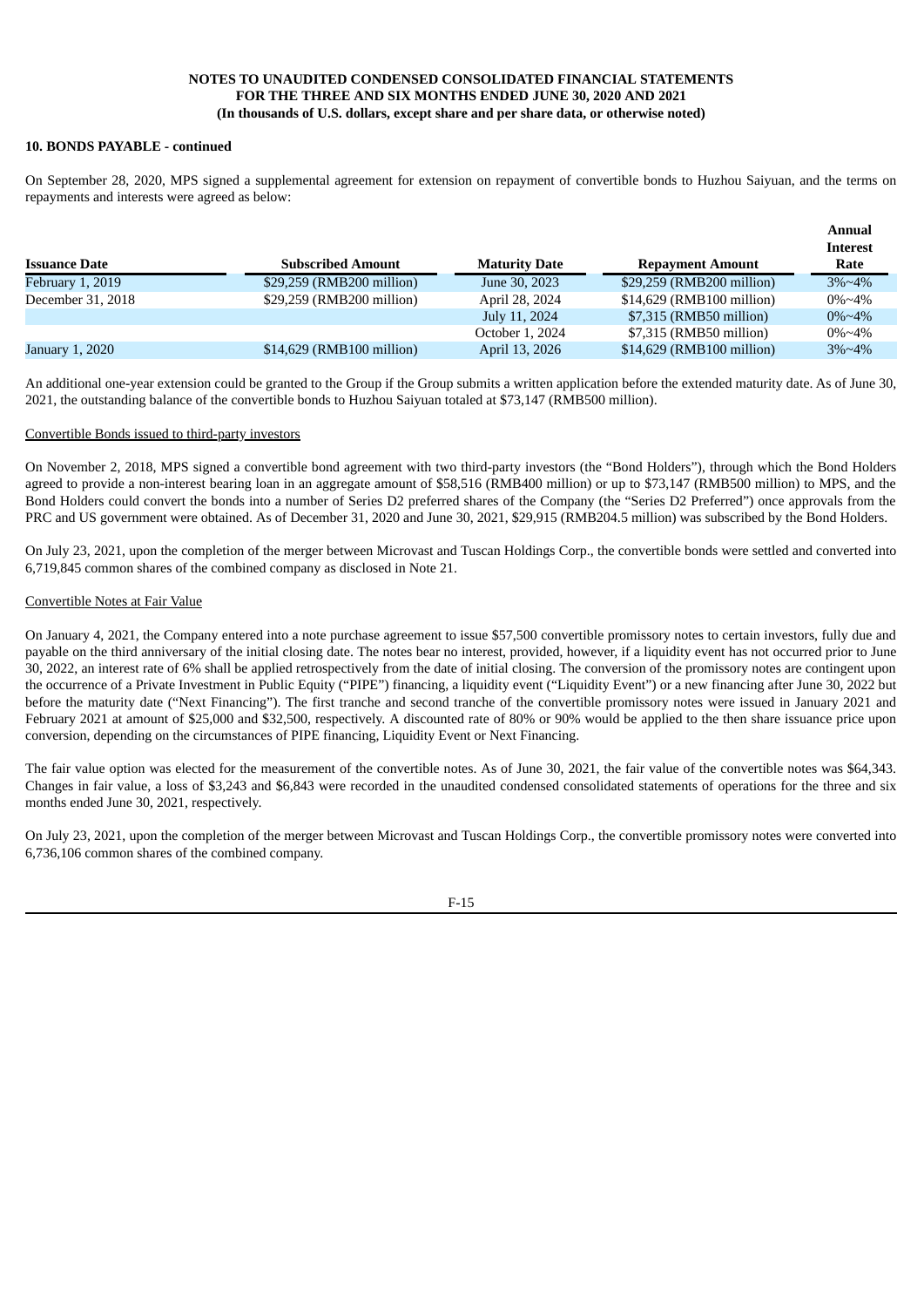#### **10. BONDS PAYABLE - continued**

On September 28, 2020, MPS signed a supplemental agreement for extension on repayment of convertible bonds to Huzhou Saiyuan, and the terms on repayments and interests were agreed as below:

|                      |                           |                      |                           | Annual<br><b>Interest</b> |
|----------------------|---------------------------|----------------------|---------------------------|---------------------------|
| <b>Issuance Date</b> | <b>Subscribed Amount</b>  | <b>Maturity Date</b> | <b>Repayment Amount</b>   | Rate                      |
| February 1, 2019     | \$29,259 (RMB200 million) | June 30, 2023        | \$29,259 (RMB200 million) | $3\% \sim 4\%$            |
| December 31, 2018    | \$29,259 (RMB200 million) | April 28, 2024       | \$14,629 (RMB100 million) | $0\% \sim 4\%$            |
|                      |                           | July 11, 2024        | \$7,315 (RMB50 million)   | $0\% \sim 4\%$            |
|                      |                           | October 1, 2024      | \$7,315 (RMB50 million)   | $0\% \sim 4\%$            |
| January 1, 2020      | \$14,629 (RMB100 million) | April 13, 2026       | \$14,629 (RMB100 million) | $3\% \sim 4\%$            |

An additional one-year extension could be granted to the Group if the Group submits a written application before the extended maturity date. As of June 30, 2021, the outstanding balance of the convertible bonds to Huzhou Saiyuan totaled at \$73,147 (RMB500 million).

#### Convertible Bonds issued to third-party investors

On November 2, 2018, MPS signed a convertible bond agreement with two third-party investors (the "Bond Holders"), through which the Bond Holders agreed to provide a non-interest bearing loan in an aggregate amount of \$58,516 (RMB400 million) or up to \$73,147 (RMB500 million) to MPS, and the Bond Holders could convert the bonds into a number of Series D2 preferred shares of the Company (the "Series D2 Preferred") once approvals from the PRC and US government were obtained. As of December 31, 2020 and June 30, 2021, \$29,915 (RMB204.5 million) was subscribed by the Bond Holders.

On July 23, 2021, upon the completion of the merger between Microvast and Tuscan Holdings Corp., the convertible bonds were settled and converted into 6,719,845 common shares of the combined company as disclosed in Note 21.

#### Convertible Notes at Fair Value

On January 4, 2021, the Company entered into a note purchase agreement to issue \$57,500 convertible promissory notes to certain investors, fully due and payable on the third anniversary of the initial closing date. The notes bear no interest, provided, however, if a liquidity event has not occurred prior to June 30, 2022, an interest rate of 6% shall be applied retrospectively from the date of initial closing. The conversion of the promissory notes are contingent upon the occurrence of a Private Investment in Public Equity ("PIPE") financing, a liquidity event ("Liquidity Event") or a new financing after June 30, 2022 but before the maturity date ("Next Financing"). The first tranche and second tranche of the convertible promissory notes were issued in January 2021 and February 2021 at amount of \$25,000 and \$32,500, respectively. A discounted rate of 80% or 90% would be applied to the then share issuance price upon conversion, depending on the circumstances of PIPE financing, Liquidity Event or Next Financing.

The fair value option was elected for the measurement of the convertible notes. As of June 30, 2021, the fair value of the convertible notes was \$64,343. Changes in fair value, a loss of \$3,243 and \$6,843 were recorded in the unaudited condensed consolidated statements of operations for the three and six months ended June 30, 2021, respectively.

On July 23, 2021, upon the completion of the merger between Microvast and Tuscan Holdings Corp., the convertible promissory notes were converted into 6,736,106 common shares of the combined company.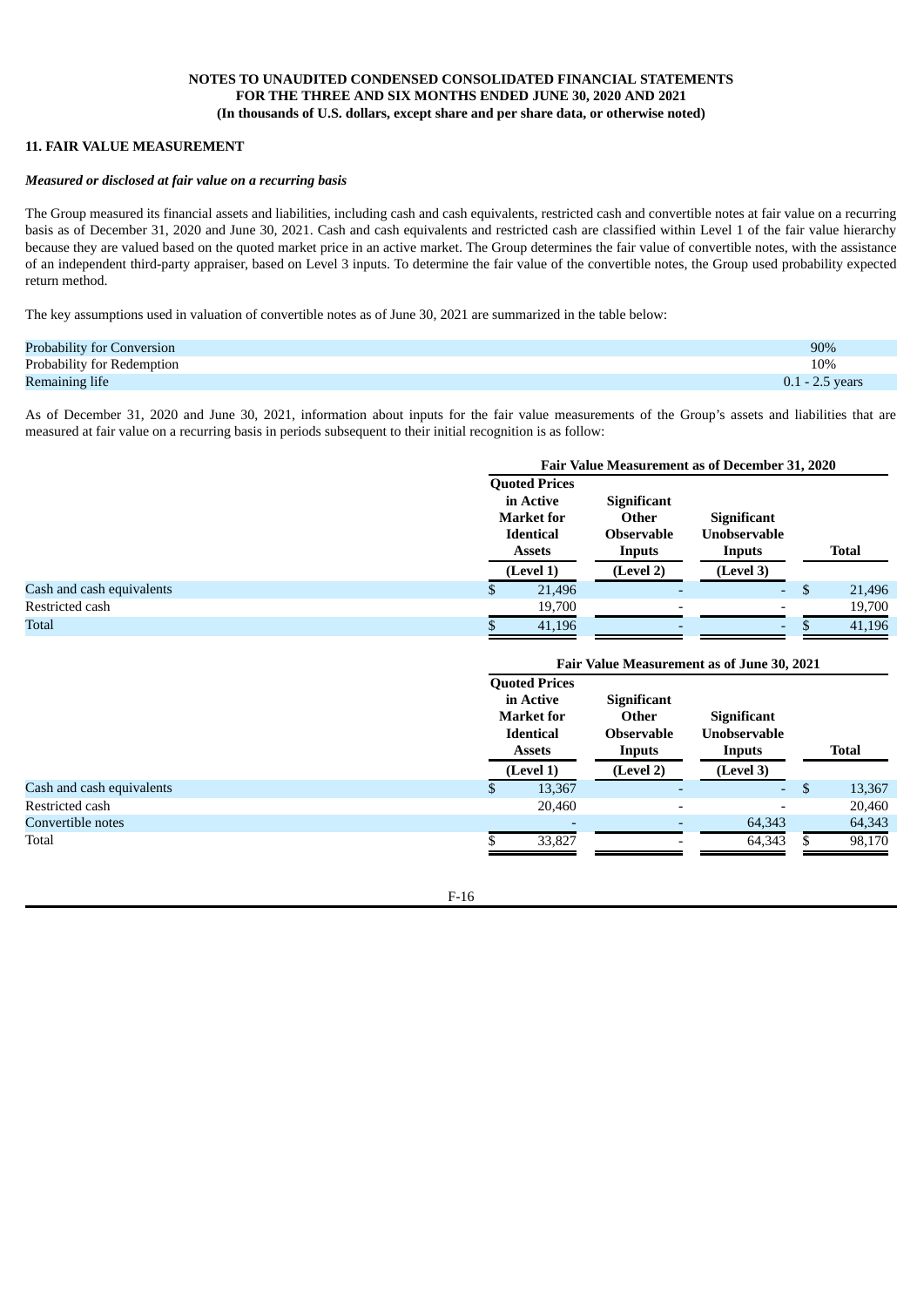### **11. FAIR VALUE MEASUREMENT**

#### *Measured or disclosed at fair value on a recurring basis*

The Group measured its financial assets and liabilities, including cash and cash equivalents, restricted cash and convertible notes at fair value on a recurring basis as of December 31, 2020 and June 30, 2021. Cash and cash equivalents and restricted cash are classified within Level 1 of the fair value hierarchy because they are valued based on the quoted market price in an active market. The Group determines the fair value of convertible notes, with the assistance of an independent third-party appraiser, based on Level 3 inputs. To determine the fair value of the convertible notes, the Group used probability expected return method.

The key assumptions used in valuation of convertible notes as of June 30, 2021 are summarized in the table below:

| Probability for Conversion | 90%               |
|----------------------------|-------------------|
| Probability for Redemption | 10%               |
| Remaining life             | $0.1 - 2.5$ years |

As of December 31, 2020 and June 30, 2021, information about inputs for the fair value measurements of the Group's assets and liabilities that are measured at fair value on a recurring basis in periods subsequent to their initial recognition is as follow:

|                           | <b>Fair Value Measurement as of December 31, 2020</b>                                                    |        |                                                                         |                                                                  |  |              |  |
|---------------------------|----------------------------------------------------------------------------------------------------------|--------|-------------------------------------------------------------------------|------------------------------------------------------------------|--|--------------|--|
|                           | <b>Quoted Prices</b><br>in Active<br><b>Market for</b><br><b>Identical</b><br><b>Assets</b><br>(Level 1) |        | <b>Significant</b><br>Other<br><b>Observable</b><br>Inputs<br>(Level 2) | <b>Significant</b><br><b>Unobservable</b><br>Inputs<br>(Level 3) |  | <b>Total</b> |  |
| Cash and cash equivalents |                                                                                                          | 21,496 |                                                                         | ٠                                                                |  | 21,496       |  |
| Restricted cash           |                                                                                                          | 19,700 |                                                                         | $\overline{\phantom{0}}$                                         |  | 19,700       |  |
| <b>Total</b>              |                                                                                                          | 41,196 |                                                                         | ۰                                                                |  | 41,196       |  |

|                           | Fair Value Measurement as of June 30, 2021 |                                                                                                          |                                                                         |                                                                  |     |              |  |
|---------------------------|--------------------------------------------|----------------------------------------------------------------------------------------------------------|-------------------------------------------------------------------------|------------------------------------------------------------------|-----|--------------|--|
|                           |                                            | <b>Quoted Prices</b><br>in Active<br><b>Market for</b><br><b>Identical</b><br><b>Assets</b><br>(Level 1) | <b>Significant</b><br>Other<br><b>Observable</b><br>Inputs<br>(Level 2) | <b>Significant</b><br><b>Unobservable</b><br>Inputs<br>(Level 3) |     | <b>Total</b> |  |
| Cash and cash equivalents | \$                                         | 13,367                                                                                                   |                                                                         | ٠                                                                | \$. | 13,367       |  |
| Restricted cash           |                                            | 20,460                                                                                                   | $\overline{\phantom{a}}$                                                | ٠                                                                |     | 20,460       |  |
| Convertible notes         |                                            |                                                                                                          |                                                                         | 64,343                                                           |     | 64,343       |  |
| Total                     |                                            | 33,827                                                                                                   |                                                                         | 64,343                                                           |     | 98,170       |  |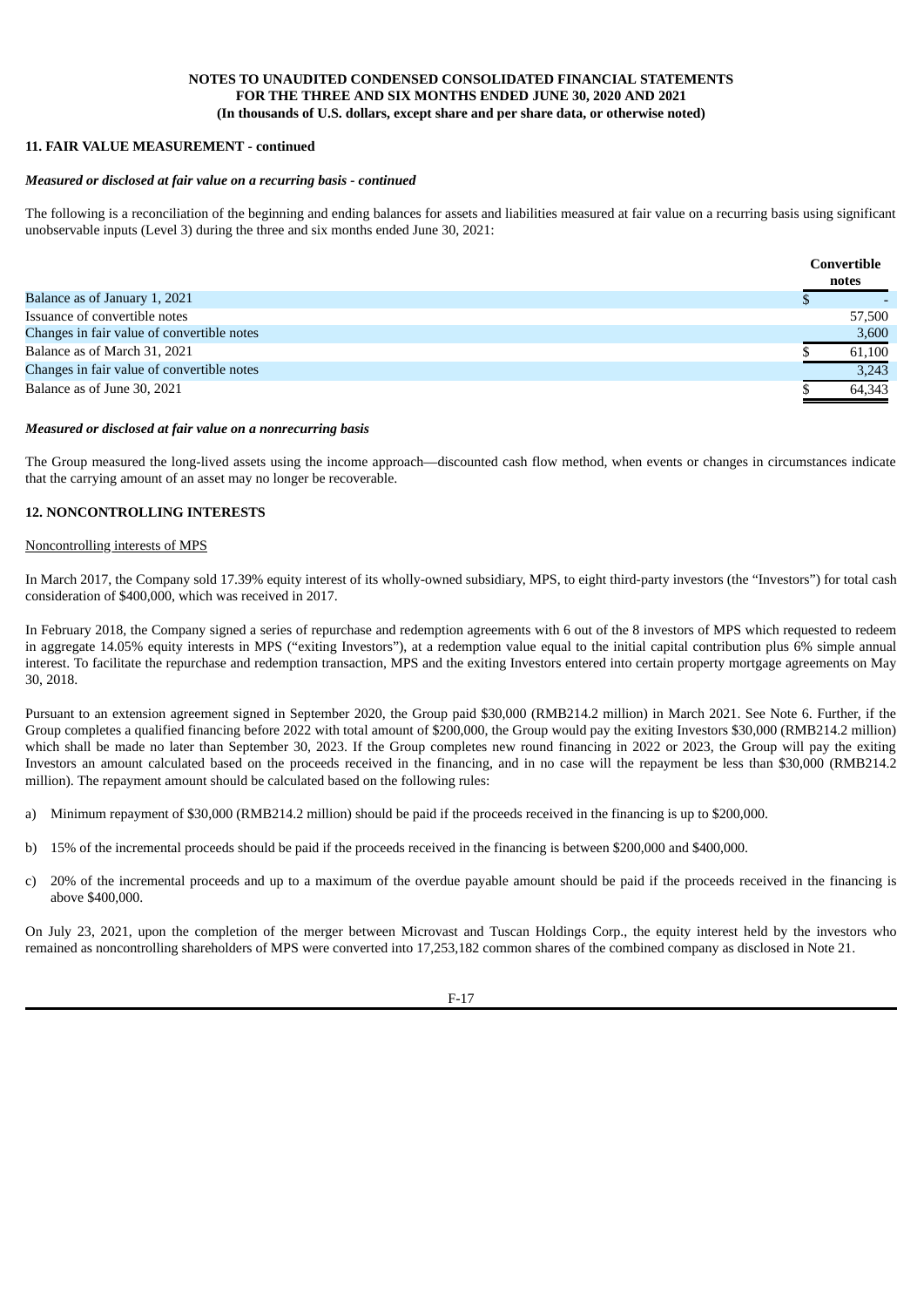#### **11. FAIR VALUE MEASUREMENT - continued**

#### *Measured or disclosed at fair value on a recurring basis - continued*

The following is a reconciliation of the beginning and ending balances for assets and liabilities measured at fair value on a recurring basis using significant unobservable inputs (Level 3) during the three and six months ended June 30, 2021:

|                                            | Convertible<br>notes |
|--------------------------------------------|----------------------|
| Balance as of January 1, 2021              |                      |
| Issuance of convertible notes              | 57,500               |
| Changes in fair value of convertible notes | 3,600                |
| Balance as of March 31, 2021               | 61,100               |
| Changes in fair value of convertible notes | 3,243                |
| Balance as of June 30, 2021                | 64,343               |

#### *Measured or disclosed at fair value on a nonrecurring basis*

The Group measured the long-lived assets using the income approach—discounted cash flow method, when events or changes in circumstances indicate that the carrying amount of an asset may no longer be recoverable.

#### **12. NONCONTROLLING INTERESTS**

#### Noncontrolling interests of MPS

In March 2017, the Company sold 17.39% equity interest of its wholly-owned subsidiary, MPS, to eight third-party investors (the "Investors") for total cash consideration of \$400,000, which was received in 2017.

In February 2018, the Company signed a series of repurchase and redemption agreements with 6 out of the 8 investors of MPS which requested to redeem in aggregate 14.05% equity interests in MPS ("exiting Investors"), at a redemption value equal to the initial capital contribution plus 6% simple annual interest. To facilitate the repurchase and redemption transaction, MPS and the exiting Investors entered into certain property mortgage agreements on May 30, 2018.

Pursuant to an extension agreement signed in September 2020, the Group paid \$30,000 (RMB214.2 million) in March 2021. See Note 6. Further, if the Group completes a qualified financing before 2022 with total amount of \$200,000, the Group would pay the exiting Investors \$30,000 (RMB214.2 million) which shall be made no later than September 30, 2023. If the Group completes new round financing in 2022 or 2023, the Group will pay the exiting Investors an amount calculated based on the proceeds received in the financing, and in no case will the repayment be less than \$30,000 (RMB214.2 million). The repayment amount should be calculated based on the following rules:

- a) Minimum repayment of \$30,000 (RMB214.2 million) should be paid if the proceeds received in the financing is up to \$200,000.
- b) 15% of the incremental proceeds should be paid if the proceeds received in the financing is between \$200,000 and \$400,000.
- c) 20% of the incremental proceeds and up to a maximum of the overdue payable amount should be paid if the proceeds received in the financing is above \$400,000.

On July 23, 2021, upon the completion of the merger between Microvast and Tuscan Holdings Corp., the equity interest held by the investors who remained as noncontrolling shareholders of MPS were converted into 17,253,182 common shares of the combined company as disclosed in Note 21.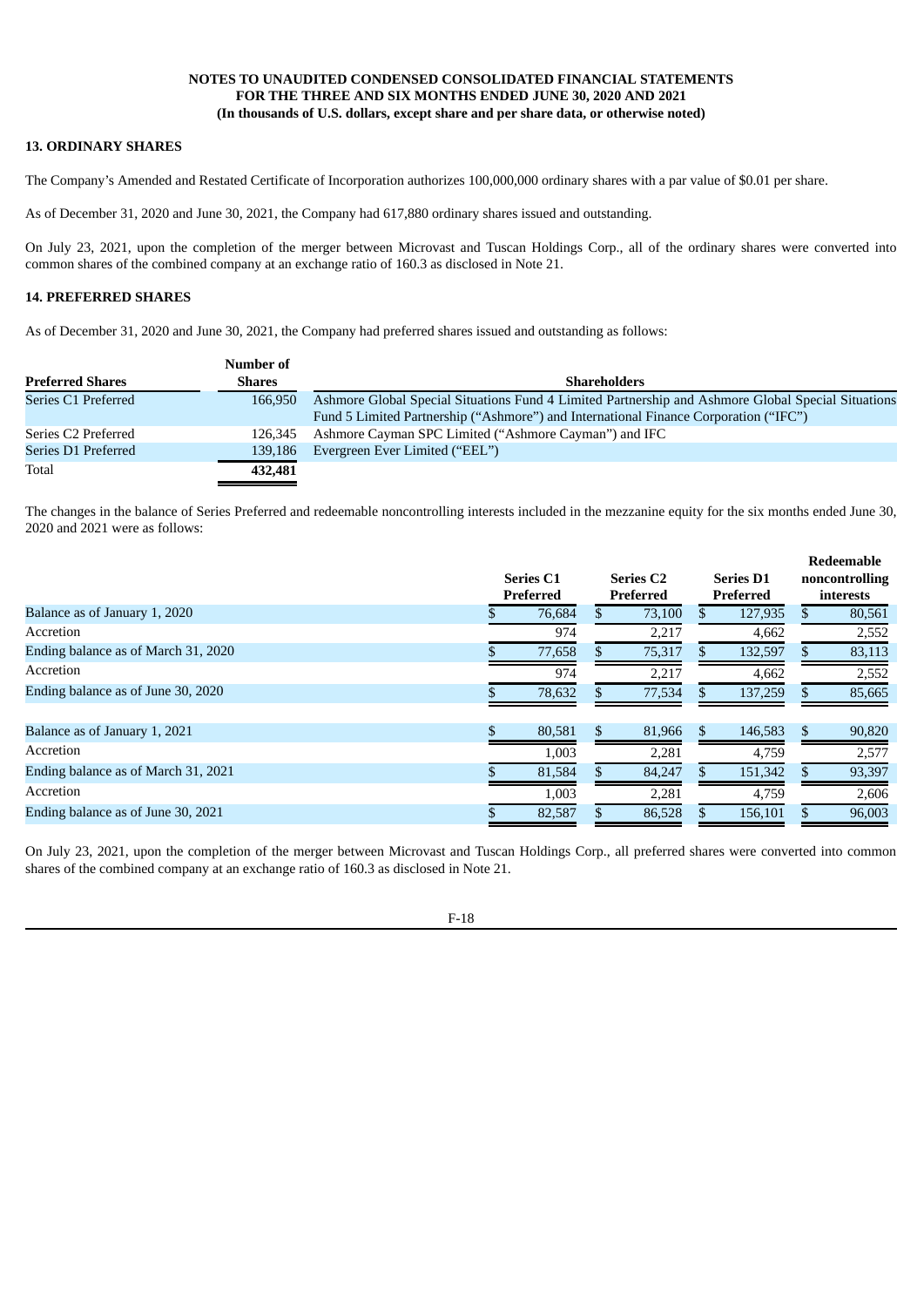### **13. ORDINARY SHARES**

The Company's Amended and Restated Certificate of Incorporation authorizes 100,000,000 ordinary shares with a par value of \$0.01 per share.

As of December 31, 2020 and June 30, 2021, the Company had 617,880 ordinary shares issued and outstanding.

On July 23, 2021, upon the completion of the merger between Microvast and Tuscan Holdings Corp., all of the ordinary shares were converted into common shares of the combined company at an exchange ratio of 160.3 as disclosed in Note 21.

# **14. PREFERRED SHARES**

As of December 31, 2020 and June 30, 2021, the Company had preferred shares issued and outstanding as follows:

|                         | Number of     |                                                                                                    |
|-------------------------|---------------|----------------------------------------------------------------------------------------------------|
| <b>Preferred Shares</b> | <b>Shares</b> | <b>Shareholders</b>                                                                                |
| Series C1 Preferred     | 166,950       | Ashmore Global Special Situations Fund 4 Limited Partnership and Ashmore Global Special Situations |
|                         |               | Fund 5 Limited Partnership ("Ashmore") and International Finance Corporation ("IFC")               |
| Series C2 Preferred     | 126.345       | Ashmore Cayman SPC Limited ("Ashmore Cayman") and IFC                                              |
| Series D1 Preferred     | 139,186       | Evergreen Ever Limited ("EEL")                                                                     |
| Total                   | 432,481       |                                                                                                    |

The changes in the balance of Series Preferred and redeemable noncontrolling interests included in the mezzanine equity for the six months ended June 30, 2020 and 2021 were as follows:

|                                     | <b>Series C1</b><br>Preferred | <b>Series C2</b><br>Preferred |    | <b>Series D1</b><br>Preferred | Redeemable<br>noncontrolling<br>interests |
|-------------------------------------|-------------------------------|-------------------------------|----|-------------------------------|-------------------------------------------|
| Balance as of January 1, 2020       | 76,684                        | 73,100                        |    | 127,935                       | 80,561                                    |
| Accretion                           | 974                           | 2,217                         |    | 4,662                         | 2,552                                     |
| Ending balance as of March 31, 2020 | 77,658                        | 75,317                        |    | 132,597                       | 83,113                                    |
| Accretion                           | 974                           | 2,217                         |    | 4,662                         | 2,552                                     |
| Ending balance as of June 30, 2020  | 78,632                        | 77,534                        |    | 137,259                       | 85,665                                    |
| Balance as of January 1, 2021       | \$<br>80,581                  | \$<br>81,966                  | S. | 146,583                       | \$<br>90,820                              |
| Accretion                           | 1,003                         | 2,281                         |    | 4,759                         | 2,577                                     |
| Ending balance as of March 31, 2021 | 81,584                        | 84,247                        |    | 151,342                       | 93,397                                    |
| Accretion                           | 1,003                         | 2,281                         |    | 4,759                         | 2,606                                     |
| Ending balance as of June 30, 2021  | 82,587                        | 86,528                        |    | 156,101                       | 96,003                                    |

On July 23, 2021, upon the completion of the merger between Microvast and Tuscan Holdings Corp., all preferred shares were converted into common shares of the combined company at an exchange ratio of 160.3 as disclosed in Note 21.

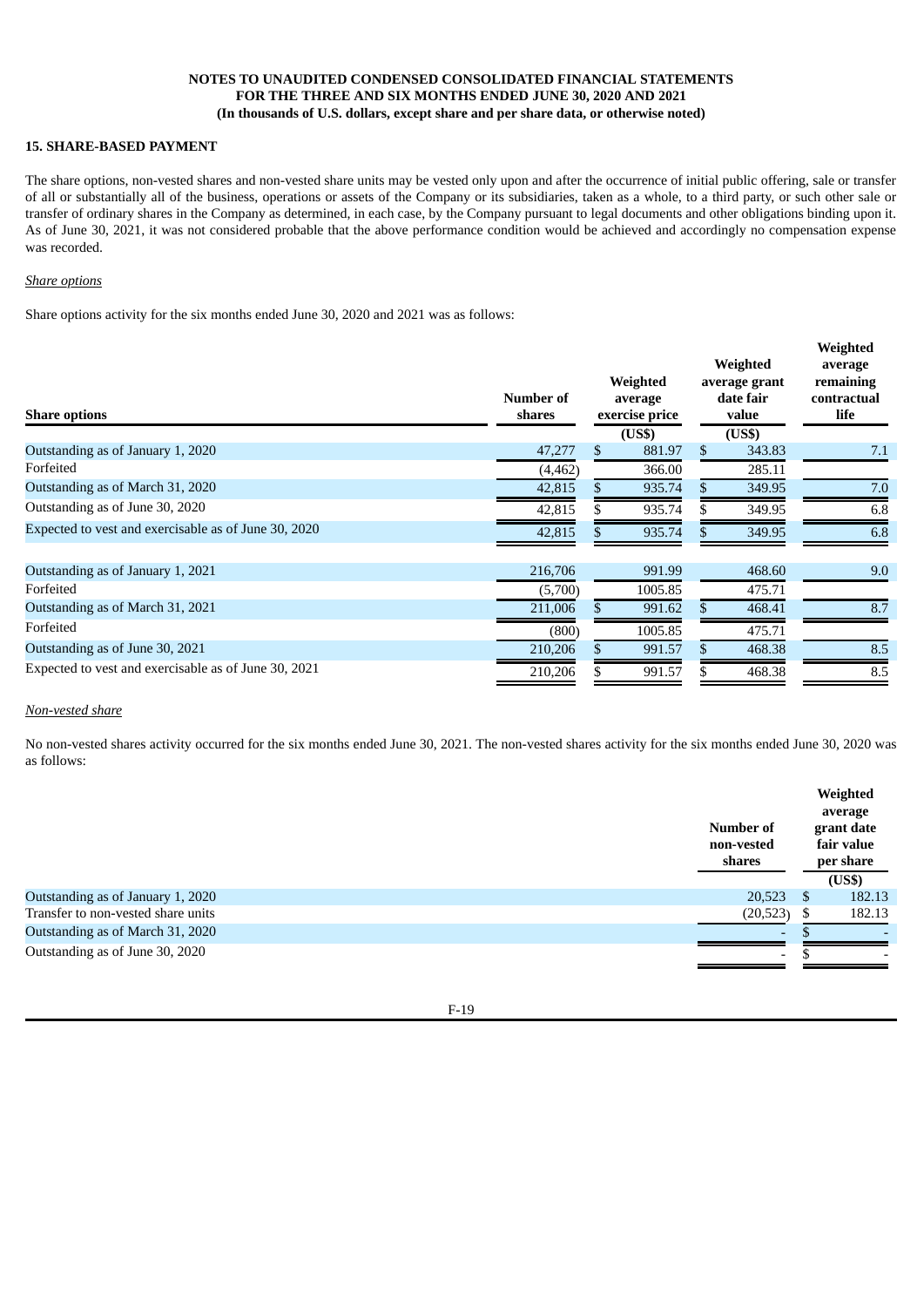### **15. SHARE-BASED PAYMENT**

The share options, non-vested shares and non-vested share units may be vested only upon and after the occurrence of initial public offering, sale or transfer of all or substantially all of the business, operations or assets of the Company or its subsidiaries, taken as a whole, to a third party, or such other sale or transfer of ordinary shares in the Company as determined, in each case, by the Company pursuant to legal documents and other obligations binding upon it. As of June 30, 2021, it was not considered probable that the above performance condition would be achieved and accordingly no compensation expense was recorded.

**Weighted**

#### *Share options*

Share options activity for the six months ended June 30, 2020 and 2021 was as follows:

| <b>Share options</b>                                 | Number of<br>shares | Weighted<br>average<br>exercise price<br>(US\$) |   | Weighted<br>average grant<br>date fair<br>value<br>(US\$) | Weighted<br>average<br>remaining<br>contractual<br>life |
|------------------------------------------------------|---------------------|-------------------------------------------------|---|-----------------------------------------------------------|---------------------------------------------------------|
| Outstanding as of January 1, 2020                    | 47,277              | \$<br>881.97                                    | S | 343.83                                                    | 7.1                                                     |
| Forfeited                                            | (4, 462)            | 366.00                                          |   | 285.11                                                    |                                                         |
| Outstanding as of March 31, 2020                     | 42,815              | 935.74                                          |   | 349.95                                                    | 7.0                                                     |
| Outstanding as of June 30, 2020                      | 42,815              | 935.74                                          |   | 349.95                                                    | 6.8                                                     |
| Expected to vest and exercisable as of June 30, 2020 | 42,815              | 935.74                                          |   | 349.95                                                    | 6.8                                                     |
| Outstanding as of January 1, 2021                    | 216,706             | 991.99                                          |   | 468.60                                                    | 9.0                                                     |
| Forfeited                                            | (5,700)             | 1005.85                                         |   | 475.71                                                    |                                                         |
| Outstanding as of March 31, 2021                     | 211,006             | 991.62                                          |   | 468.41                                                    | 8.7                                                     |
| Forfeited                                            | (800)               | 1005.85                                         |   | 475.71                                                    |                                                         |
| Outstanding as of June 30, 2021                      | 210,206             | 991.57                                          |   | 468.38                                                    | 8.5                                                     |
| Expected to vest and exercisable as of June 30, 2021 | 210,206             | 991.57                                          |   | 468.38                                                    | 8.5                                                     |
|                                                      |                     |                                                 |   |                                                           |                                                         |

### *Non-vested share*

No non-vested shares activity occurred for the six months ended June 30, 2021. The non-vested shares activity for the six months ended June 30, 2020 was as follows:

|                                    | Number of<br>non-vested<br>shares |               | Weighted<br>average<br>grant date<br>fair value<br>per share<br>(US\$) |
|------------------------------------|-----------------------------------|---------------|------------------------------------------------------------------------|
| Outstanding as of January 1, 2020  | 20,523                            | <sup>\$</sup> | 182.13                                                                 |
| Transfer to non-vested share units | (20, 523)                         | \$            | 182.13                                                                 |
| Outstanding as of March 31, 2020   | $\overline{\phantom{0}}$          |               |                                                                        |
| Outstanding as of June 30, 2020    | $\overline{\phantom{a}}$          |               |                                                                        |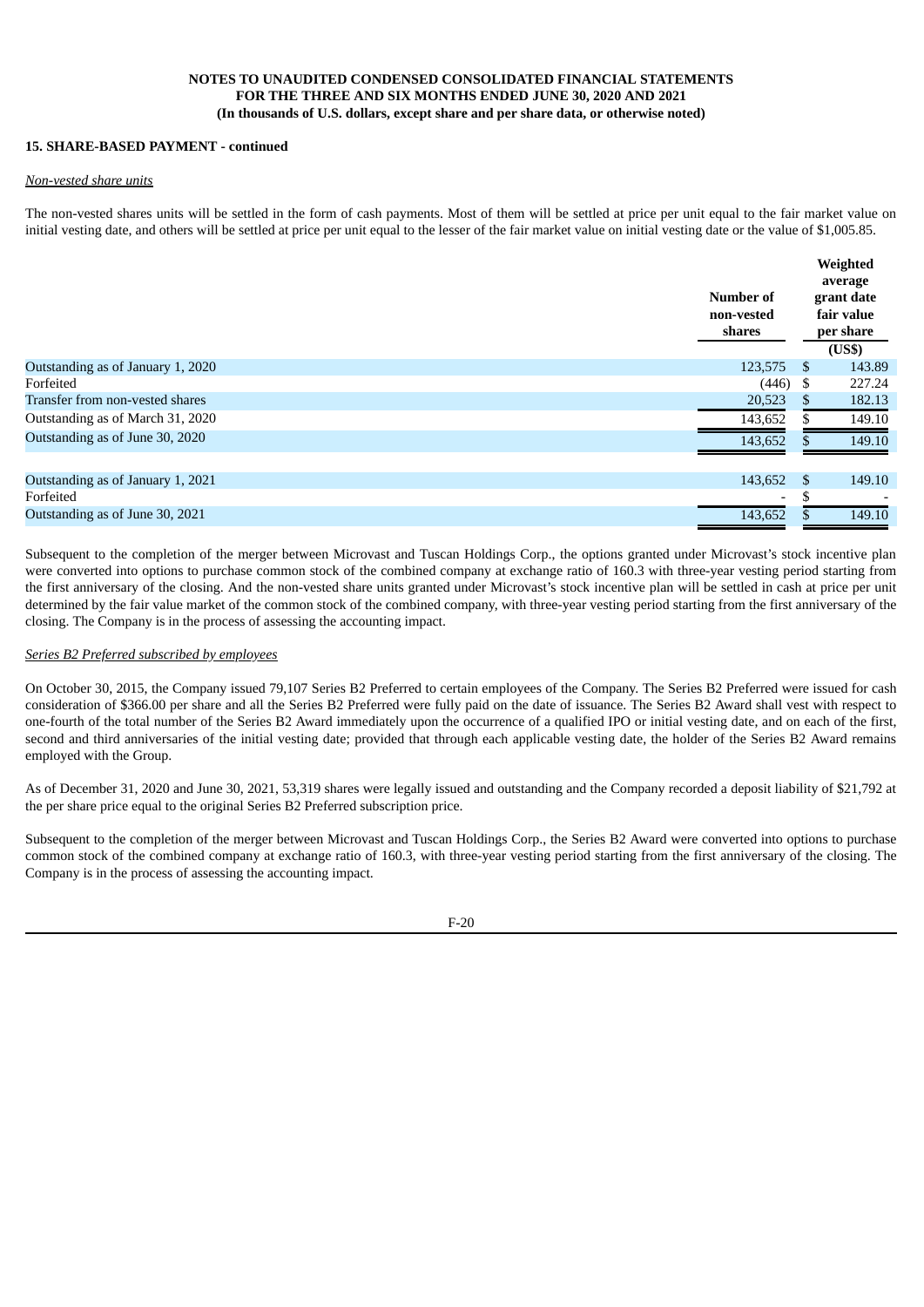#### **15. SHARE-BASED PAYMENT - continued**

#### *Non-vested share units*

The non-vested shares units will be settled in the form of cash payments. Most of them will be settled at price per unit equal to the fair market value on initial vesting date, and others will be settled at price per unit equal to the lesser of the fair market value on initial vesting date or the value of \$1,005.85.

|                                   | Number of<br>non-vested<br>shares |               | Weighted<br>average<br>grant date<br>fair value<br>per share |
|-----------------------------------|-----------------------------------|---------------|--------------------------------------------------------------|
| Outstanding as of January 1, 2020 | 123,575                           | -S            | (US\$)<br>143.89                                             |
| Forfeited                         | (446)                             | - \$          | 227,24                                                       |
| Transfer from non-vested shares   | 20,523                            | S             | 182.13                                                       |
| Outstanding as of March 31, 2020  | 143,652                           | \$            | 149.10                                                       |
| Outstanding as of June 30, 2020   | 143,652                           |               | 149.10                                                       |
| Outstanding as of January 1, 2021 | 143,652                           | <sup>\$</sup> | 149.10                                                       |
| Forfeited                         | ۰                                 | -S            |                                                              |
| Outstanding as of June 30, 2021   | 143,652                           |               | 149.10                                                       |

Subsequent to the completion of the merger between Microvast and Tuscan Holdings Corp., the options granted under Microvast's stock incentive plan were converted into options to purchase common stock of the combined company at exchange ratio of 160.3 with three-year vesting period starting from the first anniversary of the closing. And the non-vested share units granted under Microvast's stock incentive plan will be settled in cash at price per unit determined by the fair value market of the common stock of the combined company, with three-year vesting period starting from the first anniversary of the closing. The Company is in the process of assessing the accounting impact.

#### *Series B2 Preferred subscribed by employees*

On October 30, 2015, the Company issued 79,107 Series B2 Preferred to certain employees of the Company. The Series B2 Preferred were issued for cash consideration of \$366.00 per share and all the Series B2 Preferred were fully paid on the date of issuance. The Series B2 Award shall vest with respect to one-fourth of the total number of the Series B2 Award immediately upon the occurrence of a qualified IPO or initial vesting date, and on each of the first, second and third anniversaries of the initial vesting date; provided that through each applicable vesting date, the holder of the Series B2 Award remains employed with the Group.

As of December 31, 2020 and June 30, 2021, 53,319 shares were legally issued and outstanding and the Company recorded a deposit liability of \$21,792 at the per share price equal to the original Series B2 Preferred subscription price.

Subsequent to the completion of the merger between Microvast and Tuscan Holdings Corp., the Series B2 Award were converted into options to purchase common stock of the combined company at exchange ratio of 160.3, with three-year vesting period starting from the first anniversary of the closing. The Company is in the process of assessing the accounting impact.

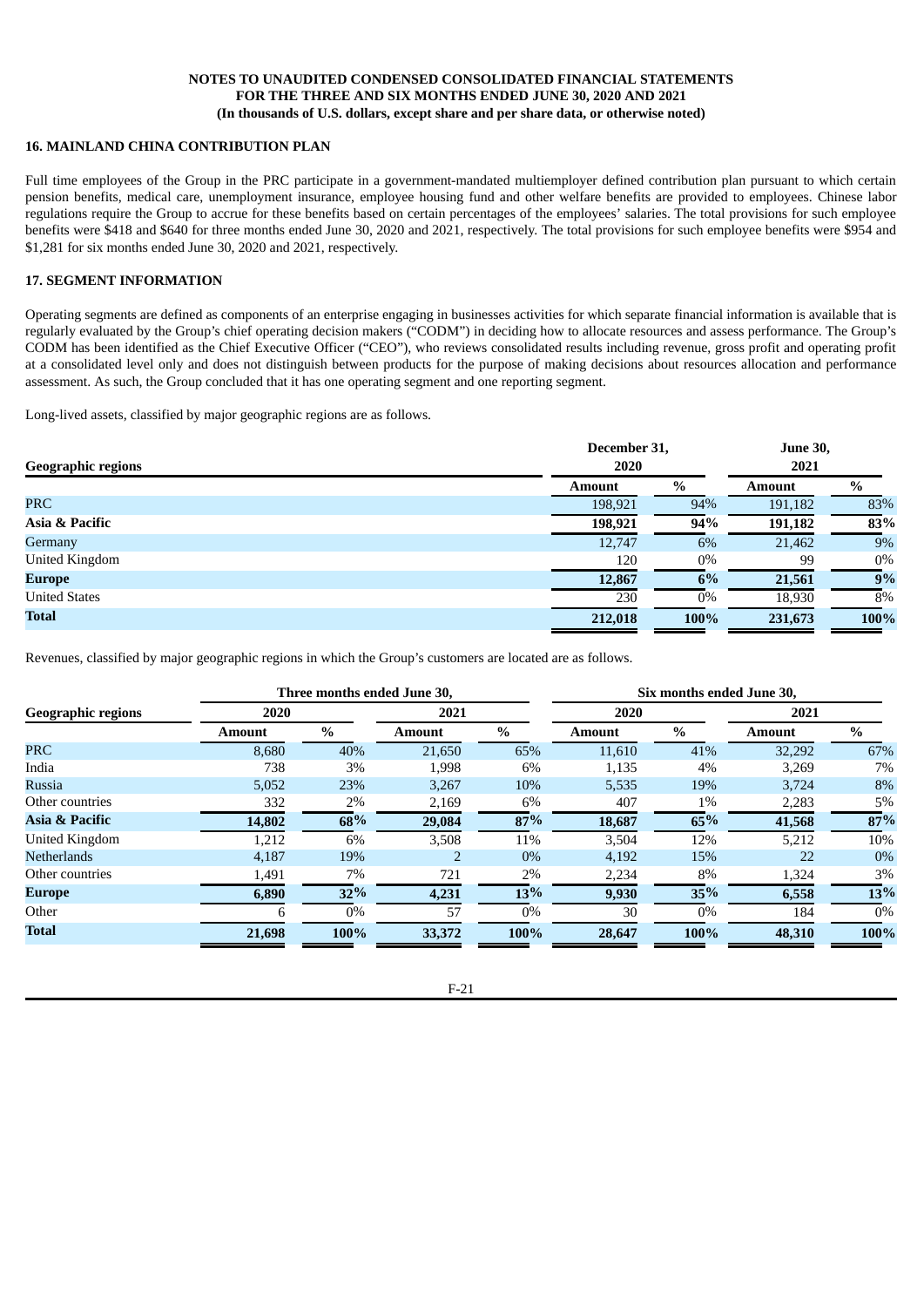### **16. MAINLAND CHINA CONTRIBUTION PLAN**

Full time employees of the Group in the PRC participate in a government-mandated multiemployer defined contribution plan pursuant to which certain pension benefits, medical care, unemployment insurance, employee housing fund and other welfare benefits are provided to employees. Chinese labor regulations require the Group to accrue for these benefits based on certain percentages of the employees' salaries. The total provisions for such employee benefits were \$418 and \$640 for three months ended June 30, 2020 and 2021, respectively. The total provisions for such employee benefits were \$954 and \$1,281 for six months ended June 30, 2020 and 2021, respectively.

### **17. SEGMENT INFORMATION**

Operating segments are defined as components of an enterprise engaging in businesses activities for which separate financial information is available that is regularly evaluated by the Group's chief operating decision makers ("CODM") in deciding how to allocate resources and assess performance. The Group's CODM has been identified as the Chief Executive Officer ("CEO"), who reviews consolidated results including revenue, gross profit and operating profit at a consolidated level only and does not distinguish between products for the purpose of making decisions about resources allocation and performance assessment. As such, the Group concluded that it has one operating segment and one reporting segment.

Long-lived assets, classified by major geographic regions are as follows.

| <b>Geographic regions</b> | December 31,<br>2020 |       | <b>June 30,</b><br>2021 |       |  |
|---------------------------|----------------------|-------|-------------------------|-------|--|
|                           | <b>Amount</b>        | $\%$  | <b>Amount</b>           | $\%$  |  |
| <b>PRC</b>                | 198,921              | 94%   | 191,182                 | 83%   |  |
| Asia & Pacific            | 198,921              | 94%   | 191,182                 | 83%   |  |
| Germany                   | 12,747               | 6%    | 21,462                  | 9%    |  |
| <b>United Kingdom</b>     | 120                  | $0\%$ | 99                      | $0\%$ |  |
| <b>Europe</b>             | 12,867               | $6\%$ | 21,561                  | 9%    |  |
| <b>United States</b>      | 230                  | $0\%$ | 18,930                  | 8%    |  |
| <b>Total</b>              | 212,018              | 100%  | 231,673                 | 100%  |  |

Revenues, classified by major geographic regions in which the Group's customers are located are as follows.

|                           |               | Three months ended June 30, |               | Six months ended June 30, |               |       |               |       |
|---------------------------|---------------|-----------------------------|---------------|---------------------------|---------------|-------|---------------|-------|
| <b>Geographic regions</b> | 2020          | 2021                        |               |                           | 2020          |       | 2021          |       |
|                           | <b>Amount</b> | $\%$                        | <b>Amount</b> | $\%$                      | <b>Amount</b> | $\%$  | <b>Amount</b> | $\%$  |
| <b>PRC</b>                | 8,680         | 40%                         | 21,650        | 65%                       | 11,610        | 41%   | 32,292        | 67%   |
| India                     | 738           | 3%                          | 1,998         | 6%                        | 1,135         | 4%    | 3,269         | 7%    |
| <b>Russia</b>             | 5,052         | 23%                         | 3,267         | 10%                       | 5,535         | 19%   | 3,724         | 8%    |
| Other countries           | 332           | 2%                          | 2,169         | $6\%$                     | 407           | $1\%$ | 2,283         | $5\%$ |
| Asia & Pacific            | 14,802        | 68%                         | 29,084        | 87%                       | 18,687        | 65%   | 41,568        | 87%   |
| United Kingdom            | 1,212         | 6%                          | 3,508         | 11%                       | 3,504         | 12%   | 5,212         | 10%   |
| <b>Netherlands</b>        | 4,187         | 19%                         |               | $0\%$                     | 4,192         | 15%   | 22            | $0\%$ |
| Other countries           | 1,491         | 7%                          | 721           | 2%                        | 2,234         | 8%    | 1,324         | 3%    |
| <b>Europe</b>             | 6,890         | 32%                         | 4,231         | 13%                       | 9,930         | 35%   | 6,558         | 13%   |
| Other                     |               | $0\%$                       | 57            | $0\%$                     | 30            | $0\%$ | 184           | $0\%$ |
| Total                     | 21,698        | 100%                        | 33,372        | 100%                      | 28,647        | 100%  | 48,310        | 100%  |

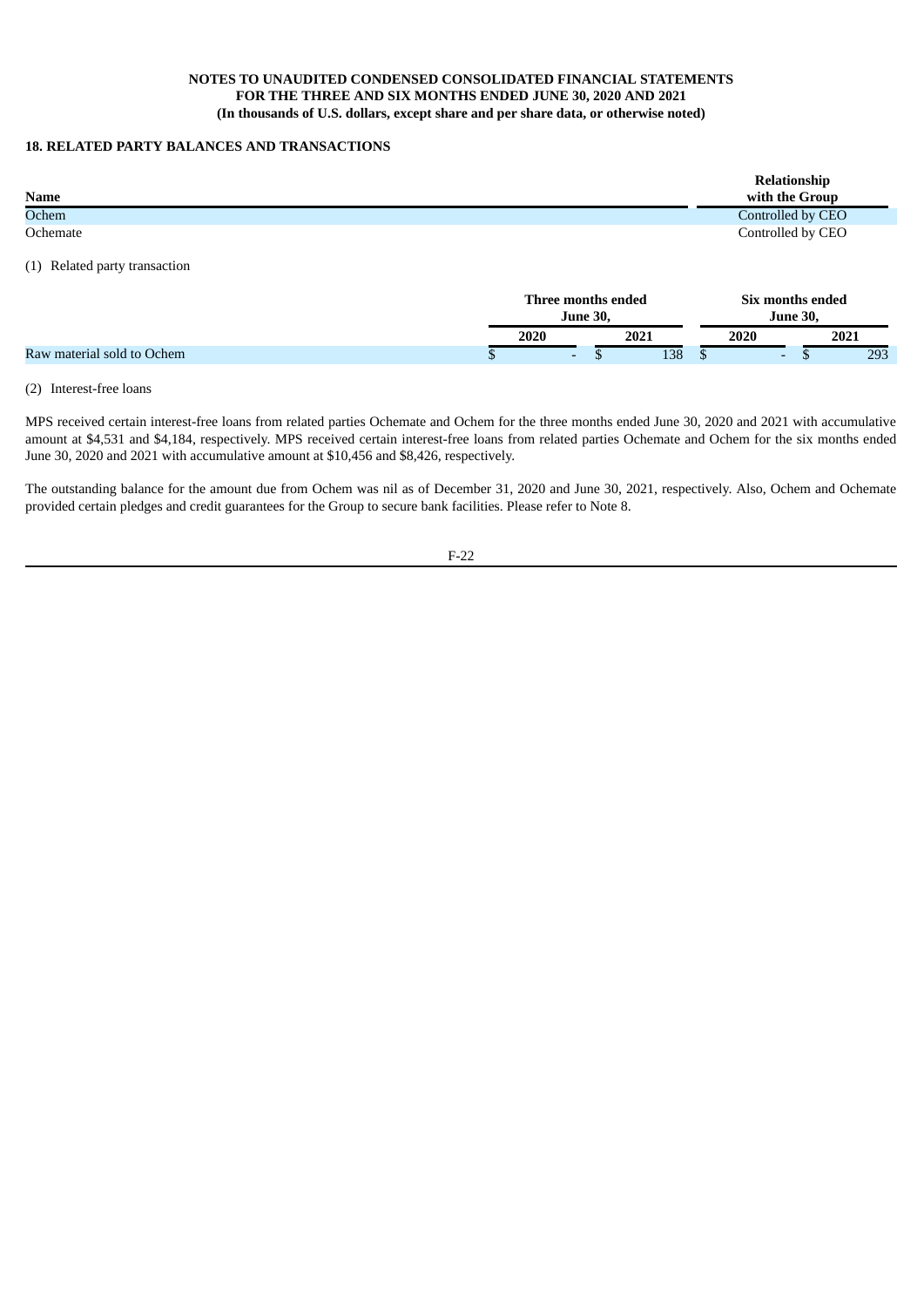### **18. RELATED PARTY BALANCES AND TRANSACTIONS**

| <b>Name</b> | Relationship<br>with the Group |
|-------------|--------------------------------|
| Ochem       | Controlled by CEO              |
| Ochemate    | Controlled by CEO              |

(1) Related party transaction

|                            |   | Three months ended<br><b>June 30.</b> |  |      | Six months ended<br>June 30, |                          |  |      |
|----------------------------|---|---------------------------------------|--|------|------------------------------|--------------------------|--|------|
|                            |   | 2020                                  |  | 2021 |                              | 2020                     |  | 2021 |
| Raw material sold to Ochem | Φ | $\overline{\phantom{0}}$              |  | 138  |                              | $\overline{\phantom{0}}$ |  | 293  |

#### (2) Interest-free loans

MPS received certain interest-free loans from related parties Ochemate and Ochem for the three months ended June 30, 2020 and 2021 with accumulative amount at \$4,531 and \$4,184, respectively. MPS received certain interest-free loans from related parties Ochemate and Ochem for the six months ended June 30, 2020 and 2021 with accumulative amount at \$10,456 and \$8,426, respectively.

The outstanding balance for the amount due from Ochem was nil as of December 31, 2020 and June 30, 2021, respectively. Also, Ochem and Ochemate provided certain pledges and credit guarantees for the Group to secure bank facilities. Please refer to Note 8.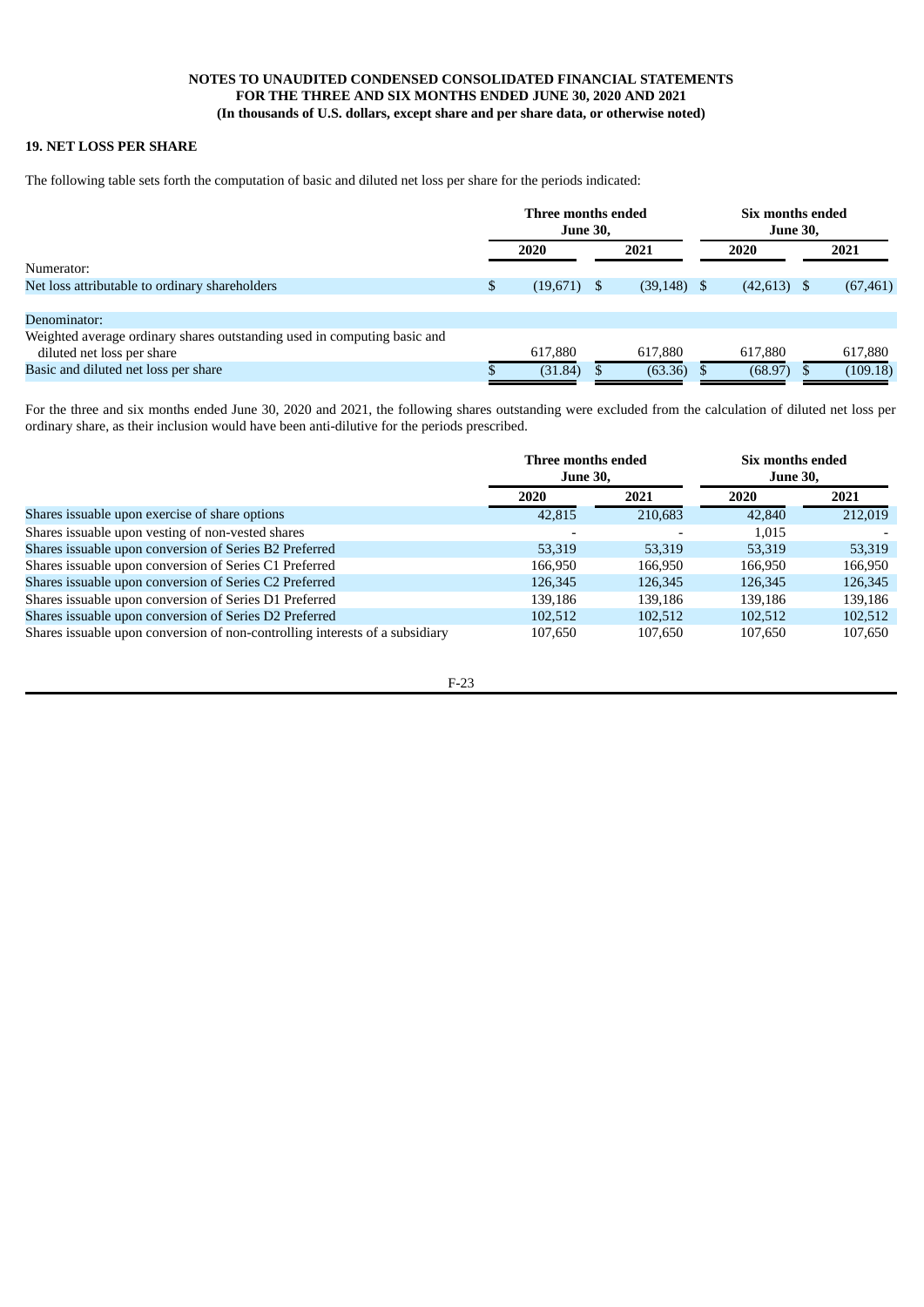# **19. NET LOSS PER SHARE**

The following table sets forth the computation of basic and diluted net loss per share for the periods indicated:

|                                                                          | Three months ended<br><b>June 30,</b> |               |  | Six months ended<br><b>June 30,</b> |  |               |  |           |
|--------------------------------------------------------------------------|---------------------------------------|---------------|--|-------------------------------------|--|---------------|--|-----------|
|                                                                          |                                       | 2020          |  | 2021                                |  | 2020          |  | 2021      |
| Numerator:                                                               |                                       |               |  |                                     |  |               |  |           |
| Net loss attributable to ordinary shareholders                           | S                                     | $(19,671)$ \$ |  | $(39,148)$ \$                       |  | $(42,613)$ \$ |  | (67, 461) |
|                                                                          |                                       |               |  |                                     |  |               |  |           |
| Denominator:                                                             |                                       |               |  |                                     |  |               |  |           |
| Weighted average ordinary shares outstanding used in computing basic and |                                       |               |  |                                     |  |               |  |           |
| diluted net loss per share                                               |                                       | 617,880       |  | 617,880                             |  | 617,880       |  | 617,880   |
| Basic and diluted net loss per share                                     |                                       | (31.84)       |  | (63.36)                             |  | (68.97)       |  | (109.18)  |

For the three and six months ended June 30, 2020 and 2021, the following shares outstanding were excluded from the calculation of diluted net loss per ordinary share, as their inclusion would have been anti-dilutive for the periods prescribed.

|                                                                              | Three months ended<br><b>June 30,</b> |         | Six months ended<br><b>June 30,</b> |         |
|------------------------------------------------------------------------------|---------------------------------------|---------|-------------------------------------|---------|
|                                                                              | 2020                                  | 2021    | <b>2020</b>                         | 2021    |
| Shares issuable upon exercise of share options                               | 42,815                                | 210,683 | 42,840                              | 212,019 |
| Shares is suable upon vesting of non-vested shares                           |                                       |         | 1.015                               |         |
| Shares issuable upon conversion of Series B2 Preferred                       | 53,319                                | 53,319  | 53,319                              | 53,319  |
| Shares issuable upon conversion of Series C1 Preferred                       | 166,950                               | 166.950 | 166.950                             | 166,950 |
| Shares issuable upon conversion of Series C2 Preferred                       | 126,345                               | 126,345 | 126,345                             | 126,345 |
| Shares issuable upon conversion of Series D1 Preferred                       | 139.186                               | 139.186 | 139.186                             | 139,186 |
| Shares issuable upon conversion of Series D2 Preferred                       | 102,512                               | 102.512 | 102.512                             | 102,512 |
| Shares issuable upon conversion of non-controlling interests of a subsidiary | 107,650                               | 107.650 | 107,650                             | 107,650 |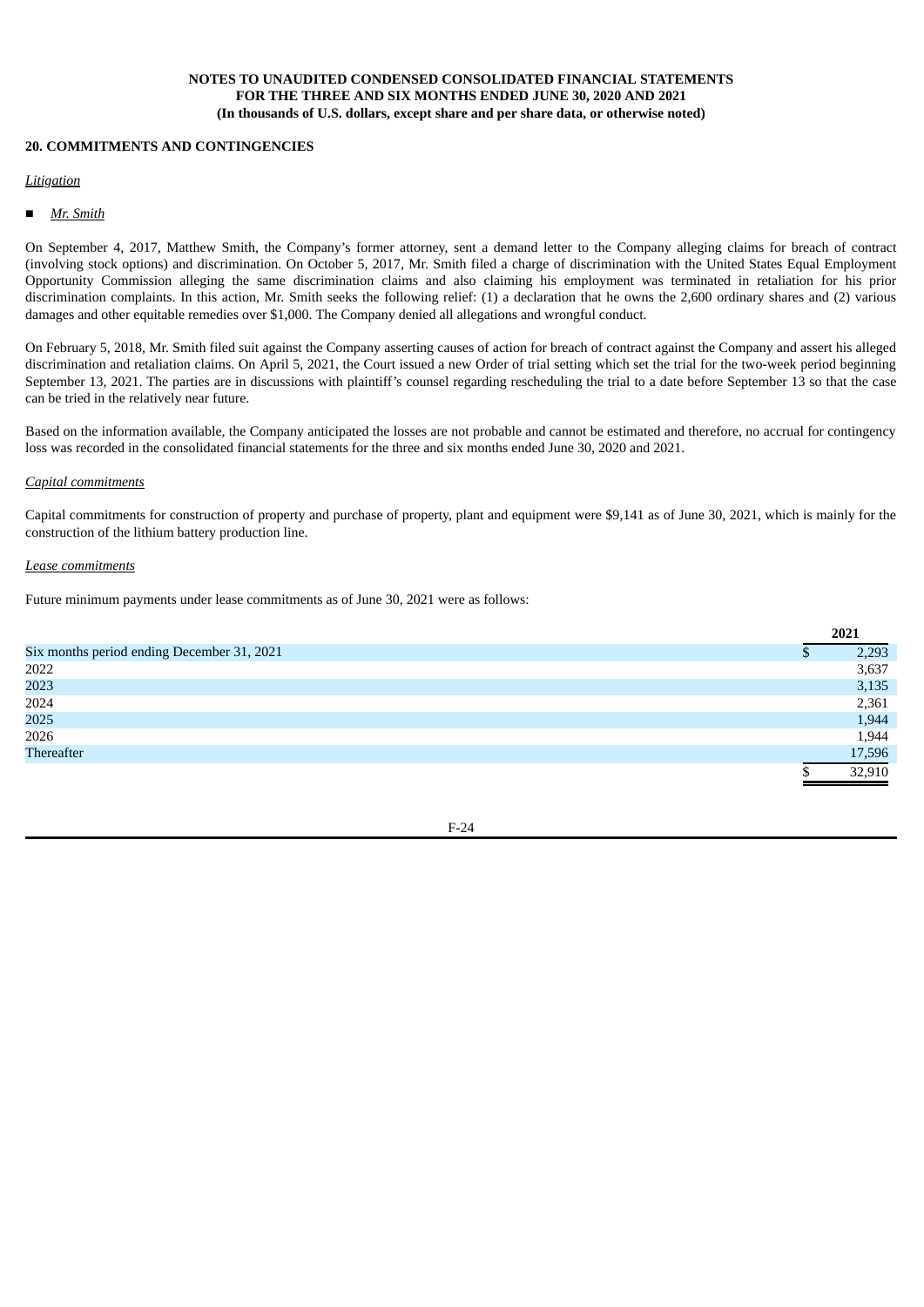#### **20. COMMITMENTS AND CONTINGENCIES**

#### *Litigation*

■ *Mr. Smith*

On September 4, 2017, Matthew Smith, the Company's former attorney, sent a demand letter to the Company alleging claims for breach of contract (involving stock options) and discrimination. On October 5, 2017, Mr. Smith filed a charge of discrimination with the United States Equal Employment Opportunity Commission alleging the same discrimination claims and also claiming his employment was terminated in retaliation for his prior discrimination complaints. In this action, Mr. Smith seeks the following relief: (1) a declaration that he owns the 2,600 ordinary shares and (2) various damages and other equitable remedies over \$1,000. The Company denied all allegations and wrongful conduct.

On February 5, 2018, Mr. Smith filed suit against the Company asserting causes of action for breach of contract against the Company and assert his alleged discrimination and retaliation claims. On April 5, 2021, the Court issued a new Order of trial setting which set the trial for the two-week period beginning September 13, 2021. The parties are in discussions with plaintiff's counsel regarding rescheduling the trial to a date before September 13 so that the case can be tried in the relatively near future.

Based on the information available, the Company anticipated the losses are not probable and cannot be estimated and therefore, no accrual for contingency loss was recorded in the consolidated financial statements for the three and six months ended June 30, 2020 and 2021.

#### *Capital commitments*

Capital commitments for construction of property and purchase of property, plant and equipment were \$9,141 as of June 30, 2021, which is mainly for the construction of the lithium battery production line.

#### *Lease commitments*

Future minimum payments under lease commitments as of June 30, 2021 were as follows:

|                                            | 2021   |
|--------------------------------------------|--------|
| Six months period ending December 31, 2021 | 2,293  |
| 2022                                       | 3,637  |
| 2023                                       | 3,135  |
| 2024                                       | 2,361  |
| 2025                                       | 1,944  |
| 2026                                       | 1,944  |
| Thereafter                                 | 17,596 |
|                                            | 32,910 |

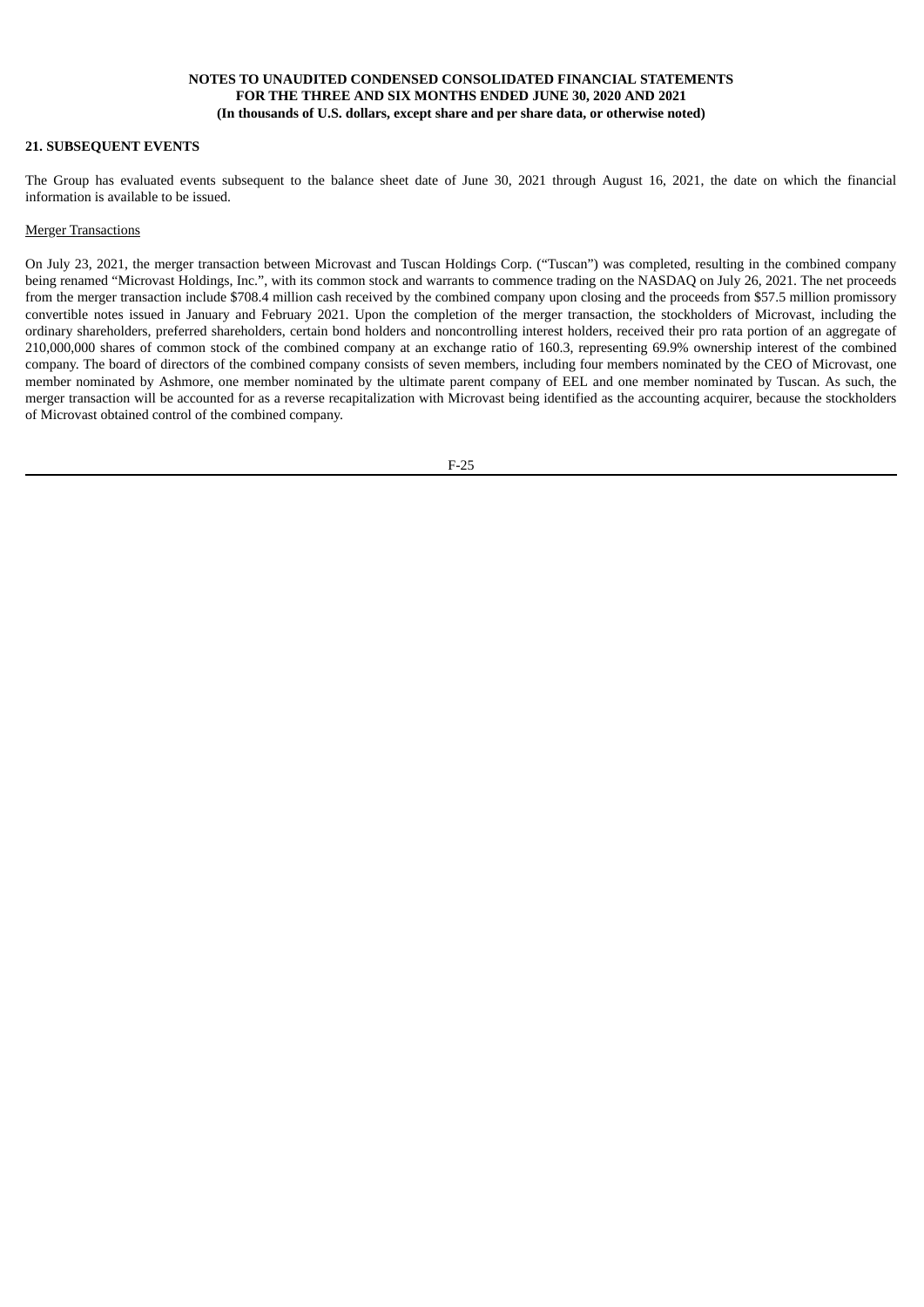### **21. SUBSEQUENT EVENTS**

The Group has evaluated events subsequent to the balance sheet date of June 30, 2021 through August 16, 2021, the date on which the financial information is available to be issued.

#### **Merger Transactions**

On July 23, 2021, the merger transaction between Microvast and Tuscan Holdings Corp. ("Tuscan") was completed, resulting in the combined company being renamed "Microvast Holdings, Inc.", with its common stock and warrants to commence trading on the NASDAQ on July 26, 2021. The net proceeds from the merger transaction include \$708.4 million cash received by the combined company upon closing and the proceeds from \$57.5 million promissory convertible notes issued in January and February 2021. Upon the completion of the merger transaction, the stockholders of Microvast, including the ordinary shareholders, preferred shareholders, certain bond holders and noncontrolling interest holders, received their pro rata portion of an aggregate of 210,000,000 shares of common stock of the combined company at an exchange ratio of 160.3, representing 69.9% ownership interest of the combined company. The board of directors of the combined company consists of seven members, including four members nominated by the CEO of Microvast, one member nominated by Ashmore, one member nominated by the ultimate parent company of EEL and one member nominated by Tuscan. As such, the merger transaction will be accounted for as a reverse recapitalization with Microvast being identified as the accounting acquirer, because the stockholders of Microvast obtained control of the combined company.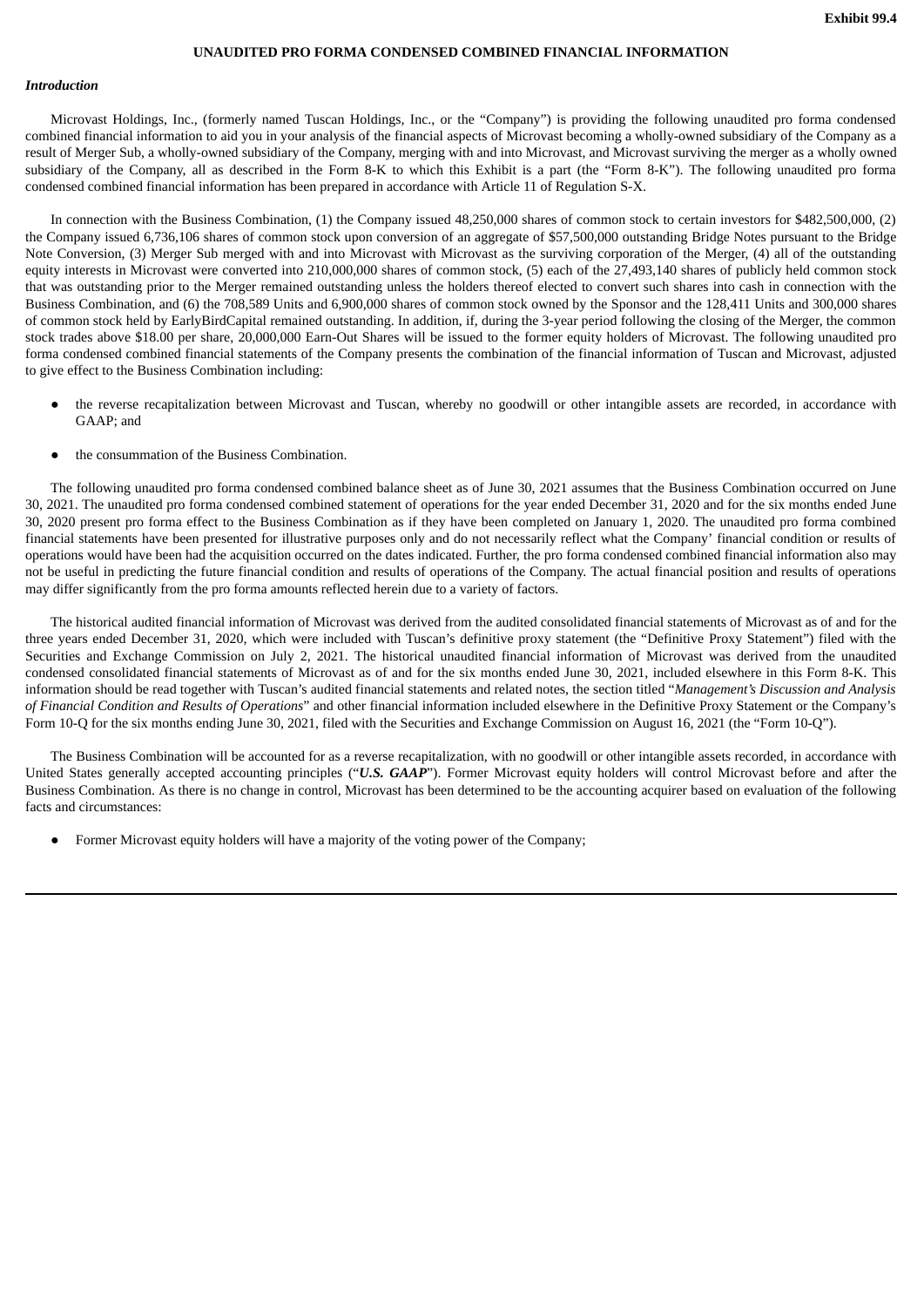### **UNAUDITED PRO FORMA CONDENSED COMBINED FINANCIAL INFORMATION**

#### <span id="page-32-0"></span>*Introduction*

Microvast Holdings, Inc., (formerly named Tuscan Holdings, Inc., or the "Company") is providing the following unaudited pro forma condensed combined financial information to aid you in your analysis of the financial aspects of Microvast becoming a wholly-owned subsidiary of the Company as a result of Merger Sub, a wholly-owned subsidiary of the Company, merging with and into Microvast, and Microvast surviving the merger as a wholly owned subsidiary of the Company, all as described in the Form 8-K to which this Exhibit is a part (the "Form 8-K"). The following unaudited pro forma condensed combined financial information has been prepared in accordance with Article 11 of Regulation S-X.

In connection with the Business Combination, (1) the Company issued 48,250,000 shares of common stock to certain investors for \$482,500,000, (2) the Company issued 6,736,106 shares of common stock upon conversion of an aggregate of \$57,500,000 outstanding Bridge Notes pursuant to the Bridge Note Conversion, (3) Merger Sub merged with and into Microvast with Microvast as the surviving corporation of the Merger, (4) all of the outstanding equity interests in Microvast were converted into 210,000,000 shares of common stock, (5) each of the 27,493,140 shares of publicly held common stock that was outstanding prior to the Merger remained outstanding unless the holders thereof elected to convert such shares into cash in connection with the Business Combination, and (6) the 708,589 Units and 6,900,000 shares of common stock owned by the Sponsor and the 128,411 Units and 300,000 shares of common stock held by EarlyBirdCapital remained outstanding. In addition, if, during the 3-year period following the closing of the Merger, the common stock trades above \$18.00 per share, 20,000,000 Earn-Out Shares will be issued to the former equity holders of Microvast. The following unaudited pro forma condensed combined financial statements of the Company presents the combination of the financial information of Tuscan and Microvast, adjusted to give effect to the Business Combination including:

- the reverse recapitalization between Microvast and Tuscan, whereby no goodwill or other intangible assets are recorded, in accordance with GAAP; and
- the consummation of the Business Combination.

The following unaudited pro forma condensed combined balance sheet as of June 30, 2021 assumes that the Business Combination occurred on June 30, 2021. The unaudited pro forma condensed combined statement of operations for the year ended December 31, 2020 and for the six months ended June 30, 2020 present pro forma effect to the Business Combination as if they have been completed on January 1, 2020. The unaudited pro forma combined financial statements have been presented for illustrative purposes only and do not necessarily reflect what the Company' financial condition or results of operations would have been had the acquisition occurred on the dates indicated. Further, the pro forma condensed combined financial information also may not be useful in predicting the future financial condition and results of operations of the Company. The actual financial position and results of operations may differ significantly from the pro forma amounts reflected herein due to a variety of factors.

The historical audited financial information of Microvast was derived from the audited consolidated financial statements of Microvast as of and for the three years ended December 31, 2020, which were included with Tuscan's definitive proxy statement (the "Definitive Proxy Statement") filed with the Securities and Exchange Commission on July 2, 2021. The historical unaudited financial information of Microvast was derived from the unaudited condensed consolidated financial statements of Microvast as of and for the six months ended June 30, 2021, included elsewhere in this Form 8-K. This information should be read together with Tuscan's audited financial statements and related notes, the section titled "*Management's Discussion and Analysis of Financial Condition and Results of Operations*" and other financial information included elsewhere in the Definitive Proxy Statement or the Company's Form 10-Q for the six months ending June 30, 2021, filed with the Securities and Exchange Commission on August 16, 2021 (the "Form 10-Q").

The Business Combination will be accounted for as a reverse recapitalization, with no goodwill or other intangible assets recorded, in accordance with United States generally accepted accounting principles ("*U.S. GAAP*"). Former Microvast equity holders will control Microvast before and after the Business Combination. As there is no change in control, Microvast has been determined to be the accounting acquirer based on evaluation of the following facts and circumstances:

Former Microvast equity holders will have a majority of the voting power of the Company;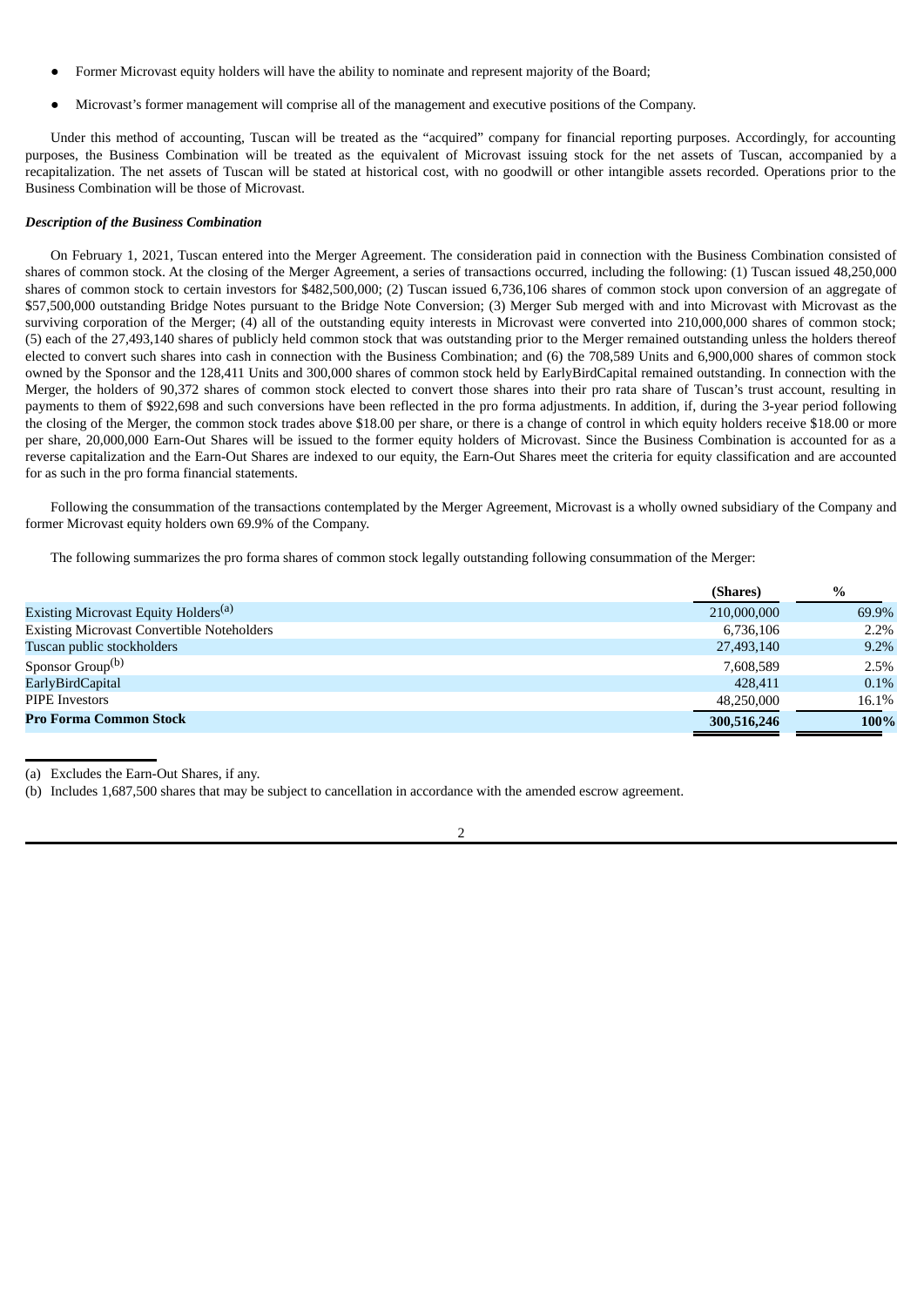- Former Microvast equity holders will have the ability to nominate and represent majority of the Board;
- Microvast's former management will comprise all of the management and executive positions of the Company.

Under this method of accounting, Tuscan will be treated as the "acquired" company for financial reporting purposes. Accordingly, for accounting purposes, the Business Combination will be treated as the equivalent of Microvast issuing stock for the net assets of Tuscan, accompanied by a recapitalization. The net assets of Tuscan will be stated at historical cost, with no goodwill or other intangible assets recorded. Operations prior to the Business Combination will be those of Microvast.

#### *Description of the Business Combination*

On February 1, 2021, Tuscan entered into the Merger Agreement. The consideration paid in connection with the Business Combination consisted of shares of common stock. At the closing of the Merger Agreement, a series of transactions occurred, including the following: (1) Tuscan issued 48,250,000 shares of common stock to certain investors for \$482,500,000; (2) Tuscan issued 6,736,106 shares of common stock upon conversion of an aggregate of \$57,500,000 outstanding Bridge Notes pursuant to the Bridge Note Conversion; (3) Merger Sub merged with and into Microvast with Microvast as the surviving corporation of the Merger; (4) all of the outstanding equity interests in Microvast were converted into 210,000,000 shares of common stock; (5) each of the 27,493,140 shares of publicly held common stock that was outstanding prior to the Merger remained outstanding unless the holders thereof elected to convert such shares into cash in connection with the Business Combination; and (6) the 708,589 Units and 6,900,000 shares of common stock owned by the Sponsor and the 128,411 Units and 300,000 shares of common stock held by EarlyBirdCapital remained outstanding. In connection with the Merger, the holders of 90,372 shares of common stock elected to convert those shares into their pro rata share of Tuscan's trust account, resulting in payments to them of \$922,698 and such conversions have been reflected in the pro forma adjustments. In addition, if, during the 3-year period following the closing of the Merger, the common stock trades above \$18.00 per share, or there is a change of control in which equity holders receive \$18.00 or more per share, 20,000,000 Earn-Out Shares will be issued to the former equity holders of Microvast. Since the Business Combination is accounted for as a reverse capitalization and the Earn-Out Shares are indexed to our equity, the Earn-Out Shares meet the criteria for equity classification and are accounted for as such in the pro forma financial statements.

Following the consummation of the transactions contemplated by the Merger Agreement, Microvast is a wholly owned subsidiary of the Company and former Microvast equity holders own 69.9% of the Company.

The following summarizes the pro forma shares of common stock legally outstanding following consummation of the Merger:

|                                                   | (Shares)    | $\%$  |
|---------------------------------------------------|-------------|-------|
| Existing Microvast Equity Holders <sup>(a)</sup>  | 210,000,000 | 69.9% |
| <b>Existing Microvast Convertible Noteholders</b> | 6,736,106   | 2.2%  |
| Tuscan public stockholders                        | 27,493,140  | 9.2%  |
| Sponsor Group <sup>(b)</sup>                      | 7.608.589   | 2.5%  |
| EarlyBirdCapital                                  | 428,411     | 0.1%  |
| <b>PIPE</b> Investors                             | 48.250.000  | 16.1% |
| <b>Pro Forma Common Stock</b>                     | 300,516,246 | 100%  |

(a) Excludes the Earn-Out Shares, if any.

(b) Includes 1,687,500 shares that may be subject to cancellation in accordance with the amended escrow agreement.

 $\overline{2}$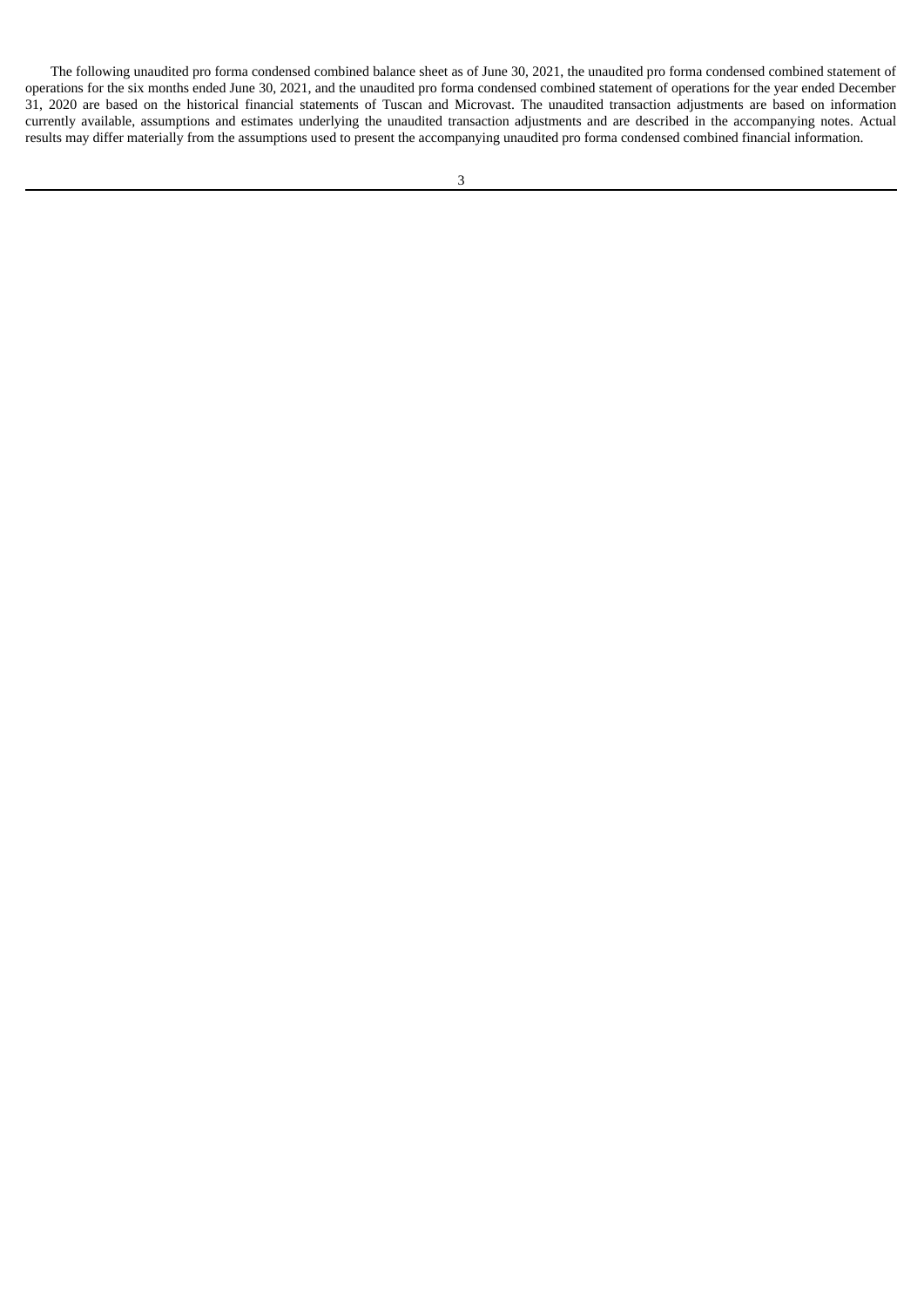The following unaudited pro forma condensed combined balance sheet as of June 30, 2021, the unaudited pro forma condensed combined statement of operations for the six months ended June 30, 2021, and the unaudited pro forma condensed combined statement of operations for the year ended December 31, 2020 are based on the historical financial statements of Tuscan and Microvast. The unaudited transaction adjustments are based on information currently available, assumptions and estimates underlying the unaudited transaction adjustments and are described in the accompanying notes. Actual results may differ materially from the assumptions used to present the accompanying unaudited pro forma condensed combined financial information.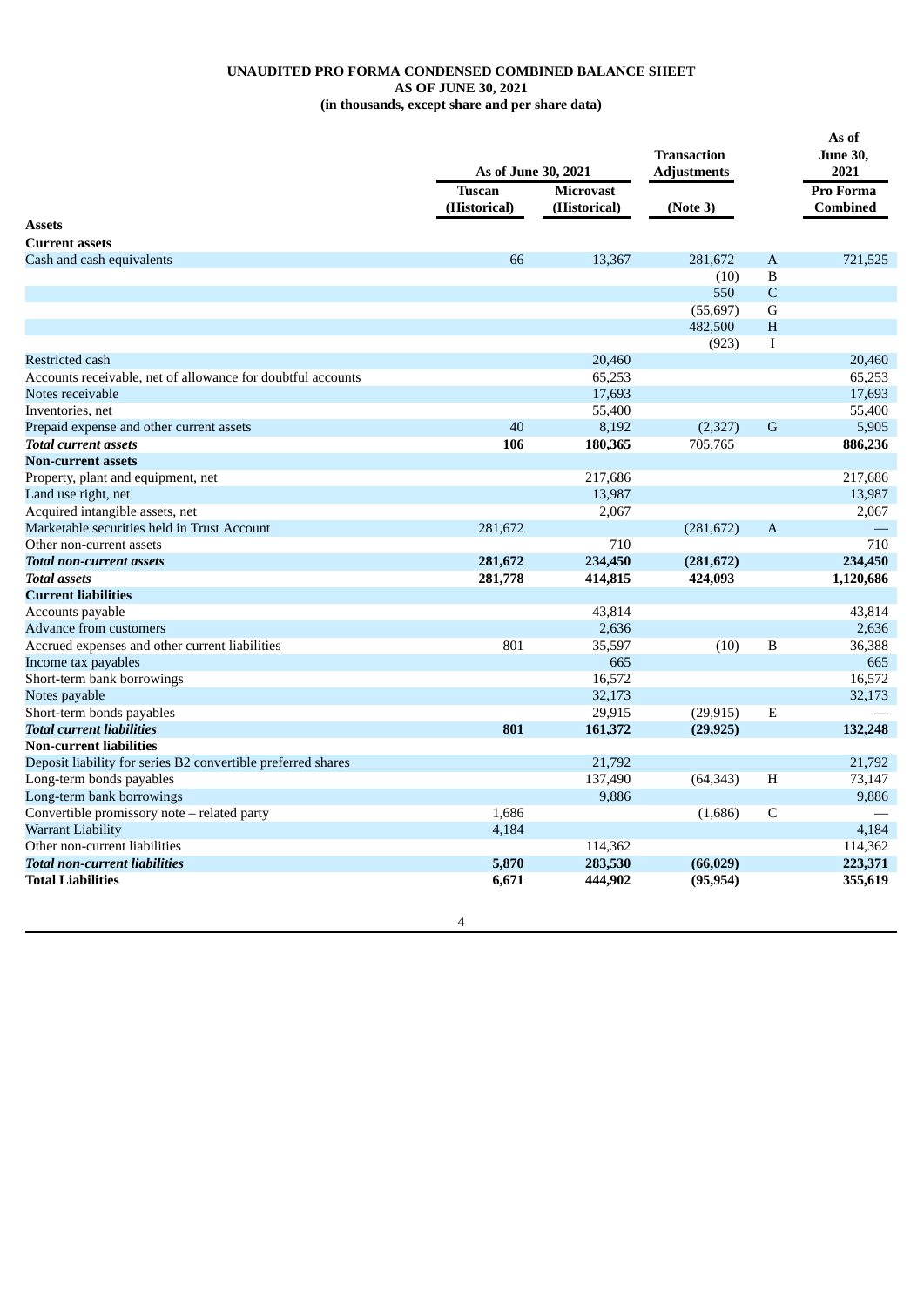### **UNAUDITED PRO FORMA CONDENSED COMBINED BALANCE SHEET AS OF JUNE 30, 2021 (in thousands, except share and per share data)**

|                                                              | As of June 30, 2021           |                                  | <b>Transaction</b> |              | As of<br><b>June 30,</b>            |  |
|--------------------------------------------------------------|-------------------------------|----------------------------------|--------------------|--------------|-------------------------------------|--|
|                                                              |                               |                                  | <b>Adjustments</b> |              | 2021                                |  |
|                                                              | <b>Tuscan</b><br>(Historical) | <b>Microvast</b><br>(Historical) | (Note 3)           |              | <b>Pro Forma</b><br><b>Combined</b> |  |
| <b>Assets</b>                                                |                               |                                  |                    |              |                                     |  |
| <b>Current assets</b>                                        |                               |                                  |                    |              |                                     |  |
| Cash and cash equivalents                                    | 66                            | 13,367                           | 281,672            | $\mathbf{A}$ | 721,525                             |  |
|                                                              |                               |                                  | (10)               | B            |                                     |  |
|                                                              |                               |                                  | 550                | $\mathsf{C}$ |                                     |  |
|                                                              |                               |                                  | (55, 697)          | $\mathsf G$  |                                     |  |
|                                                              |                               |                                  | 482,500            | H            |                                     |  |
|                                                              |                               |                                  | (923)              | $\mathbf I$  |                                     |  |
| <b>Restricted cash</b>                                       |                               | 20,460                           |                    |              | 20,460                              |  |
| Accounts receivable, net of allowance for doubtful accounts  |                               | 65,253                           |                    |              | 65,253                              |  |
| Notes receivable                                             |                               | 17,693                           |                    |              | 17,693                              |  |
| Inventories, net                                             |                               | 55,400                           |                    |              | 55,400                              |  |
| Prepaid expense and other current assets                     | 40                            | 8,192                            | (2,327)            | G            | 5,905                               |  |
| <b>Total current assets</b>                                  | 106                           | 180,365                          | 705,765            |              | 886,236                             |  |
| <b>Non-current assets</b>                                    |                               |                                  |                    |              |                                     |  |
| Property, plant and equipment, net                           |                               | 217,686                          |                    |              | 217,686                             |  |
| Land use right, net                                          |                               | 13,987                           |                    |              | 13,987                              |  |
| Acquired intangible assets, net                              |                               | 2,067                            |                    |              | 2,067                               |  |
| Marketable securities held in Trust Account                  | 281,672                       |                                  | (281, 672)         | $\mathbf{A}$ |                                     |  |
| Other non-current assets                                     |                               | 710                              |                    |              | 710                                 |  |
| <b>Total non-current assets</b>                              | 281,672                       | 234,450                          | (281, 672)         |              | 234,450                             |  |
| <b>Total assets</b>                                          | 281,778                       | 414,815                          | 424,093            |              | 1,120,686                           |  |
| <b>Current liabilities</b>                                   |                               |                                  |                    |              |                                     |  |
| Accounts payable                                             |                               | 43,814                           |                    |              | 43,814                              |  |
| Advance from customers                                       |                               | 2,636                            |                    |              | 2.636                               |  |
| Accrued expenses and other current liabilities               | 801                           | 35,597                           | (10)               | B            | 36,388                              |  |
| Income tax payables                                          |                               | 665                              |                    |              | 665                                 |  |
| Short-term bank borrowings                                   |                               | 16,572                           |                    |              | 16,572                              |  |
| Notes payable                                                |                               | 32,173                           |                    |              | 32,173                              |  |
| Short-term bonds payables                                    |                               | 29,915                           | (29, 915)          | Ε            |                                     |  |
| <b>Total current liabilities</b>                             | 801                           | 161,372                          | (29, 925)          |              | 132,248                             |  |
| <b>Non-current liabilities</b>                               |                               |                                  |                    |              |                                     |  |
| Deposit liability for series B2 convertible preferred shares |                               | 21,792                           |                    |              | 21,792                              |  |
| Long-term bonds payables                                     |                               | 137,490                          | (64, 343)          | H            | 73,147                              |  |
| Long-term bank borrowings                                    |                               | 9,886                            |                    |              | 9,886                               |  |
| Convertible promissory note - related party                  | 1,686                         |                                  | (1,686)            | C            |                                     |  |
| Warrant Liability                                            | 4,184                         |                                  |                    |              | 4,184                               |  |
| Other non-current liabilities                                |                               | 114,362                          |                    |              | 114,362                             |  |
| <b>Total non-current liabilities</b>                         | 5,870                         | 283,530                          | (66, 029)          |              | 223,371                             |  |
| <b>Total Liabilities</b>                                     | 6,671                         | 444,902                          | (95, 954)          |              | 355,619                             |  |
|                                                              |                               |                                  |                    |              |                                     |  |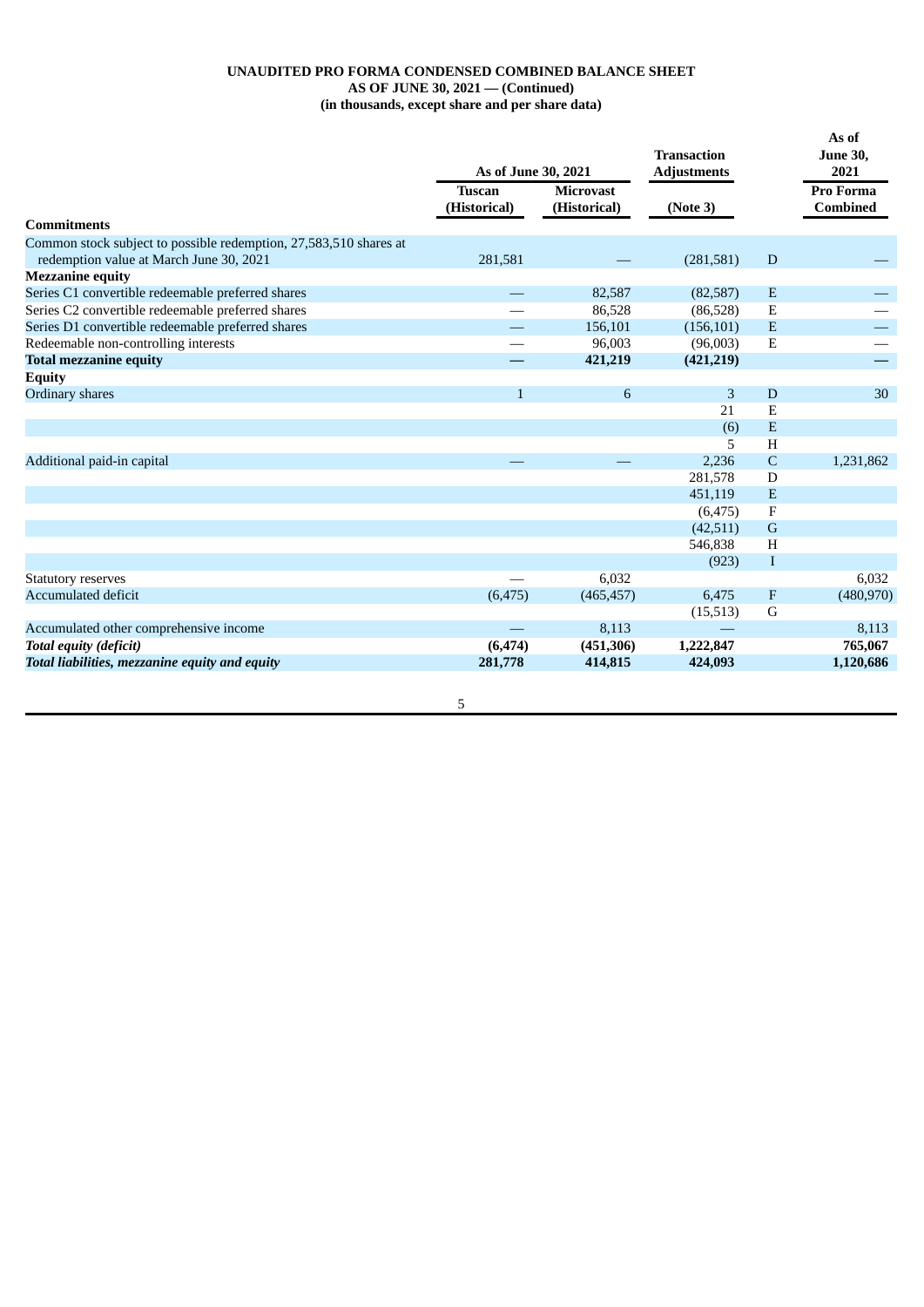### **UNAUDITED PRO FORMA CONDENSED COMBINED BALANCE SHEET AS OF JUNE 30, 2021 — (Continued) (in thousands, except share and per share data)**

|                                                                                                              | As of June 30, 2021           |                                  | <b>Transaction</b><br><b>Adjustments</b> |              | As of<br><b>June 30,</b><br>2021    |
|--------------------------------------------------------------------------------------------------------------|-------------------------------|----------------------------------|------------------------------------------|--------------|-------------------------------------|
|                                                                                                              | <b>Tuscan</b><br>(Historical) | <b>Microvast</b><br>(Historical) | (Note 3)                                 |              | <b>Pro Forma</b><br><b>Combined</b> |
| <b>Commitments</b>                                                                                           |                               |                                  |                                          |              |                                     |
| Common stock subject to possible redemption, 27,583,510 shares at<br>redemption value at March June 30, 2021 | 281,581                       |                                  | (281,581)                                | D            |                                     |
| <b>Mezzanine equity</b>                                                                                      |                               |                                  |                                          |              |                                     |
| Series C1 convertible redeemable preferred shares                                                            |                               | 82,587                           | (82,587)                                 | E            |                                     |
| Series C2 convertible redeemable preferred shares                                                            |                               | 86,528                           | (86, 528)                                | E            |                                     |
| Series D1 convertible redeemable preferred shares                                                            |                               | 156,101                          | (156, 101)                               | E            |                                     |
| Redeemable non-controlling interests                                                                         |                               | 96,003                           | (96,003)                                 | E            |                                     |
| <b>Total mezzanine equity</b>                                                                                |                               | 421,219                          | (421, 219)                               |              |                                     |
| <b>Equity</b>                                                                                                |                               |                                  |                                          |              |                                     |
| Ordinary shares                                                                                              | $\mathbf{1}$                  | 6                                | 3                                        | D            | 30                                  |
|                                                                                                              |                               |                                  | 21                                       | E            |                                     |
|                                                                                                              |                               |                                  | (6)                                      | E            |                                     |
|                                                                                                              |                               |                                  | 5                                        | H            |                                     |
| Additional paid-in capital                                                                                   |                               |                                  | 2,236                                    | $\mathsf{C}$ | 1,231,862                           |
|                                                                                                              |                               |                                  | 281,578                                  | D            |                                     |
|                                                                                                              |                               |                                  | 451,119                                  | E            |                                     |
|                                                                                                              |                               |                                  | (6, 475)                                 | $\mathbf F$  |                                     |
|                                                                                                              |                               |                                  | (42,511)                                 | $\mathsf G$  |                                     |
|                                                                                                              |                               |                                  | 546,838                                  | H            |                                     |
|                                                                                                              |                               |                                  | (923)                                    | I            |                                     |
| <b>Statutory reserves</b>                                                                                    |                               | 6,032                            |                                          |              | 6,032                               |
| <b>Accumulated deficit</b>                                                                                   | (6, 475)                      | (465, 457)                       | 6,475                                    | F            | (480, 970)                          |
|                                                                                                              |                               |                                  | (15,513)                                 | G            |                                     |
| Accumulated other comprehensive income                                                                       |                               | 8,113                            |                                          |              | 8,113                               |
| <b>Total equity (deficit)</b>                                                                                | (6, 474)                      | (451, 306)                       | 1,222,847                                |              | 765,067                             |
| Total liabilities, mezzanine equity and equity                                                               | 281,778                       | 414,815                          | 424,093                                  |              | 1,120,686                           |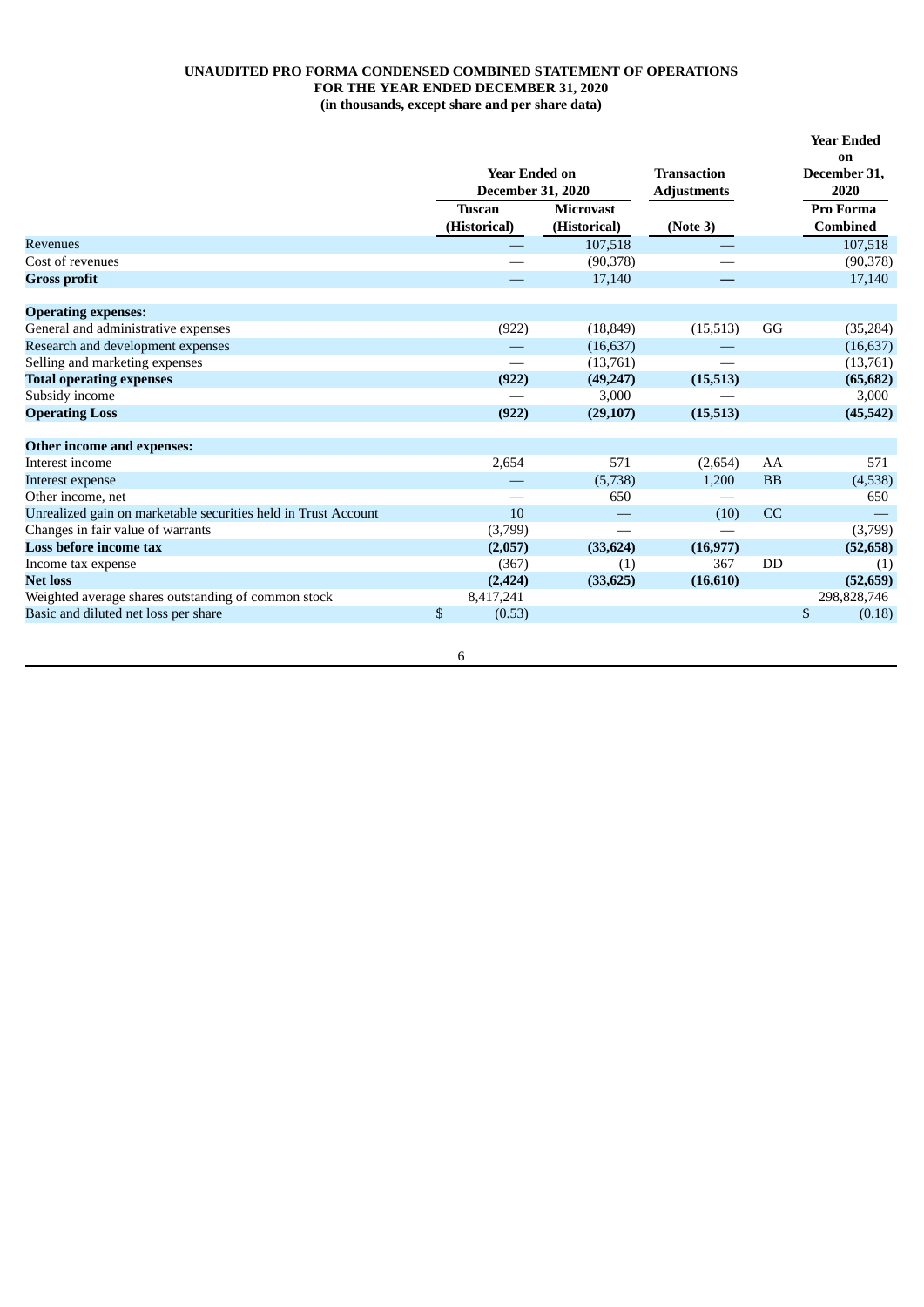### **UNAUDITED PRO FORMA CONDENSED COMBINED STATEMENT OF OPERATIONS FOR THE YEAR ENDED DECEMBER 31, 2020 (in thousands, except share and per share data)**

|                                                                |                                                  |                  |                                          |           | <b>Year Ended</b>          |
|----------------------------------------------------------------|--------------------------------------------------|------------------|------------------------------------------|-----------|----------------------------|
|                                                                | <b>Year Ended on</b><br><b>December 31, 2020</b> |                  | <b>Transaction</b><br><b>Adjustments</b> |           | on<br>December 31,<br>2020 |
|                                                                | <b>Tuscan</b>                                    | <b>Microvast</b> |                                          |           | Pro Forma                  |
|                                                                | (Historical)                                     | (Historical)     | (Note 3)                                 |           | <b>Combined</b>            |
| <b>Revenues</b>                                                |                                                  | 107,518          |                                          |           | 107,518                    |
| Cost of revenues                                               |                                                  | (90,378)         |                                          |           | (90, 378)                  |
| <b>Gross profit</b>                                            |                                                  | 17,140           |                                          |           | 17,140                     |
| <b>Operating expenses:</b>                                     |                                                  |                  |                                          |           |                            |
| General and administrative expenses                            | (922)                                            | (18, 849)        | (15, 513)                                | GG        | (35, 284)                  |
| Research and development expenses                              |                                                  | (16, 637)        |                                          |           | (16, 637)                  |
| Selling and marketing expenses                                 |                                                  | (13,761)         |                                          |           | (13,761)                   |
| <b>Total operating expenses</b>                                | (922)                                            | (49, 247)        | (15,513)                                 |           | (65, 682)                  |
| Subsidy income                                                 |                                                  | 3,000            |                                          |           | 3,000                      |
| <b>Operating Loss</b>                                          | (922)                                            | (29, 107)        | (15,513)                                 |           | (45, 542)                  |
| Other income and expenses:                                     |                                                  |                  |                                          |           |                            |
| Interest income                                                | 2,654                                            | 571              | (2,654)                                  | AA        | 571                        |
| Interest expense                                               |                                                  | (5,738)          | 1,200                                    | <b>BB</b> | (4,538)                    |
| Other income, net                                              |                                                  | 650              |                                          |           | 650                        |
| Unrealized gain on marketable securities held in Trust Account | 10                                               |                  | (10)                                     | CC        |                            |
| Changes in fair value of warrants                              | (3,799)                                          |                  |                                          |           | (3,799)                    |
| Loss before income tax                                         | (2,057)                                          | (33, 624)        | (16, 977)                                |           | (52, 658)                  |
| Income tax expense                                             | (367)                                            | (1)              | 367                                      | DD        | (1)                        |
| <b>Net loss</b>                                                | (2, 424)                                         | (33, 625)        | (16, 610)                                |           | (52, 659)                  |
| Weighted average shares outstanding of common stock            | 8,417,241                                        |                  |                                          |           | 298,828,746                |
| Basic and diluted net loss per share                           | \$<br>(0.53)                                     |                  |                                          |           | \$<br>(0.18)               |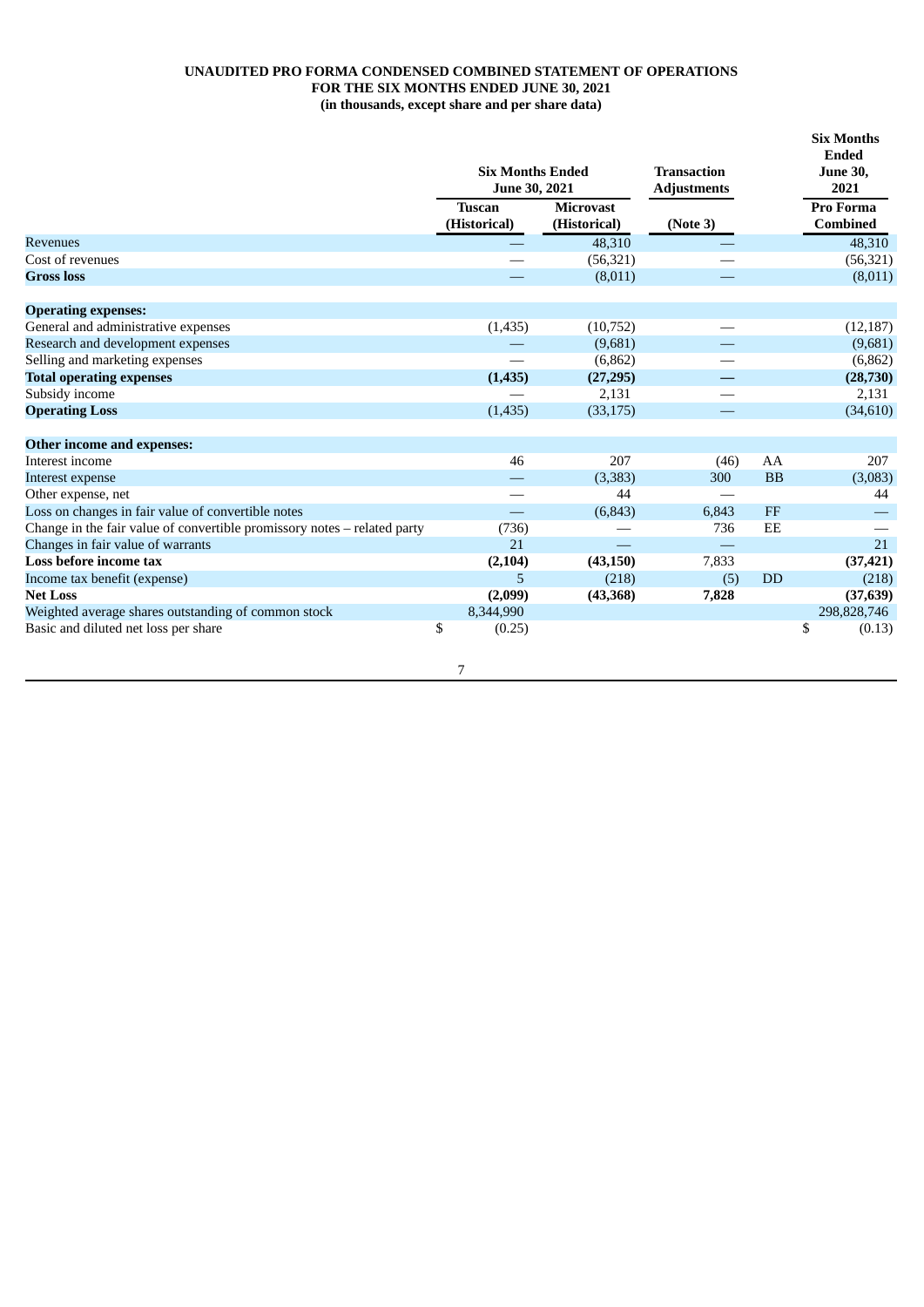### **UNAUDITED PRO FORMA CONDENSED COMBINED STATEMENT OF OPERATIONS FOR THE SIX MONTHS ENDED JUNE 30, 2021 (in thousands, except share and per share data)**

|                                                                          | <b>Six Months Ended</b><br>June 30, 2021 |                  | <b>Transaction</b><br><b>Adjustments</b> |           | <b>Six Months</b><br><b>Ended</b><br><b>June 30,</b><br>2021 |
|--------------------------------------------------------------------------|------------------------------------------|------------------|------------------------------------------|-----------|--------------------------------------------------------------|
|                                                                          | <b>Tuscan</b>                            | <b>Microvast</b> |                                          |           | Pro Forma                                                    |
|                                                                          | (Historical)                             | (Historical)     | (Note 3)                                 |           | <b>Combined</b>                                              |
| <b>Revenues</b>                                                          |                                          | 48,310           |                                          |           | 48,310                                                       |
| Cost of revenues                                                         |                                          | (56, 321)        |                                          |           | (56, 321)                                                    |
| <b>Gross loss</b>                                                        |                                          | (8,011)          |                                          |           | (8,011)                                                      |
| <b>Operating expenses:</b>                                               |                                          |                  |                                          |           |                                                              |
| General and administrative expenses                                      | (1, 435)                                 | (10,752)         |                                          |           | (12, 187)                                                    |
| Research and development expenses                                        |                                          | (9,681)          |                                          |           | (9,681)                                                      |
| Selling and marketing expenses                                           |                                          | (6,862)          |                                          |           | (6, 862)                                                     |
| <b>Total operating expenses</b>                                          | (1,435)                                  | (27, 295)        |                                          |           | (28, 730)                                                    |
| Subsidy income                                                           |                                          | 2.131            |                                          |           | 2,131                                                        |
| <b>Operating Loss</b>                                                    | (1, 435)                                 | (33, 175)        |                                          |           | (34,610)                                                     |
| Other income and expenses:                                               |                                          |                  |                                          |           |                                                              |
| Interest income                                                          | 46                                       | 207              | (46)                                     | AA        | 207                                                          |
| Interest expense                                                         |                                          | (3,383)          | 300                                      | <b>BB</b> | (3,083)                                                      |
| Other expense, net                                                       |                                          | 44               |                                          |           | 44                                                           |
| Loss on changes in fair value of convertible notes                       |                                          | (6, 843)         | 6,843                                    | FF        |                                                              |
| Change in the fair value of convertible promissory notes - related party | (736)                                    |                  | 736                                      | EE        |                                                              |
| Changes in fair value of warrants                                        | 21                                       |                  |                                          |           | 21                                                           |
| Loss before income tax                                                   | (2,104)                                  | (43, 150)        | 7,833                                    |           | (37, 421)                                                    |
| Income tax benefit (expense)                                             | 5                                        | (218)            | (5)                                      | <b>DD</b> | (218)                                                        |
| <b>Net Loss</b>                                                          | (2,099)                                  | (43, 368)        | 7,828                                    |           | (37, 639)                                                    |
| Weighted average shares outstanding of common stock                      | 8,344,990                                |                  |                                          |           | 298,828,746                                                  |
| Basic and diluted net loss per share                                     | \$<br>(0.25)                             |                  |                                          |           | \$<br>(0.13)                                                 |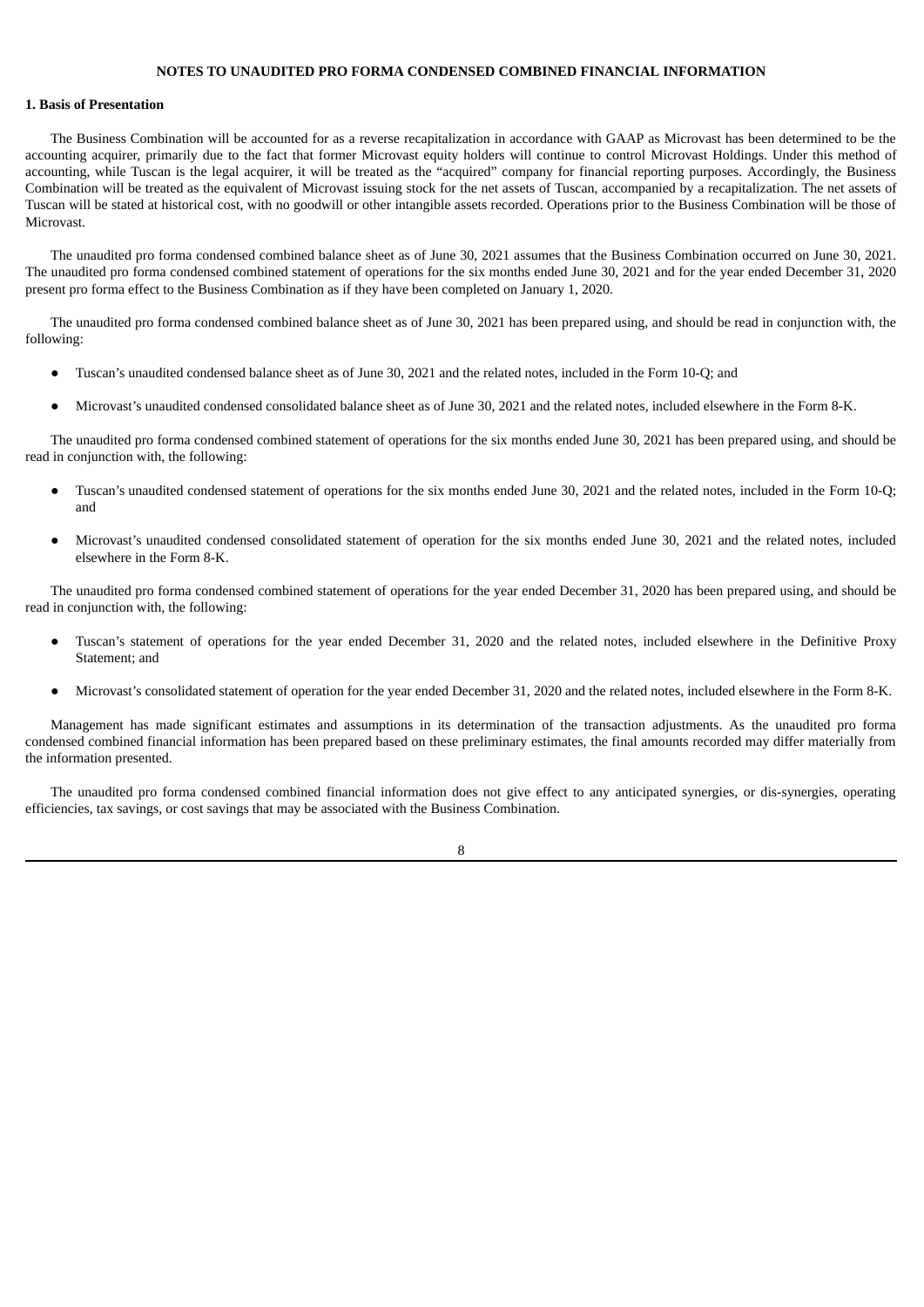#### **NOTES TO UNAUDITED PRO FORMA CONDENSED COMBINED FINANCIAL INFORMATION**

#### **1. Basis of Presentation**

The Business Combination will be accounted for as a reverse recapitalization in accordance with GAAP as Microvast has been determined to be the accounting acquirer, primarily due to the fact that former Microvast equity holders will continue to control Microvast Holdings. Under this method of accounting, while Tuscan is the legal acquirer, it will be treated as the "acquired" company for financial reporting purposes. Accordingly, the Business Combination will be treated as the equivalent of Microvast issuing stock for the net assets of Tuscan, accompanied by a recapitalization. The net assets of Tuscan will be stated at historical cost, with no goodwill or other intangible assets recorded. Operations prior to the Business Combination will be those of Microvast.

The unaudited pro forma condensed combined balance sheet as of June 30, 2021 assumes that the Business Combination occurred on June 30, 2021. The unaudited pro forma condensed combined statement of operations for the six months ended June 30, 2021 and for the year ended December 31, 2020 present pro forma effect to the Business Combination as if they have been completed on January 1, 2020.

The unaudited pro forma condensed combined balance sheet as of June 30, 2021 has been prepared using, and should be read in conjunction with, the following:

- Tuscan's unaudited condensed balance sheet as of June 30, 2021 and the related notes, included in the Form 10-Q; and
- Microvast's unaudited condensed consolidated balance sheet as of June 30, 2021 and the related notes, included elsewhere in the Form 8-K.

The unaudited pro forma condensed combined statement of operations for the six months ended June 30, 2021 has been prepared using, and should be read in conjunction with, the following:

- Tuscan's unaudited condensed statement of operations for the six months ended June 30, 2021 and the related notes, included in the Form 10-Q; and
- Microvast's unaudited condensed consolidated statement of operation for the six months ended June 30, 2021 and the related notes, included elsewhere in the Form 8-K.

The unaudited pro forma condensed combined statement of operations for the year ended December 31, 2020 has been prepared using, and should be read in conjunction with, the following:

- Tuscan's statement of operations for the year ended December 31, 2020 and the related notes, included elsewhere in the Definitive Proxy Statement; and
- Microvast's consolidated statement of operation for the year ended December 31, 2020 and the related notes, included elsewhere in the Form 8-K.

Management has made significant estimates and assumptions in its determination of the transaction adjustments. As the unaudited pro forma condensed combined financial information has been prepared based on these preliminary estimates, the final amounts recorded may differ materially from the information presented.

The unaudited pro forma condensed combined financial information does not give effect to any anticipated synergies, or dis-synergies, operating efficiencies, tax savings, or cost savings that may be associated with the Business Combination.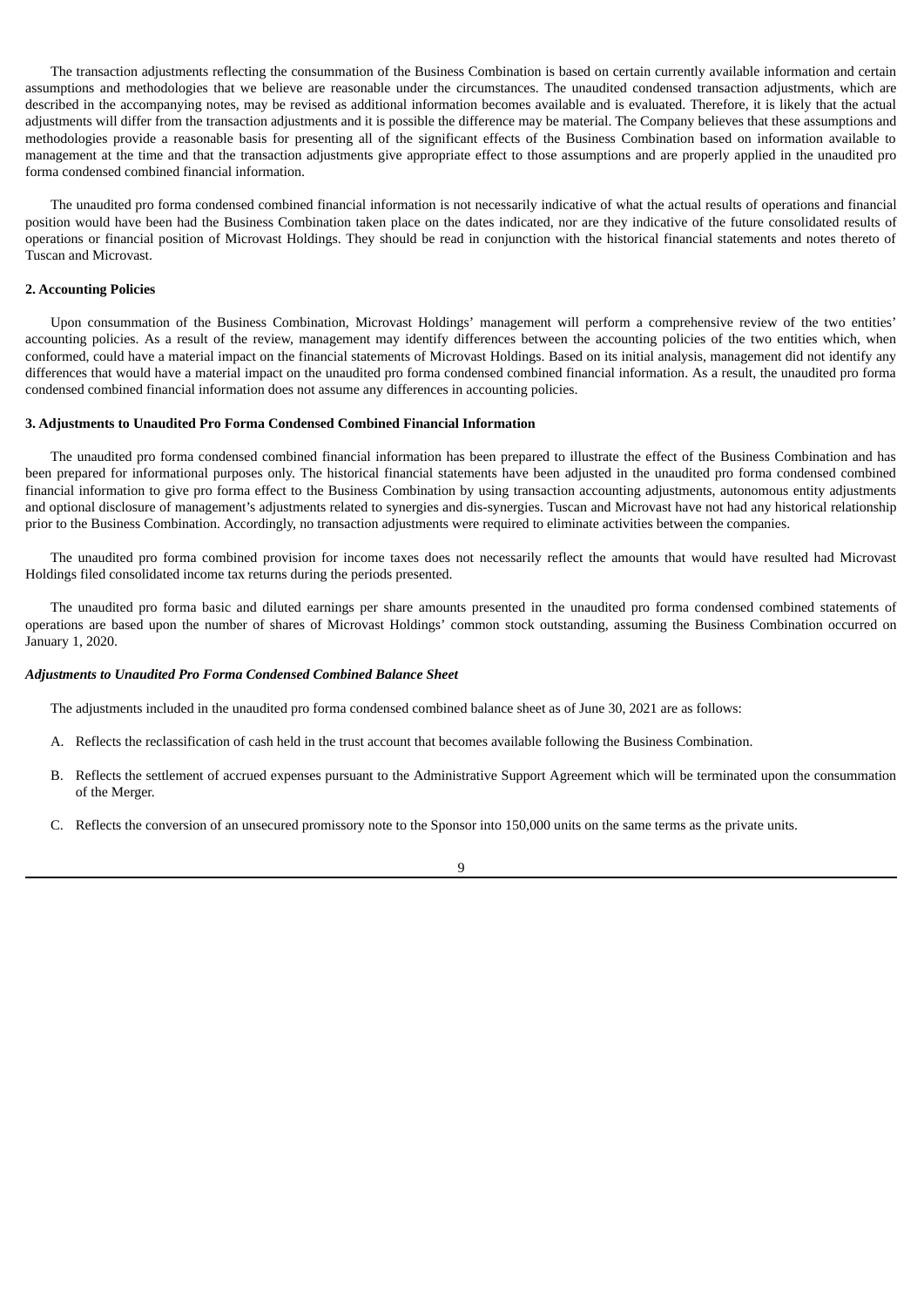The transaction adjustments reflecting the consummation of the Business Combination is based on certain currently available information and certain assumptions and methodologies that we believe are reasonable under the circumstances. The unaudited condensed transaction adjustments, which are described in the accompanying notes, may be revised as additional information becomes available and is evaluated. Therefore, it is likely that the actual adjustments will differ from the transaction adjustments and it is possible the difference may be material. The Company believes that these assumptions and methodologies provide a reasonable basis for presenting all of the significant effects of the Business Combination based on information available to management at the time and that the transaction adjustments give appropriate effect to those assumptions and are properly applied in the unaudited pro forma condensed combined financial information.

The unaudited pro forma condensed combined financial information is not necessarily indicative of what the actual results of operations and financial position would have been had the Business Combination taken place on the dates indicated, nor are they indicative of the future consolidated results of operations or financial position of Microvast Holdings. They should be read in conjunction with the historical financial statements and notes thereto of Tuscan and Microvast.

#### **2. Accounting Policies**

Upon consummation of the Business Combination, Microvast Holdings' management will perform a comprehensive review of the two entities' accounting policies. As a result of the review, management may identify differences between the accounting policies of the two entities which, when conformed, could have a material impact on the financial statements of Microvast Holdings. Based on its initial analysis, management did not identify any differences that would have a material impact on the unaudited pro forma condensed combined financial information. As a result, the unaudited pro forma condensed combined financial information does not assume any differences in accounting policies.

#### **3. Adjustments to Unaudited Pro Forma Condensed Combined Financial Information**

The unaudited pro forma condensed combined financial information has been prepared to illustrate the effect of the Business Combination and has been prepared for informational purposes only. The historical financial statements have been adjusted in the unaudited pro forma condensed combined financial information to give pro forma effect to the Business Combination by using transaction accounting adjustments, autonomous entity adjustments and optional disclosure of management's adjustments related to synergies and dis-synergies. Tuscan and Microvast have not had any historical relationship prior to the Business Combination. Accordingly, no transaction adjustments were required to eliminate activities between the companies.

The unaudited pro forma combined provision for income taxes does not necessarily reflect the amounts that would have resulted had Microvast Holdings filed consolidated income tax returns during the periods presented.

The unaudited pro forma basic and diluted earnings per share amounts presented in the unaudited pro forma condensed combined statements of operations are based upon the number of shares of Microvast Holdings' common stock outstanding, assuming the Business Combination occurred on January 1, 2020.

#### *Adjustments to Unaudited Pro Forma Condensed Combined Balance Sheet*

The adjustments included in the unaudited pro forma condensed combined balance sheet as of June 30, 2021 are as follows:

- A. Reflects the reclassification of cash held in the trust account that becomes available following the Business Combination.
- B. Reflects the settlement of accrued expenses pursuant to the Administrative Support Agreement which will be terminated upon the consummation of the Merger.
- C. Reflects the conversion of an unsecured promissory note to the Sponsor into 150,000 units on the same terms as the private units.

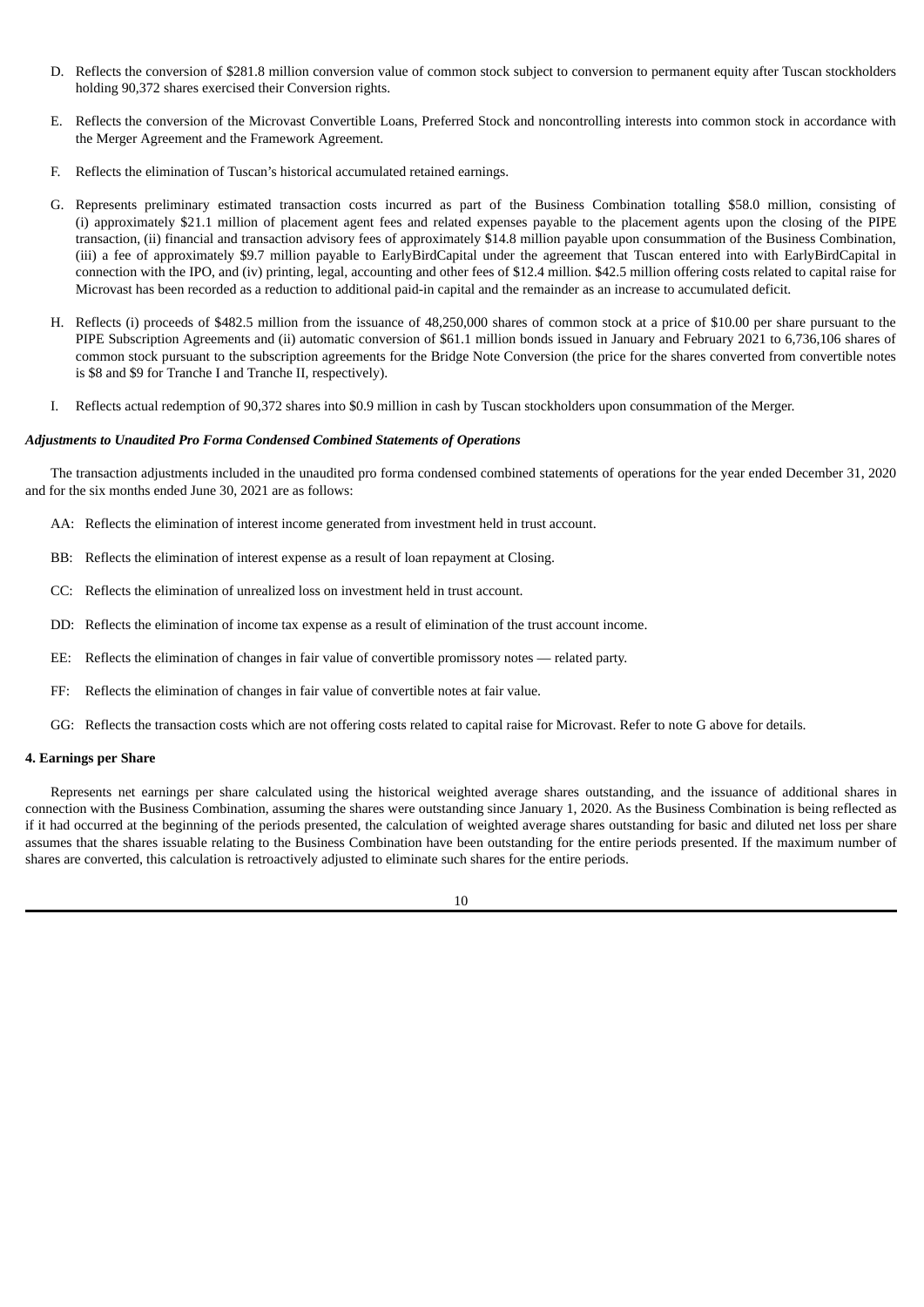- D. Reflects the conversion of \$281.8 million conversion value of common stock subject to conversion to permanent equity after Tuscan stockholders holding 90,372 shares exercised their Conversion rights.
- E. Reflects the conversion of the Microvast Convertible Loans, Preferred Stock and noncontrolling interests into common stock in accordance with the Merger Agreement and the Framework Agreement.
- F. Reflects the elimination of Tuscan's historical accumulated retained earnings.
- G. Represents preliminary estimated transaction costs incurred as part of the Business Combination totalling \$58.0 million, consisting of (i) approximately \$21.1 million of placement agent fees and related expenses payable to the placement agents upon the closing of the PIPE transaction, (ii) financial and transaction advisory fees of approximately \$14.8 million payable upon consummation of the Business Combination, (iii) a fee of approximately \$9.7 million payable to EarlyBirdCapital under the agreement that Tuscan entered into with EarlyBirdCapital in connection with the IPO, and (iv) printing, legal, accounting and other fees of \$12.4 million. \$42.5 million offering costs related to capital raise for Microvast has been recorded as a reduction to additional paid-in capital and the remainder as an increase to accumulated deficit.
- H. Reflects (i) proceeds of \$482.5 million from the issuance of 48,250,000 shares of common stock at a price of \$10.00 per share pursuant to the PIPE Subscription Agreements and (ii) automatic conversion of \$61.1 million bonds issued in January and February 2021 to 6,736,106 shares of common stock pursuant to the subscription agreements for the Bridge Note Conversion (the price for the shares converted from convertible notes is \$8 and \$9 for Tranche I and Tranche II, respectively).
- I. Reflects actual redemption of 90,372 shares into \$0.9 million in cash by Tuscan stockholders upon consummation of the Merger.

#### *Adjustments to Unaudited Pro Forma Condensed Combined Statements of Operations*

The transaction adjustments included in the unaudited pro forma condensed combined statements of operations for the year ended December 31, 2020 and for the six months ended June 30, 2021 are as follows:

- AA: Reflects the elimination of interest income generated from investment held in trust account.
- BB: Reflects the elimination of interest expense as a result of loan repayment at Closing.
- CC: Reflects the elimination of unrealized loss on investment held in trust account.
- DD: Reflects the elimination of income tax expense as a result of elimination of the trust account income.
- EE: Reflects the elimination of changes in fair value of convertible promissory notes related party.
- FF: Reflects the elimination of changes in fair value of convertible notes at fair value.
- GG: Reflects the transaction costs which are not offering costs related to capital raise for Microvast. Refer to note G above for details.

#### **4. Earnings per Share**

Represents net earnings per share calculated using the historical weighted average shares outstanding, and the issuance of additional shares in connection with the Business Combination, assuming the shares were outstanding since January 1, 2020. As the Business Combination is being reflected as if it had occurred at the beginning of the periods presented, the calculation of weighted average shares outstanding for basic and diluted net loss per share assumes that the shares issuable relating to the Business Combination have been outstanding for the entire periods presented. If the maximum number of shares are converted, this calculation is retroactively adjusted to eliminate such shares for the entire periods.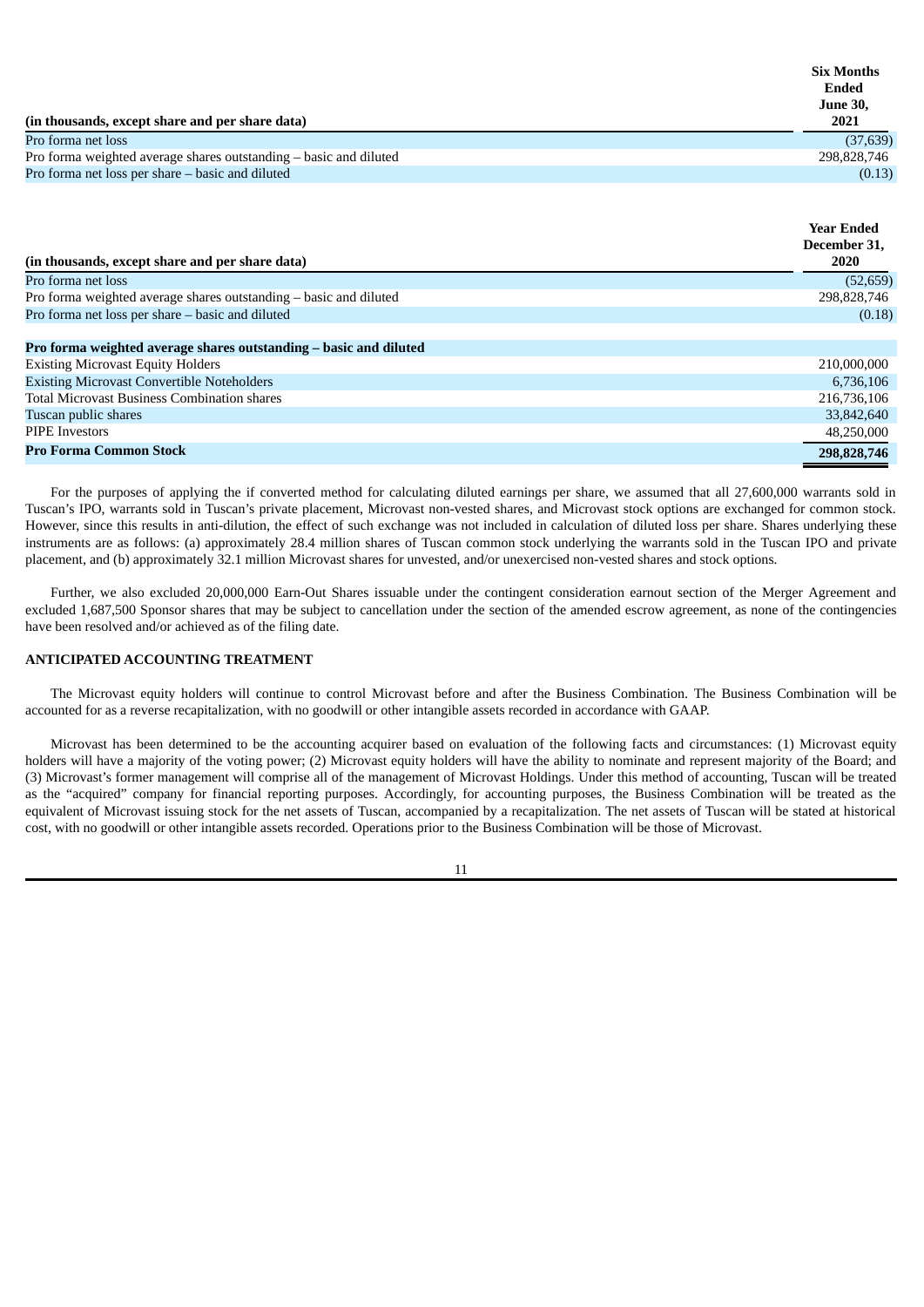|                                                                   | <b>Six Months</b> |  |
|-------------------------------------------------------------------|-------------------|--|
|                                                                   | Ended             |  |
|                                                                   | <b>June 30,</b>   |  |
| (in thousands, except share and per share data)                   | 2021              |  |
| Pro forma net loss                                                | (37, 639)         |  |
| Pro forma weighted average shares outstanding – basic and diluted | 298,828,746       |  |
| Pro forma net loss per share – basic and diluted                  | (0.13)            |  |

|                                                                   | <b>Year Ended</b> |
|-------------------------------------------------------------------|-------------------|
|                                                                   | December 31,      |
| (in thousands, except share and per share data)                   | <b>2020</b>       |
| Pro forma net loss                                                | (52, 659)         |
| Pro forma weighted average shares outstanding - basic and diluted | 298,828,746       |
| Pro forma net loss per share - basic and diluted                  | (0.18)            |
|                                                                   |                   |
| Pro forma weighted average shares outstanding - basic and diluted |                   |
| <b>Existing Microvast Equity Holders</b>                          | 210,000,000       |
| <b>Existing Microvast Convertible Noteholders</b>                 | 6,736,106         |
| <b>Total Microvast Business Combination shares</b>                | 216,736,106       |
| Tuscan public shares                                              | 33,842,640        |
| <b>PIPE Investors</b>                                             | 48,250,000        |
| <b>Pro Forma Common Stock</b>                                     | 298,828,746       |

For the purposes of applying the if converted method for calculating diluted earnings per share, we assumed that all 27,600,000 warrants sold in Tuscan's IPO, warrants sold in Tuscan's private placement, Microvast non-vested shares, and Microvast stock options are exchanged for common stock. However, since this results in anti-dilution, the effect of such exchange was not included in calculation of diluted loss per share. Shares underlying these instruments are as follows: (a) approximately 28.4 million shares of Tuscan common stock underlying the warrants sold in the Tuscan IPO and private placement, and (b) approximately 32.1 million Microvast shares for unvested, and/or unexercised non-vested shares and stock options.

Further, we also excluded 20,000,000 Earn-Out Shares issuable under the contingent consideration earnout section of the Merger Agreement and excluded 1,687,500 Sponsor shares that may be subject to cancellation under the section of the amended escrow agreement, as none of the contingencies have been resolved and/or achieved as of the filing date.

### **ANTICIPATED ACCOUNTING TREATMENT**

The Microvast equity holders will continue to control Microvast before and after the Business Combination. The Business Combination will be accounted for as a reverse recapitalization, with no goodwill or other intangible assets recorded in accordance with GAAP.

Microvast has been determined to be the accounting acquirer based on evaluation of the following facts and circumstances: (1) Microvast equity holders will have a majority of the voting power; (2) Microvast equity holders will have the ability to nominate and represent majority of the Board; and (3) Microvast's former management will comprise all of the management of Microvast Holdings. Under this method of accounting, Tuscan will be treated as the "acquired" company for financial reporting purposes. Accordingly, for accounting purposes, the Business Combination will be treated as the equivalent of Microvast issuing stock for the net assets of Tuscan, accompanied by a recapitalization. The net assets of Tuscan will be stated at historical cost, with no goodwill or other intangible assets recorded. Operations prior to the Business Combination will be those of Microvast.